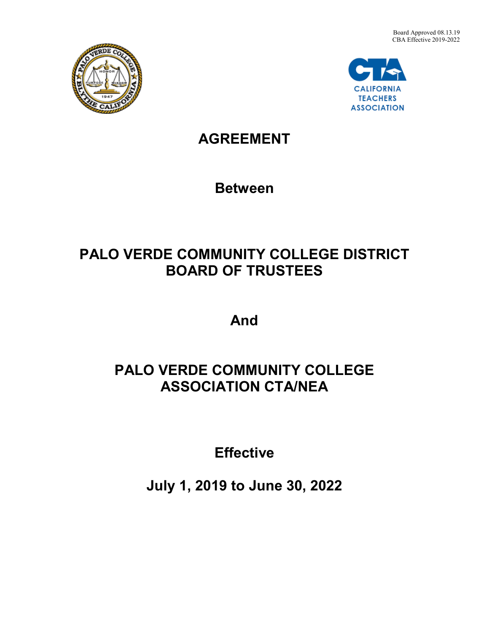



## **AGREEMENT**

**Between**

# **PALO VERDE COMMUNITY COLLEGE DISTRICT BOARD OF TRUSTEES**

**And**

## **PALO VERDE COMMUNITY COLLEGE ASSOCIATION CTA/NEA**

**Effective**

**July 1, 2019 to June 30, 2022**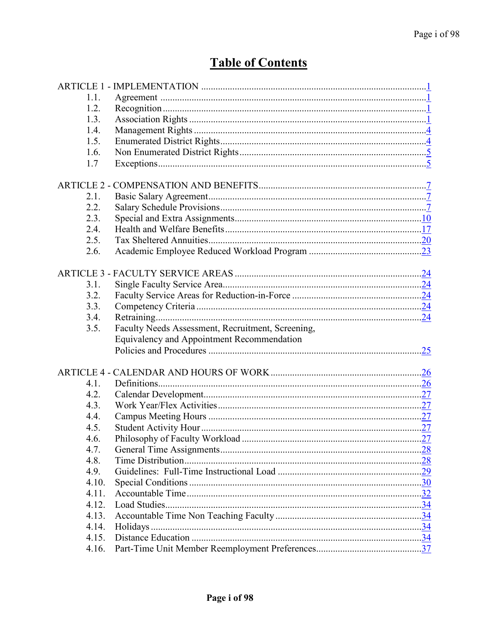## **Table of Contents**

| 1.1.  |                                                   |
|-------|---------------------------------------------------|
| 1.2.  |                                                   |
| 1.3.  |                                                   |
| 1.4.  |                                                   |
| 1.5.  |                                                   |
| 1.6.  |                                                   |
| 1.7   |                                                   |
|       |                                                   |
| 2.1.  |                                                   |
| 2.2.  |                                                   |
| 2.3.  |                                                   |
| 2.4.  |                                                   |
| 2.5.  |                                                   |
| 2.6.  |                                                   |
|       |                                                   |
|       |                                                   |
| 3.1.  |                                                   |
| 3.2.  |                                                   |
| 3.3.  |                                                   |
| 3.4.  |                                                   |
| 3.5.  | Faculty Needs Assessment, Recruitment, Screening, |
|       | Equivalency and Appointment Recommendation        |
|       |                                                   |
|       |                                                   |
|       |                                                   |
| 4.1.  |                                                   |
| 4.2.  |                                                   |
| 4.3.  |                                                   |
| 4.4.  |                                                   |
| 4.5.  |                                                   |
| 4.6.  |                                                   |
| 4.7.  |                                                   |
| 4.8.  |                                                   |
| 4.9.  |                                                   |
| 4.10. |                                                   |
| 4.11. |                                                   |
| 4.12. |                                                   |
| 4.13. |                                                   |
| 4.14. |                                                   |
| 4.15. |                                                   |
| 4.16. |                                                   |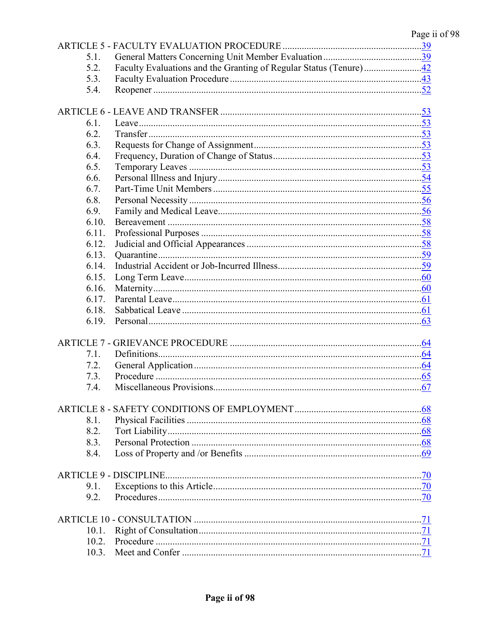| 5.1.  |    |
|-------|----|
| 5.2.  |    |
| 5.3.  |    |
| 5.4.  |    |
|       |    |
|       |    |
| 6.1.  |    |
| 6.2.  |    |
| 6.3.  |    |
| 6.4.  |    |
| 6.5.  |    |
| 6.6.  |    |
| 6.7.  |    |
| 6.8.  |    |
| 6.9.  |    |
| 6.10. |    |
| 6.11. |    |
| 6.12. |    |
| 6.13. |    |
| 6.14. |    |
| 6.15. |    |
| 6.16. |    |
| 6.17. |    |
| 6.18. |    |
| 6.19. |    |
|       |    |
|       |    |
| 7.1.  |    |
| 7.2.  |    |
| 7.3.  |    |
| 7.4.  |    |
|       |    |
|       |    |
| 8.1.  |    |
| 8.2.  |    |
| 8.3.  |    |
| 8.4.  |    |
|       |    |
|       |    |
| 9.1.  |    |
| 9.2.  |    |
|       |    |
|       |    |
| 10.1. |    |
|       |    |
|       | 71 |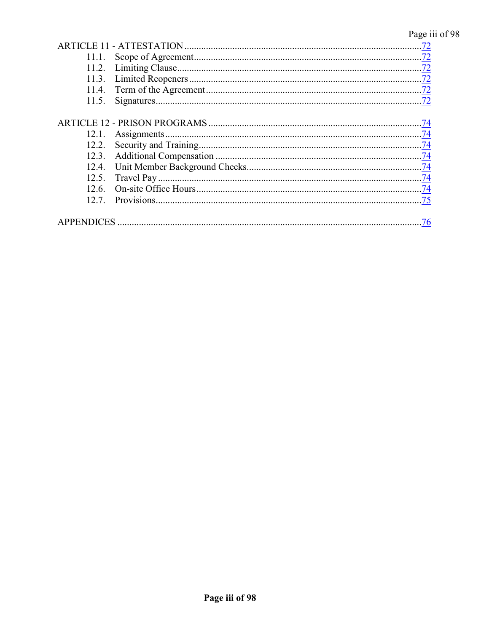## Page iii of 98

|       | .72 |
|-------|-----|
| 11.1. | .72 |
| 11.2. |     |
| 11.3. | .72 |
| 11.4. | 72  |
| 11.5. |     |
|       |     |
|       | .74 |
| 12.1. | .74 |
| 12.2. |     |
| 12.3. |     |
| 12.4. |     |
| 12.5. | .74 |
| 12.6. |     |
| 12.7  | .75 |
|       |     |
|       | .76 |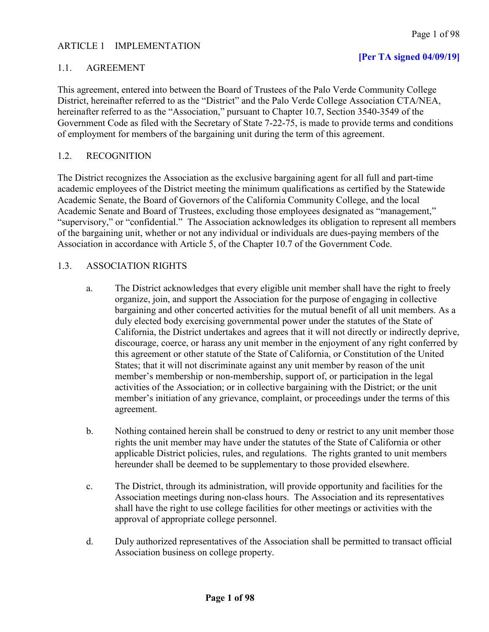## <span id="page-4-0"></span>ARTICLE 1 IMPLEMENTATION

## **[Per TA signed 04/09/19]**

## <span id="page-4-1"></span>1.1. AGREEMENT

This agreement, entered into between the Board of Trustees of the Palo Verde Community College District, hereinafter referred to as the "District" and the Palo Verde College Association CTA/NEA, hereinafter referred to as the "Association," pursuant to Chapter 10.7, Section 3540-3549 of the Government Code as filed with the Secretary of State 7-22-75, is made to provide terms and conditions of employment for members of the bargaining unit during the term of this agreement.

## <span id="page-4-2"></span>1.2. RECOGNITION

The District recognizes the Association as the exclusive bargaining agent for all full and part-time academic employees of the District meeting the minimum qualifications as certified by the Statewide Academic Senate, the Board of Governors of the California Community College, and the local Academic Senate and Board of Trustees, excluding those employees designated as "management," "supervisory," or "confidential." The Association acknowledges its obligation to represent all members of the bargaining unit, whether or not any individual or individuals are dues-paying members of the Association in accordance with Article 5, of the Chapter 10.7 of the Government Code.

## <span id="page-4-3"></span>1.3. ASSOCIATION RIGHTS

- a. The District acknowledges that every eligible unit member shall have the right to freely organize, join, and support the Association for the purpose of engaging in collective bargaining and other concerted activities for the mutual benefit of all unit members. As a duly elected body exercising governmental power under the statutes of the State of California, the District undertakes and agrees that it will not directly or indirectly deprive, discourage, coerce, or harass any unit member in the enjoyment of any right conferred by this agreement or other statute of the State of California, or Constitution of the United States; that it will not discriminate against any unit member by reason of the unit member's membership or non-membership, support of, or participation in the legal activities of the Association; or in collective bargaining with the District; or the unit member's initiation of any grievance, complaint, or proceedings under the terms of this agreement.
- b. Nothing contained herein shall be construed to deny or restrict to any unit member those rights the unit member may have under the statutes of the State of California or other applicable District policies, rules, and regulations. The rights granted to unit members hereunder shall be deemed to be supplementary to those provided elsewhere.
- c. The District, through its administration, will provide opportunity and facilities for the Association meetings during non-class hours. The Association and its representatives shall have the right to use college facilities for other meetings or activities with the approval of appropriate college personnel.
- d. Duly authorized representatives of the Association shall be permitted to transact official Association business on college property.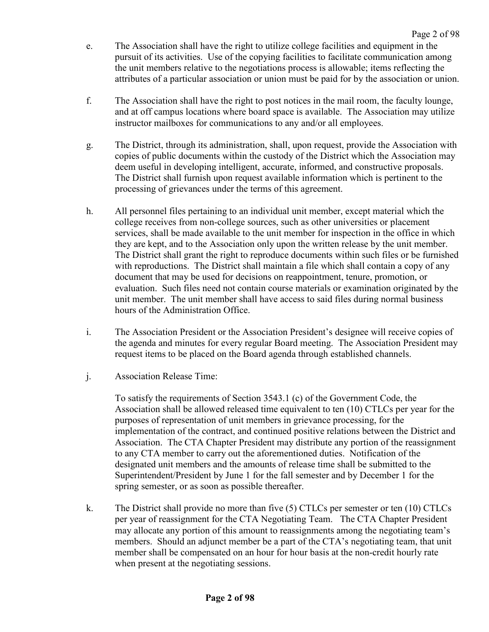- e. The Association shall have the right to utilize college facilities and equipment in the pursuit of its activities. Use of the copying facilities to facilitate communication among the unit members relative to the negotiations process is allowable; items reflecting the attributes of a particular association or union must be paid for by the association or union.
- f. The Association shall have the right to post notices in the mail room, the faculty lounge, and at off campus locations where board space is available. The Association may utilize instructor mailboxes for communications to any and/or all employees.
- g. The District, through its administration, shall, upon request, provide the Association with copies of public documents within the custody of the District which the Association may deem useful in developing intelligent, accurate, informed, and constructive proposals. The District shall furnish upon request available information which is pertinent to the processing of grievances under the terms of this agreement.
- h. All personnel files pertaining to an individual unit member, except material which the college receives from non-college sources, such as other universities or placement services, shall be made available to the unit member for inspection in the office in which they are kept, and to the Association only upon the written release by the unit member. The District shall grant the right to reproduce documents within such files or be furnished with reproductions. The District shall maintain a file which shall contain a copy of any document that may be used for decisions on reappointment, tenure, promotion, or evaluation. Such files need not contain course materials or examination originated by the unit member. The unit member shall have access to said files during normal business hours of the Administration Office.
- i. The Association President or the Association President's designee will receive copies of the agenda and minutes for every regular Board meeting. The Association President may request items to be placed on the Board agenda through established channels.
- j. Association Release Time:

To satisfy the requirements of Section 3543.1 (c) of the Government Code, the Association shall be allowed released time equivalent to ten (10) CTLCs per year for the purposes of representation of unit members in grievance processing, for the implementation of the contract, and continued positive relations between the District and Association. The CTA Chapter President may distribute any portion of the reassignment to any CTA member to carry out the aforementioned duties. Notification of the designated unit members and the amounts of release time shall be submitted to the Superintendent/President by June 1 for the fall semester and by December 1 for the spring semester, or as soon as possible thereafter.

k. The District shall provide no more than five (5) CTLCs per semester or ten (10) CTLCs per year of reassignment for the CTA Negotiating Team. The CTA Chapter President may allocate any portion of this amount to reassignments among the negotiating team's members. Should an adjunct member be a part of the CTA's negotiating team, that unit member shall be compensated on an hour for hour basis at the non-credit hourly rate when present at the negotiating sessions.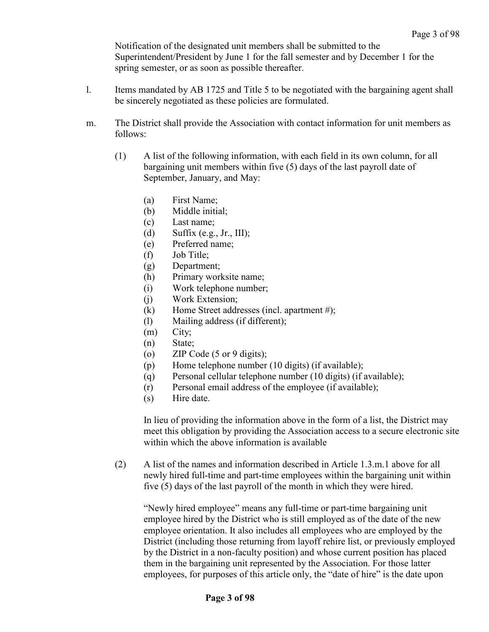Notification of the designated unit members shall be submitted to the Superintendent/President by June 1 for the fall semester and by December 1 for the spring semester, or as soon as possible thereafter.

- l. Items mandated by AB 1725 and Title 5 to be negotiated with the bargaining agent shall be sincerely negotiated as these policies are formulated.
- m. The District shall provide the Association with contact information for unit members as follows:
	- (1) A list of the following information, with each field in its own column, for all bargaining unit members within five (5) days of the last payroll date of September, January, and May:
		- (a) First Name;
		- (b) Middle initial;
		- (c) Last name;
		- (d) Suffix (e.g., Jr., III);
		- (e) Preferred name;
		- (f) Job Title;
		- (g) Department;
		- (h) Primary worksite name;
		- (i) Work telephone number;
		- (j) Work Extension;
		- (k) Home Street addresses (incl. apartment #);
		- (l) Mailing address (if different);
		- (m) City;
		- (n) State;
		- (o) ZIP Code (5 or 9 digits);
		- (p) Home telephone number (10 digits) (if available);
		- (q) Personal cellular telephone number (10 digits) (if available);
		- (r) Personal email address of the employee (if available);
		- (s) Hire date.

In lieu of providing the information above in the form of a list, the District may meet this obligation by providing the Association access to a secure electronic site within which the above information is available

(2) A list of the names and information described in Article 1.3.m.1 above for all newly hired full-time and part-time employees within the bargaining unit within five (5) days of the last payroll of the month in which they were hired.

"Newly hired employee" means any full-time or part-time bargaining unit employee hired by the District who is still employed as of the date of the new employee orientation. It also includes all employees who are employed by the District (including those returning from layoff rehire list, or previously employed by the District in a non-faculty position) and whose current position has placed them in the bargaining unit represented by the Association. For those latter employees, for purposes of this article only, the "date of hire" is the date upon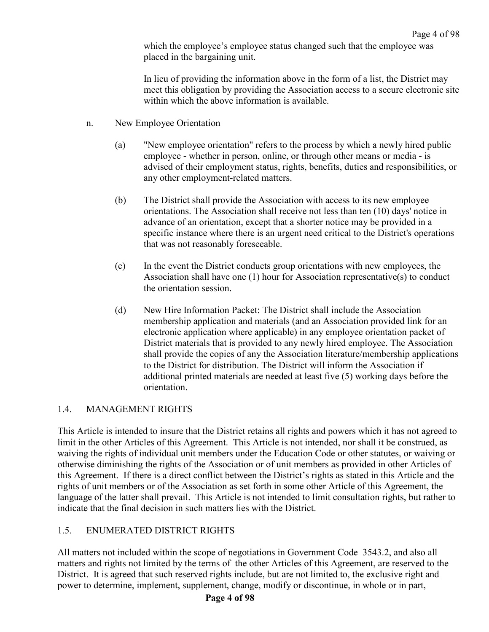which the employee's employee status changed such that the employee was placed in the bargaining unit.

In lieu of providing the information above in the form of a list, the District may meet this obligation by providing the Association access to a secure electronic site within which the above information is available.

- n. New Employee Orientation
	- (a) "New employee orientation" refers to the process by which a newly hired public employee - whether in person, online, or through other means or media - is advised of their employment status, rights, benefits, duties and responsibilities, or any other employment-related matters.
	- (b) The District shall provide the Association with access to its new employee orientations. The Association shall receive not less than ten (10) days' notice in advance of an orientation, except that a shorter notice may be provided in a specific instance where there is an urgent need critical to the District's operations that was not reasonably foreseeable.
	- (c) In the event the District conducts group orientations with new employees, the Association shall have one  $(1)$  hour for Association representative(s) to conduct the orientation session.
	- (d) New Hire Information Packet: The District shall include the Association membership application and materials (and an Association provided link for an electronic application where applicable) in any employee orientation packet of District materials that is provided to any newly hired employee. The Association shall provide the copies of any the Association literature/membership applications to the District for distribution. The District will inform the Association if additional printed materials are needed at least five (5) working days before the orientation.

## <span id="page-7-0"></span>1.4. MANAGEMENT RIGHTS

This Article is intended to insure that the District retains all rights and powers which it has not agreed to limit in the other Articles of this Agreement. This Article is not intended, nor shall it be construed, as waiving the rights of individual unit members under the Education Code or other statutes, or waiving or otherwise diminishing the rights of the Association or of unit members as provided in other Articles of this Agreement. If there is a direct conflict between the District's rights as stated in this Article and the rights of unit members or of the Association as set forth in some other Article of this Agreement, the language of the latter shall prevail. This Article is not intended to limit consultation rights, but rather to indicate that the final decision in such matters lies with the District.

## <span id="page-7-1"></span>1.5. ENUMERATED DISTRICT RIGHTS

All matters not included within the scope of negotiations in Government Code 3543.2, and also all matters and rights not limited by the terms of the other Articles of this Agreement, are reserved to the District. It is agreed that such reserved rights include, but are not limited to, the exclusive right and power to determine, implement, supplement, change, modify or discontinue, in whole or in part,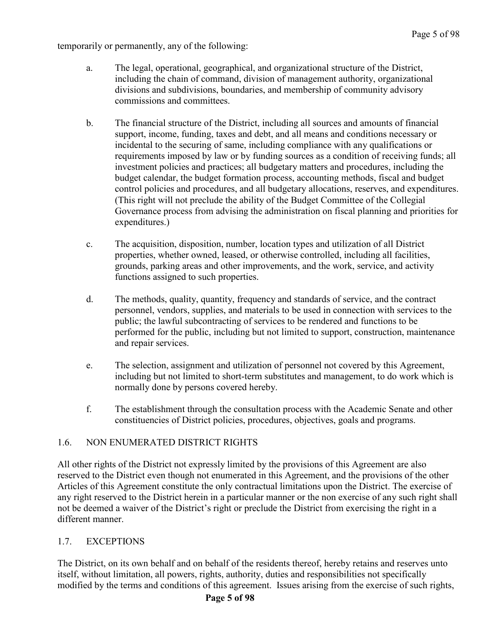temporarily or permanently, any of the following:

- a. The legal, operational, geographical, and organizational structure of the District, including the chain of command, division of management authority, organizational divisions and subdivisions, boundaries, and membership of community advisory commissions and committees.
- b. The financial structure of the District, including all sources and amounts of financial support, income, funding, taxes and debt, and all means and conditions necessary or incidental to the securing of same, including compliance with any qualifications or requirements imposed by law or by funding sources as a condition of receiving funds; all investment policies and practices; all budgetary matters and procedures, including the budget calendar, the budget formation process, accounting methods, fiscal and budget control policies and procedures, and all budgetary allocations, reserves, and expenditures. (This right will not preclude the ability of the Budget Committee of the Collegial Governance process from advising the administration on fiscal planning and priorities for expenditures.)
- c. The acquisition, disposition, number, location types and utilization of all District properties, whether owned, leased, or otherwise controlled, including all facilities, grounds, parking areas and other improvements, and the work, service, and activity functions assigned to such properties.
- d. The methods, quality, quantity, frequency and standards of service, and the contract personnel, vendors, supplies, and materials to be used in connection with services to the public; the lawful subcontracting of services to be rendered and functions to be performed for the public, including but not limited to support, construction, maintenance and repair services.
- e. The selection, assignment and utilization of personnel not covered by this Agreement, including but not limited to short-term substitutes and management, to do work which is normally done by persons covered hereby.
- f. The establishment through the consultation process with the Academic Senate and other constituencies of District policies, procedures, objectives, goals and programs.

## <span id="page-8-0"></span>1.6. NON ENUMERATED DISTRICT RIGHTS

All other rights of the District not expressly limited by the provisions of this Agreement are also reserved to the District even though not enumerated in this Agreement, and the provisions of the other Articles of this Agreement constitute the only contractual limitations upon the District. The exercise of any right reserved to the District herein in a particular manner or the non exercise of any such right shall not be deemed a waiver of the District's right or preclude the District from exercising the right in a different manner.

## <span id="page-8-1"></span>1.7. EXCEPTIONS

The District, on its own behalf and on behalf of the residents thereof, hereby retains and reserves unto itself, without limitation, all powers, rights, authority, duties and responsibilities not specifically modified by the terms and conditions of this agreement. Issues arising from the exercise of such rights,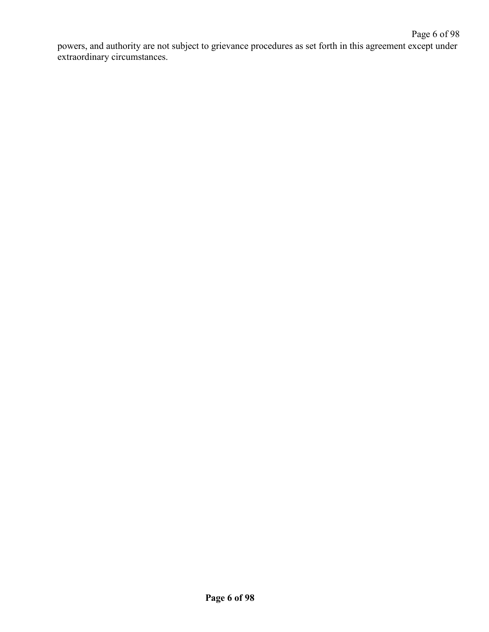powers, and authority are not subject to grievance procedures as set forth in this agreement except under extraordinary circumstances.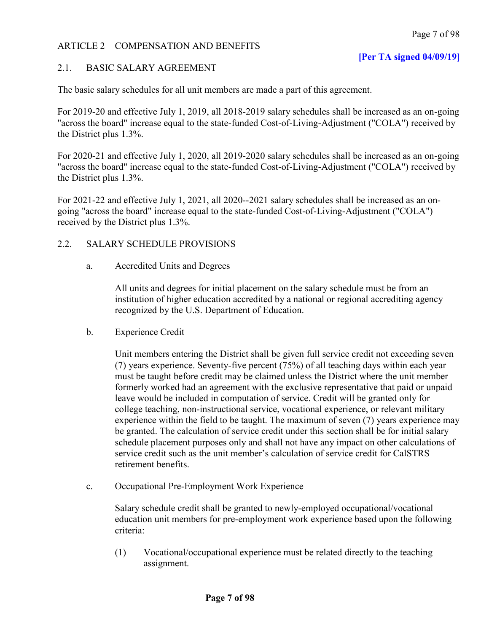## <span id="page-10-0"></span>ARTICLE 2 COMPENSATION AND BENEFITS

## <span id="page-10-1"></span>2.1. BASIC SALARY AGREEMENT

The basic salary schedules for all unit members are made a part of this agreement.

For 2019-20 and effective July 1, 2019, all 2018-2019 salary schedules shall be increased as an on-going "across the board" increase equal to the state-funded Cost-of-Living-Adjustment ("COLA") received by the District plus 1.3%.

For 2020-21 and effective July 1, 2020, all 2019-2020 salary schedules shall be increased as an on-going "across the board" increase equal to the state-funded Cost-of-Living-Adjustment ("COLA") received by the District plus 1.3%.

For 2021-22 and effective July 1, 2021, all 2020--2021 salary schedules shall be increased as an ongoing "across the board" increase equal to the state-funded Cost-of-Living-Adjustment ("COLA") received by the District plus 1.3%.

## <span id="page-10-2"></span>2.2. SALARY SCHEDULE PROVISIONS

a. Accredited Units and Degrees

All units and degrees for initial placement on the salary schedule must be from an institution of higher education accredited by a national or regional accrediting agency recognized by the U.S. Department of Education.

b. Experience Credit

Unit members entering the District shall be given full service credit not exceeding seven (7) years experience. Seventy-five percent (75%) of all teaching days within each year must be taught before credit may be claimed unless the District where the unit member formerly worked had an agreement with the exclusive representative that paid or unpaid leave would be included in computation of service. Credit will be granted only for college teaching, non-instructional service, vocational experience, or relevant military experience within the field to be taught. The maximum of seven (7) years experience may be granted. The calculation of service credit under this section shall be for initial salary schedule placement purposes only and shall not have any impact on other calculations of service credit such as the unit member's calculation of service credit for CalSTRS retirement benefits.

c. Occupational Pre-Employment Work Experience

Salary schedule credit shall be granted to newly-employed occupational/vocational education unit members for pre-employment work experience based upon the following criteria:

(1) Vocational/occupational experience must be related directly to the teaching assignment.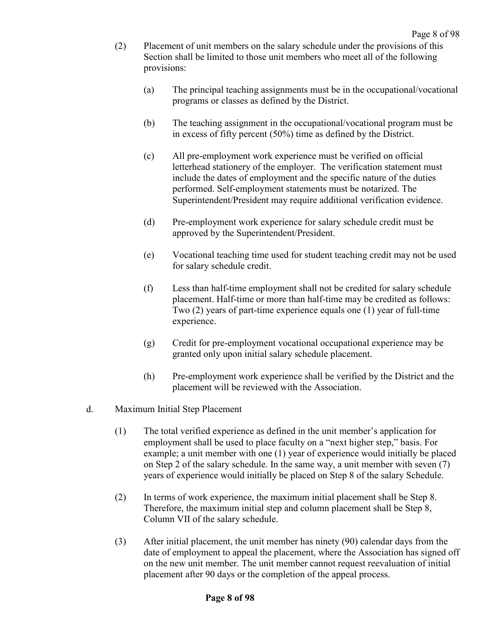- (2) Placement of unit members on the salary schedule under the provisions of this Section shall be limited to those unit members who meet all of the following provisions:
	- (a) The principal teaching assignments must be in the occupational/vocational programs or classes as defined by the District.
	- (b) The teaching assignment in the occupational/vocational program must be in excess of fifty percent (50%) time as defined by the District.
	- (c) All pre-employment work experience must be verified on official letterhead stationery of the employer. The verification statement must include the dates of employment and the specific nature of the duties performed. Self-employment statements must be notarized. The Superintendent/President may require additional verification evidence.
	- (d) Pre-employment work experience for salary schedule credit must be approved by the Superintendent/President.
	- (e) Vocational teaching time used for student teaching credit may not be used for salary schedule credit.
	- (f) Less than half-time employment shall not be credited for salary schedule placement. Half-time or more than half-time may be credited as follows: Two (2) years of part-time experience equals one (1) year of full-time experience.
	- (g) Credit for pre-employment vocational occupational experience may be granted only upon initial salary schedule placement.
	- (h) Pre-employment work experience shall be verified by the District and the placement will be reviewed with the Association.
- d. Maximum Initial Step Placement
	- (1) The total verified experience as defined in the unit member's application for employment shall be used to place faculty on a "next higher step," basis. For example; a unit member with one (1) year of experience would initially be placed on Step 2 of the salary schedule. In the same way, a unit member with seven (7) years of experience would initially be placed on Step 8 of the salary Schedule.
	- (2) In terms of work experience, the maximum initial placement shall be Step 8. Therefore, the maximum initial step and column placement shall be Step 8, Column VII of the salary schedule.
	- (3) After initial placement, the unit member has ninety (90) calendar days from the date of employment to appeal the placement, where the Association has signed off on the new unit member. The unit member cannot request reevaluation of initial placement after 90 days or the completion of the appeal process.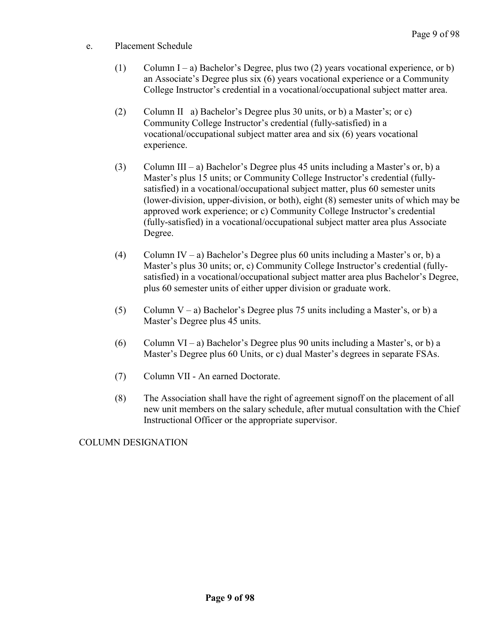- e. Placement Schedule
	- (1) Column I a) Bachelor's Degree, plus two (2) years vocational experience, or b) an Associate's Degree plus six (6) years vocational experience or a Community College Instructor's credential in a vocational/occupational subject matter area.
	- (2) Column II a) Bachelor's Degree plus 30 units, or b) a Master's; or c) Community College Instructor's credential (fully-satisfied) in a vocational/occupational subject matter area and six (6) years vocational experience.
	- (3) Column III a) Bachelor's Degree plus 45 units including a Master's or, b) a Master's plus 15 units; or Community College Instructor's credential (fullysatisfied) in a vocational/occupational subject matter, plus 60 semester units (lower-division, upper-division, or both), eight (8) semester units of which may be approved work experience; or c) Community College Instructor's credential (fully-satisfied) in a vocational/occupational subject matter area plus Associate Degree.
	- (4) Column IV a) Bachelor's Degree plus 60 units including a Master's or, b) a Master's plus 30 units; or, c) Community College Instructor's credential (fullysatisfied) in a vocational/occupational subject matter area plus Bachelor's Degree, plus 60 semester units of either upper division or graduate work.
	- (5) Column V a) Bachelor's Degree plus 75 units including a Master's, or b) a Master's Degree plus 45 units.
	- (6) Column VI a) Bachelor's Degree plus 90 units including a Master's, or b) a Master's Degree plus 60 Units, or c) dual Master's degrees in separate FSAs.
	- (7) Column VII An earned Doctorate.
	- (8) The Association shall have the right of agreement signoff on the placement of all new unit members on the salary schedule, after mutual consultation with the Chief Instructional Officer or the appropriate supervisor.

COLUMN DESIGNATION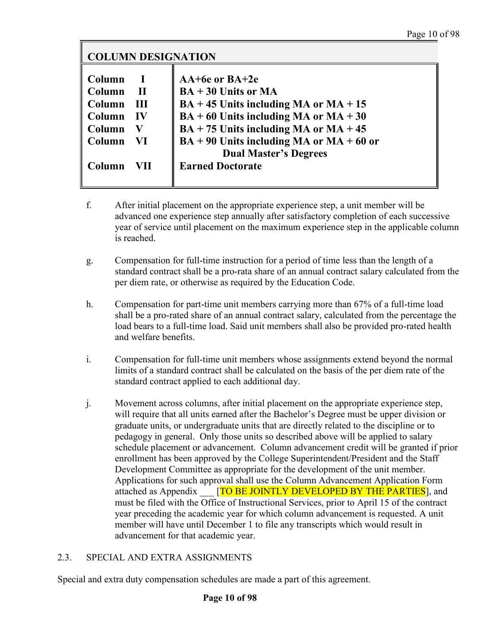| <b>COLUMN DESIGNATION</b> |           |                                            |  |  |
|---------------------------|-----------|--------------------------------------------|--|--|
|                           |           |                                            |  |  |
| Column                    | - 1       | AA+6e or BA+2e                             |  |  |
| Column                    | - II      | $BA + 30$ Units or MA                      |  |  |
| Column                    | - III     | $BA + 45$ Units including MA or MA + 15    |  |  |
| Column                    | <b>IV</b> | $BA + 60$ Units including MA or MA + 30    |  |  |
| Column                    | V         | $BA + 75$ Units including MA or MA + 45    |  |  |
| Column                    | - VI      | $BA + 90$ Units including MA or MA + 60 or |  |  |
|                           |           | <b>Dual Master's Degrees</b>               |  |  |
| Column                    | VII.      | <b>Earned Doctorate</b>                    |  |  |
|                           |           |                                            |  |  |

- f. After initial placement on the appropriate experience step, a unit member will be advanced one experience step annually after satisfactory completion of each successive year of service until placement on the maximum experience step in the applicable column is reached.
- g. Compensation for full-time instruction for a period of time less than the length of a standard contract shall be a pro-rata share of an annual contract salary calculated from the per diem rate, or otherwise as required by the Education Code.
- h. Compensation for part-time unit members carrying more than 67% of a full-time load shall be a pro-rated share of an annual contract salary, calculated from the percentage the load bears to a full-time load. Said unit members shall also be provided pro-rated health and welfare benefits.
- i. Compensation for full-time unit members whose assignments extend beyond the normal limits of a standard contract shall be calculated on the basis of the per diem rate of the standard contract applied to each additional day.
- j. Movement across columns, after initial placement on the appropriate experience step, will require that all units earned after the Bachelor's Degree must be upper division or graduate units, or undergraduate units that are directly related to the discipline or to pedagogy in general. Only those units so described above will be applied to salary schedule placement or advancement. Column advancement credit will be granted if prior enrollment has been approved by the College Superintendent/President and the Staff Development Committee as appropriate for the development of the unit member. Applications for such approval shall use the Column Advancement Application Form attached as Appendix **ITO BE JOINTLY DEVELOPED BY THE PARTIES**, and must be filed with the Office of Instructional Services, prior to April 15 of the contract year preceding the academic year for which column advancement is requested. A unit member will have until December 1 to file any transcripts which would result in advancement for that academic year.

## <span id="page-13-0"></span>2.3. SPECIAL AND EXTRA ASSIGNMENTS

Special and extra duty compensation schedules are made a part of this agreement.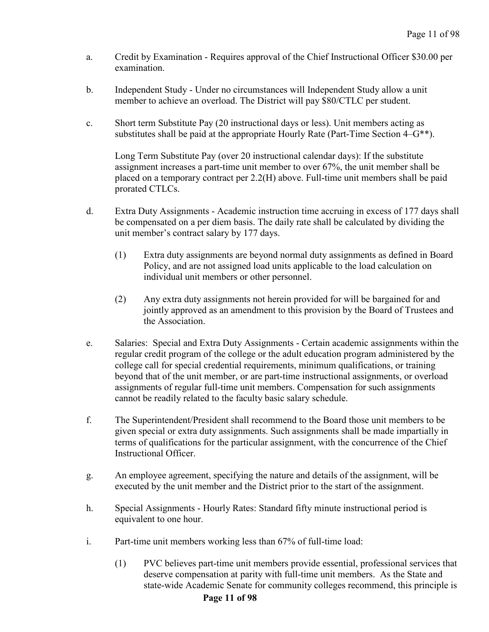- a. Credit by Examination Requires approval of the Chief Instructional Officer \$30.00 per examination.
- b. Independent Study Under no circumstances will Independent Study allow a unit member to achieve an overload. The District will pay \$80/CTLC per student.
- c. Short term Substitute Pay (20 instructional days or less). Unit members acting as substitutes shall be paid at the appropriate Hourly Rate (Part-Time Section  $4-G^{**}$ ).

Long Term Substitute Pay (over 20 instructional calendar days): If the substitute assignment increases a part-time unit member to over 67%, the unit member shall be placed on a temporary contract per 2.2(H) above. Full-time unit members shall be paid prorated CTLCs.

- d. Extra Duty Assignments Academic instruction time accruing in excess of 177 days shall be compensated on a per diem basis. The daily rate shall be calculated by dividing the unit member's contract salary by 177 days.
	- (1) Extra duty assignments are beyond normal duty assignments as defined in Board Policy, and are not assigned load units applicable to the load calculation on individual unit members or other personnel.
	- (2) Any extra duty assignments not herein provided for will be bargained for and jointly approved as an amendment to this provision by the Board of Trustees and the Association.
- e. Salaries: Special and Extra Duty Assignments Certain academic assignments within the regular credit program of the college or the adult education program administered by the college call for special credential requirements, minimum qualifications, or training beyond that of the unit member, or are part-time instructional assignments, or overload assignments of regular full-time unit members. Compensation for such assignments cannot be readily related to the faculty basic salary schedule.
- f. The Superintendent/President shall recommend to the Board those unit members to be given special or extra duty assignments. Such assignments shall be made impartially in terms of qualifications for the particular assignment, with the concurrence of the Chief Instructional Officer.
- g. An employee agreement, specifying the nature and details of the assignment, will be executed by the unit member and the District prior to the start of the assignment.
- h. Special Assignments Hourly Rates: Standard fifty minute instructional period is equivalent to one hour.
- i. Part-time unit members working less than 67% of full-time load:
	- (1) PVC believes part-time unit members provide essential, professional services that deserve compensation at parity with full-time unit members. As the State and state-wide Academic Senate for community colleges recommend, this principle is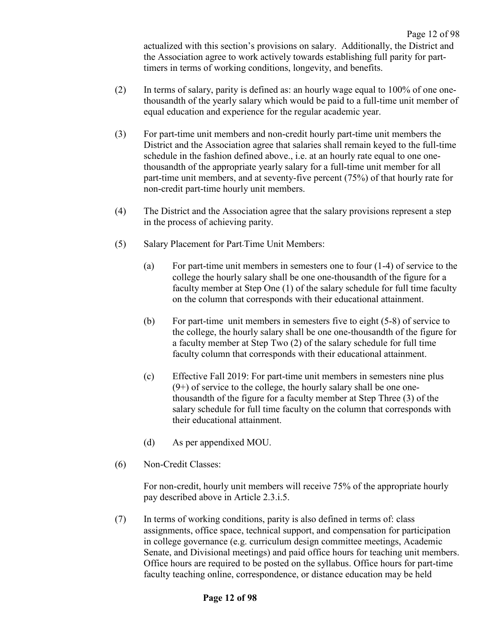Page 12 of 98 actualized with this section's provisions on salary. Additionally, the District and the Association agree to work actively towards establishing full parity for parttimers in terms of working conditions, longevity, and benefits.

- (2) In terms of salary, parity is defined as: an hourly wage equal to  $100\%$  of one onethousandth of the yearly salary which would be paid to a full-time unit member of equal education and experience for the regular academic year.
- (3) For part-time unit members and non-credit hourly part-time unit members the District and the Association agree that salaries shall remain keyed to the full-time schedule in the fashion defined above., i.e. at an hourly rate equal to one onethousandth of the appropriate yearly salary for a full-time unit member for all part-time unit members, and at seventy-five percent (75%) of that hourly rate for non-credit part-time hourly unit members.
- (4) The District and the Association agree that the salary provisions represent a step in the process of achieving parity.
- (5) Salary Placement for Part-Time Unit Members:
	- (a) For part-time unit members in semesters one to four (1-4) of service to the college the hourly salary shall be one one-thousandth of the figure for a faculty member at Step One (1) of the salary schedule for full time faculty on the column that corresponds with their educational attainment.
	- (b) For part-time unit members in semesters five to eight (5-8) of service to the college, the hourly salary shall be one one-thousandth of the figure for a faculty member at Step Two (2) of the salary schedule for full time faculty column that corresponds with their educational attainment.
	- (c) Effective Fall 2019: For part-time unit members in semesters nine plus  $(9+)$  of service to the college, the hourly salary shall be one onethousandth of the figure for a faculty member at Step Three (3) of the salary schedule for full time faculty on the column that corresponds with their educational attainment.
	- (d) As per appendixed MOU.
- (6) Non-Credit Classes:

For non-credit, hourly unit members will receive 75% of the appropriate hourly pay described above in Article 2.3.i.5.

(7) In terms of working conditions, parity is also defined in terms of: class assignments, office space, technical support, and compensation for participation in college governance (e.g. curriculum design committee meetings, Academic Senate, and Divisional meetings) and paid office hours for teaching unit members. Office hours are required to be posted on the syllabus. Office hours for part-time faculty teaching online, correspondence, or distance education may be held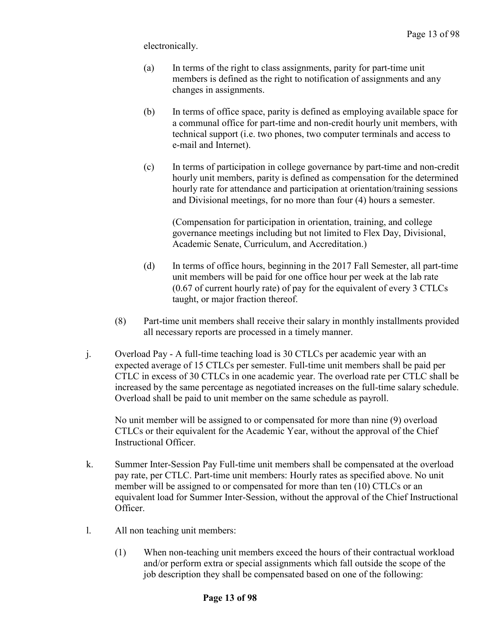electronically.

- (a) In terms of the right to class assignments, parity for part-time unit members is defined as the right to notification of assignments and any changes in assignments.
- (b) In terms of office space, parity is defined as employing available space for a communal office for part-time and non-credit hourly unit members, with technical support (i.e. two phones, two computer terminals and access to e-mail and Internet).
- (c) In terms of participation in college governance by part-time and non-credit hourly unit members, parity is defined as compensation for the determined hourly rate for attendance and participation at orientation/training sessions and Divisional meetings, for no more than four (4) hours a semester.

(Compensation for participation in orientation, training, and college governance meetings including but not limited to Flex Day, Divisional, Academic Senate, Curriculum, and Accreditation.)

- (d) In terms of office hours, beginning in the 2017 Fall Semester, all part-time unit members will be paid for one office hour per week at the lab rate  $(0.67 \text{ of current hourly rate})$  of pay for the equivalent of every 3 CTLCs taught, or major fraction thereof.
- (8) Part-time unit members shall receive their salary in monthly installments provided all necessary reports are processed in a timely manner.
- j. Overload Pay A full-time teaching load is 30 CTLCs per academic year with an expected average of 15 CTLCs per semester. Full-time unit members shall be paid per CTLC in excess of 30 CTLCs in one academic year. The overload rate per CTLC shall be increased by the same percentage as negotiated increases on the full-time salary schedule. Overload shall be paid to unit member on the same schedule as payroll.

No unit member will be assigned to or compensated for more than nine (9) overload CTLCs or their equivalent for the Academic Year, without the approval of the Chief Instructional Officer.

- k. Summer Inter-Session Pay Full-time unit members shall be compensated at the overload pay rate, per CTLC. Part-time unit members: Hourly rates as specified above. No unit member will be assigned to or compensated for more than ten (10) CTLCs or an equivalent load for Summer Inter-Session, without the approval of the Chief Instructional Officer.
- l. All non teaching unit members:
	- (1) When non-teaching unit members exceed the hours of their contractual workload and/or perform extra or special assignments which fall outside the scope of the job description they shall be compensated based on one of the following: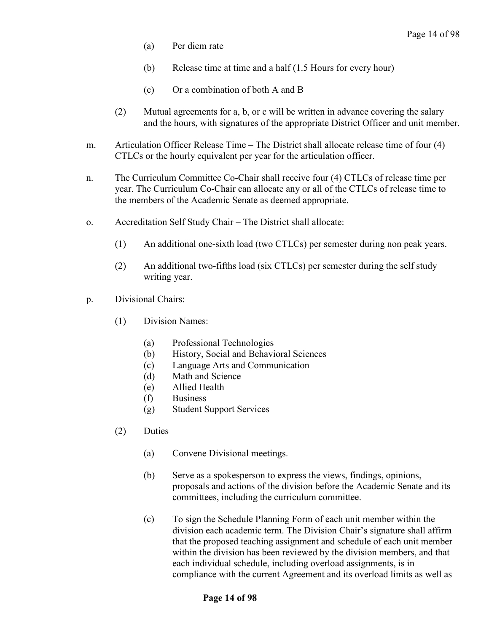- (a) Per diem rate
- (b) Release time at time and a half (1.5 Hours for every hour)
- (c) Or a combination of both A and B
- (2) Mutual agreements for a, b, or c will be written in advance covering the salary and the hours, with signatures of the appropriate District Officer and unit member.
- m. Articulation Officer Release Time The District shall allocate release time of four (4) CTLCs or the hourly equivalent per year for the articulation officer.
- n. The Curriculum Committee Co-Chair shall receive four (4) CTLCs of release time per year. The Curriculum Co-Chair can allocate any or all of the CTLCs of release time to the members of the Academic Senate as deemed appropriate.
- o. Accreditation Self Study Chair The District shall allocate:
	- (1) An additional one-sixth load (two CTLCs) per semester during non peak years.
	- (2) An additional two-fifths load (six CTLCs) per semester during the self study writing year.
- p. Divisional Chairs:
	- (1) Division Names:
		- (a) Professional Technologies
		- (b) History, Social and Behavioral Sciences
		- (c) Language Arts and Communication
		- (d) Math and Science
		- (e) Allied Health
		- (f) Business
		- (g) Student Support Services
	- (2) Duties
		- (a) Convene Divisional meetings.
		- (b) Serve as a spokesperson to express the views, findings, opinions, proposals and actions of the division before the Academic Senate and its committees, including the curriculum committee.
		- (c) To sign the Schedule Planning Form of each unit member within the division each academic term. The Division Chair's signature shall affirm that the proposed teaching assignment and schedule of each unit member within the division has been reviewed by the division members, and that each individual schedule, including overload assignments, is in compliance with the current Agreement and its overload limits as well as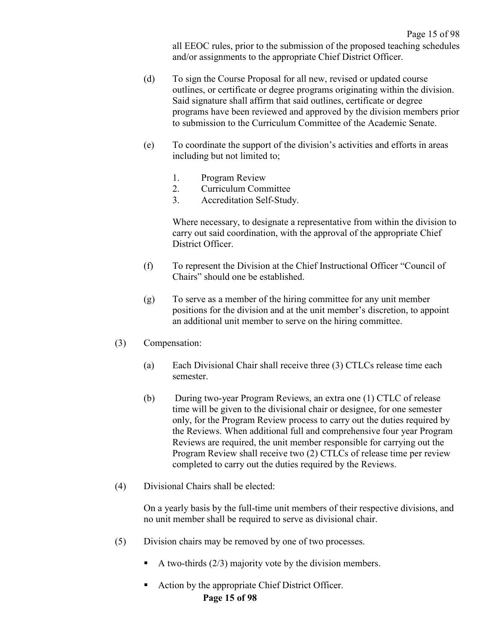all EEOC rules, prior to the submission of the proposed teaching schedules and/or assignments to the appropriate Chief District Officer.

- (d) To sign the Course Proposal for all new, revised or updated course outlines, or certificate or degree programs originating within the division. Said signature shall affirm that said outlines, certificate or degree programs have been reviewed and approved by the division members prior to submission to the Curriculum Committee of the Academic Senate.
- (e) To coordinate the support of the division's activities and efforts in areas including but not limited to;
	- 1. Program Review
	- 2. Curriculum Committee
	- 3. Accreditation Self-Study.

Where necessary, to designate a representative from within the division to carry out said coordination, with the approval of the appropriate Chief District Officer.

- (f) To represent the Division at the Chief Instructional Officer "Council of Chairs" should one be established.
- (g) To serve as a member of the hiring committee for any unit member positions for the division and at the unit member's discretion, to appoint an additional unit member to serve on the hiring committee.
- (3) Compensation:
	- (a) Each Divisional Chair shall receive three (3) CTLCs release time each semester.
	- (b) During two-year Program Reviews, an extra one (1) CTLC of release time will be given to the divisional chair or designee, for one semester only, for the Program Review process to carry out the duties required by the Reviews. When additional full and comprehensive four year Program Reviews are required, the unit member responsible for carrying out the Program Review shall receive two (2) CTLCs of release time per review completed to carry out the duties required by the Reviews.
- (4) Divisional Chairs shall be elected:

On a yearly basis by the full-time unit members of their respective divisions, and no unit member shall be required to serve as divisional chair.

- (5) Division chairs may be removed by one of two processes.
	- A two-thirds (2/3) majority vote by the division members.
	- **Page 15 of 98** ■ Action by the appropriate Chief District Officer.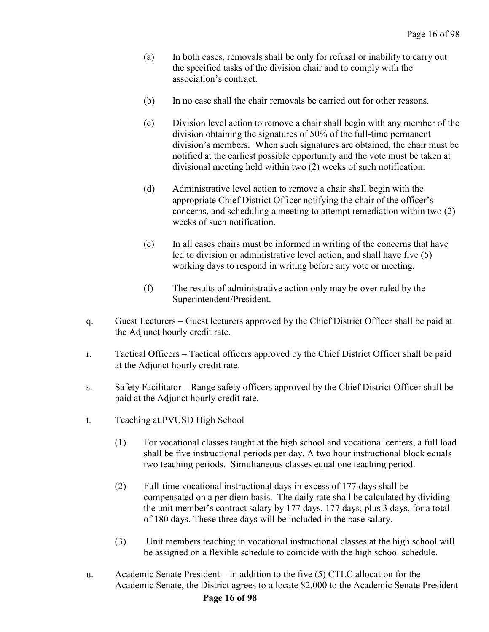- (a) In both cases, removals shall be only for refusal or inability to carry out the specified tasks of the division chair and to comply with the association's contract.
- (b) In no case shall the chair removals be carried out for other reasons.
- (c) Division level action to remove a chair shall begin with any member of the division obtaining the signatures of 50% of the full-time permanent division's members. When such signatures are obtained, the chair must be notified at the earliest possible opportunity and the vote must be taken at divisional meeting held within two (2) weeks of such notification.
- (d) Administrative level action to remove a chair shall begin with the appropriate Chief District Officer notifying the chair of the officer's concerns, and scheduling a meeting to attempt remediation within two (2) weeks of such notification.
- (e) In all cases chairs must be informed in writing of the concerns that have led to division or administrative level action, and shall have five (5) working days to respond in writing before any vote or meeting.
- (f) The results of administrative action only may be over ruled by the Superintendent/President.
- q. Guest Lecturers Guest lecturers approved by the Chief District Officer shall be paid at the Adjunct hourly credit rate.
- r. Tactical Officers Tactical officers approved by the Chief District Officer shall be paid at the Adjunct hourly credit rate.
- s. Safety Facilitator Range safety officers approved by the Chief District Officer shall be paid at the Adjunct hourly credit rate.
- t. Teaching at PVUSD High School
	- (1) For vocational classes taught at the high school and vocational centers, a full load shall be five instructional periods per day. A two hour instructional block equals two teaching periods. Simultaneous classes equal one teaching period.
	- (2) Full-time vocational instructional days in excess of 177 days shall be compensated on a per diem basis. The daily rate shall be calculated by dividing the unit member's contract salary by 177 days. 177 days, plus 3 days, for a total of 180 days. These three days will be included in the base salary.
	- (3) Unit members teaching in vocational instructional classes at the high school will be assigned on a flexible schedule to coincide with the high school schedule.
- u. Academic Senate President In addition to the five (5) CTLC allocation for the Academic Senate, the District agrees to allocate \$2,000 to the Academic Senate President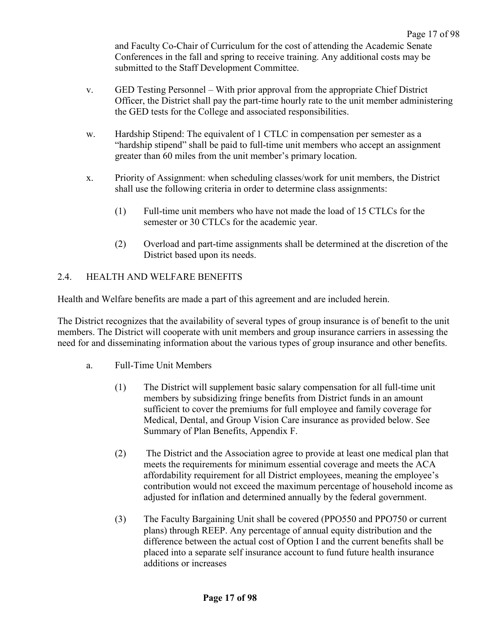and Faculty Co-Chair of Curriculum for the cost of attending the Academic Senate Conferences in the fall and spring to receive training. Any additional costs may be submitted to the Staff Development Committee.

- v. GED Testing Personnel With prior approval from the appropriate Chief District Officer, the District shall pay the part-time hourly rate to the unit member administering the GED tests for the College and associated responsibilities.
- w. Hardship Stipend: The equivalent of 1 CTLC in compensation per semester as a "hardship stipend" shall be paid to full-time unit members who accept an assignment greater than 60 miles from the unit member's primary location.
- x. Priority of Assignment: when scheduling classes/work for unit members, the District shall use the following criteria in order to determine class assignments:
	- (1) Full-time unit members who have not made the load of 15 CTLCs for the semester or 30 CTLCs for the academic year.
	- (2) Overload and part-time assignments shall be determined at the discretion of the District based upon its needs.

## <span id="page-20-0"></span>2.4. HEALTH AND WELFARE BENEFITS

Health and Welfare benefits are made a part of this agreement and are included herein.

The District recognizes that the availability of several types of group insurance is of benefit to the unit members. The District will cooperate with unit members and group insurance carriers in assessing the need for and disseminating information about the various types of group insurance and other benefits.

- a. Full-Time Unit Members
	- (1) The District will supplement basic salary compensation for all full-time unit members by subsidizing fringe benefits from District funds in an amount sufficient to cover the premiums for full employee and family coverage for Medical, Dental, and Group Vision Care insurance as provided below. See Summary of Plan Benefits, Appendix F.
	- (2) The District and the Association agree to provide at least one medical plan that meets the requirements for minimum essential coverage and meets the ACA affordability requirement for all District employees, meaning the employee's contribution would not exceed the maximum percentage of household income as adjusted for inflation and determined annually by the federal government.
	- (3) The Faculty Bargaining Unit shall be covered (PPO550 and PPO750 or current plans) through REEP. Any percentage of annual equity distribution and the difference between the actual cost of Option I and the current benefits shall be placed into a separate self insurance account to fund future health insurance additions or increases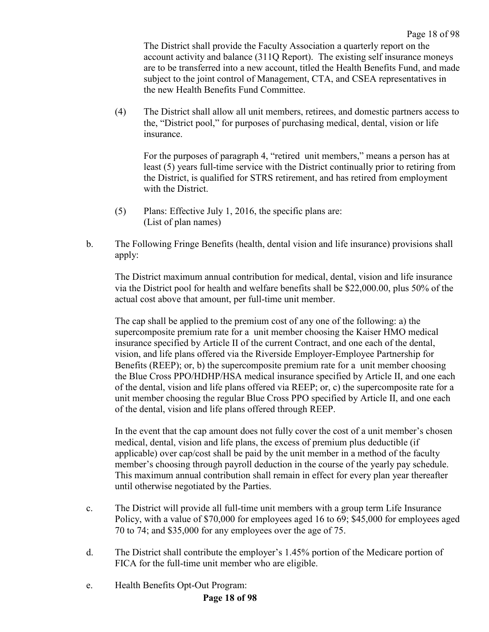The District shall provide the Faculty Association a quarterly report on the account activity and balance (311Q Report). The existing self insurance moneys are to be transferred into a new account, titled the Health Benefits Fund, and made subject to the joint control of Management, CTA, and CSEA representatives in the new Health Benefits Fund Committee.

(4) The District shall allow all unit members, retirees, and domestic partners access to the, "District pool," for purposes of purchasing medical, dental, vision or life insurance.

For the purposes of paragraph 4, "retired unit members," means a person has at least (5) years full-time service with the District continually prior to retiring from the District, is qualified for STRS retirement, and has retired from employment with the District.

- (5) Plans: Effective July 1, 2016, the specific plans are: (List of plan names)
- b. The Following Fringe Benefits (health, dental vision and life insurance) provisions shall apply:

The District maximum annual contribution for medical, dental, vision and life insurance via the District pool for health and welfare benefits shall be \$22,000.00, plus 50% of the actual cost above that amount, per full-time unit member.

The cap shall be applied to the premium cost of any one of the following: a) the supercomposite premium rate for a unit member choosing the Kaiser HMO medical insurance specified by Article II of the current Contract, and one each of the dental, vision, and life plans offered via the Riverside Employer-Employee Partnership for Benefits (REEP); or, b) the supercomposite premium rate for a unit member choosing the Blue Cross PPO/HDHP/HSA medical insurance specified by Article II, and one each of the dental, vision and life plans offered via REEP; or, c) the supercomposite rate for a unit member choosing the regular Blue Cross PPO specified by Article II, and one each of the dental, vision and life plans offered through REEP.

In the event that the cap amount does not fully cover the cost of a unit member's chosen medical, dental, vision and life plans, the excess of premium plus deductible (if applicable) over cap/cost shall be paid by the unit member in a method of the faculty member's choosing through payroll deduction in the course of the yearly pay schedule. This maximum annual contribution shall remain in effect for every plan year thereafter until otherwise negotiated by the Parties.

- c. The District will provide all full-time unit members with a group term Life Insurance Policy, with a value of \$70,000 for employees aged 16 to 69; \$45,000 for employees aged 70 to 74; and \$35,000 for any employees over the age of 75.
- d. The District shall contribute the employer's 1.45% portion of the Medicare portion of FICA for the full-time unit member who are eligible.
- e. Health Benefits Opt-Out Program:

## **Page 18 of 98**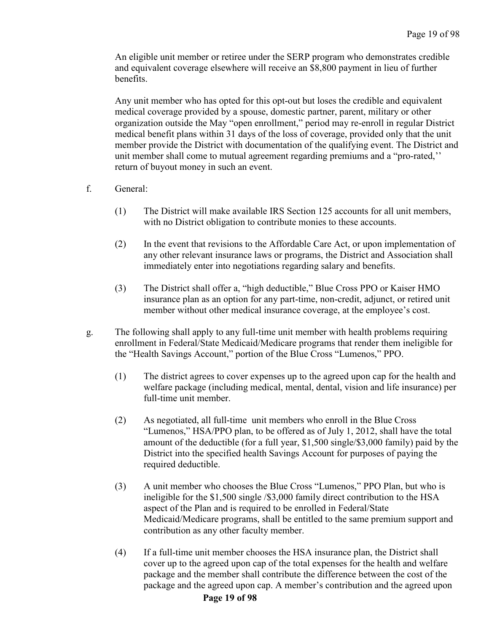An eligible unit member or retiree under the SERP program who demonstrates credible and equivalent coverage elsewhere will receive an \$8,800 payment in lieu of further benefits.

Any unit member who has opted for this opt-out but loses the credible and equivalent medical coverage provided by a spouse, domestic partner, parent, military or other organization outside the May "open enrollment," period may re-enroll in regular District medical benefit plans within 31 days of the loss of coverage, provided only that the unit member provide the District with documentation of the qualifying event. The District and unit member shall come to mutual agreement regarding premiums and a "pro-rated,'' return of buyout money in such an event.

- f. General:
	- (1) The District will make available IRS Section 125 accounts for all unit members, with no District obligation to contribute monies to these accounts.
	- (2) In the event that revisions to the Affordable Care Act, or upon implementation of any other relevant insurance laws or programs, the District and Association shall immediately enter into negotiations regarding salary and benefits.
	- (3) The District shall offer a, "high deductible," Blue Cross PPO or Kaiser HMO insurance plan as an option for any part-time, non-credit, adjunct, or retired unit member without other medical insurance coverage, at the employee's cost.
- g. The following shall apply to any full-time unit member with health problems requiring enrollment in Federal/State Medicaid/Medicare programs that render them ineligible for the "Health Savings Account," portion of the Blue Cross "Lumenos," PPO.
	- (1) The district agrees to cover expenses up to the agreed upon cap for the health and welfare package (including medical, mental, dental, vision and life insurance) per full-time unit member.
	- (2) As negotiated, all full-time unit members who enroll in the Blue Cross "Lumenos," HSA/PPO plan, to be offered as of July 1, 2012, shall have the total amount of the deductible (for a full year, \$1,500 single/\$3,000 family) paid by the District into the specified health Savings Account for purposes of paying the required deductible.
	- (3) A unit member who chooses the Blue Cross "Lumenos," PPO Plan, but who is ineligible for the \$1,500 single /\$3,000 family direct contribution to the HSA aspect of the Plan and is required to be enrolled in Federal/State Medicaid/Medicare programs, shall be entitled to the same premium support and contribution as any other faculty member.
	- (4) If a full-time unit member chooses the HSA insurance plan, the District shall cover up to the agreed upon cap of the total expenses for the health and welfare package and the member shall contribute the difference between the cost of the package and the agreed upon cap. A member's contribution and the agreed upon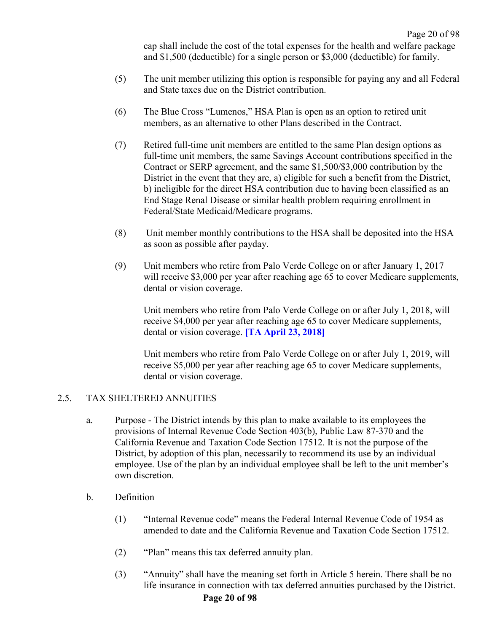cap shall include the cost of the total expenses for the health and welfare package and \$1,500 (deductible) for a single person or \$3,000 (deductible) for family.

- (5) The unit member utilizing this option is responsible for paying any and all Federal and State taxes due on the District contribution.
- (6) The Blue Cross "Lumenos," HSA Plan is open as an option to retired unit members, as an alternative to other Plans described in the Contract.
- (7) Retired full-time unit members are entitled to the same Plan design options as full-time unit members, the same Savings Account contributions specified in the Contract or SERP agreement, and the same \$1,500/\$3,000 contribution by the District in the event that they are, a) eligible for such a benefit from the District, b) ineligible for the direct HSA contribution due to having been classified as an End Stage Renal Disease or similar health problem requiring enrollment in Federal/State Medicaid/Medicare programs.
- (8) Unit member monthly contributions to the HSA shall be deposited into the HSA as soon as possible after payday.
- (9) Unit members who retire from Palo Verde College on or after January 1, 2017 will receive \$3,000 per year after reaching age 65 to cover Medicare supplements, dental or vision coverage.

Unit members who retire from Palo Verde College on or after July 1, 2018, will receive \$4,000 per year after reaching age 65 to cover Medicare supplements, dental or vision coverage. **[TA April 23, 2018]**

Unit members who retire from Palo Verde College on or after July 1, 2019, will receive \$5,000 per year after reaching age 65 to cover Medicare supplements, dental or vision coverage.

#### <span id="page-23-0"></span>2.5. TAX SHELTERED ANNUITIES

- a. Purpose The District intends by this plan to make available to its employees the provisions of Internal Revenue Code Section 403(b), Public Law 87-370 and the California Revenue and Taxation Code Section 17512. It is not the purpose of the District, by adoption of this plan, necessarily to recommend its use by an individual employee. Use of the plan by an individual employee shall be left to the unit member's own discretion.
- b. Definition
	- (1) "Internal Revenue code" means the Federal Internal Revenue Code of 1954 as amended to date and the California Revenue and Taxation Code Section 17512.
	- (2) "Plan" means this tax deferred annuity plan.
	- (3) "Annuity" shall have the meaning set forth in Article 5 herein. There shall be no life insurance in connection with tax deferred annuities purchased by the District.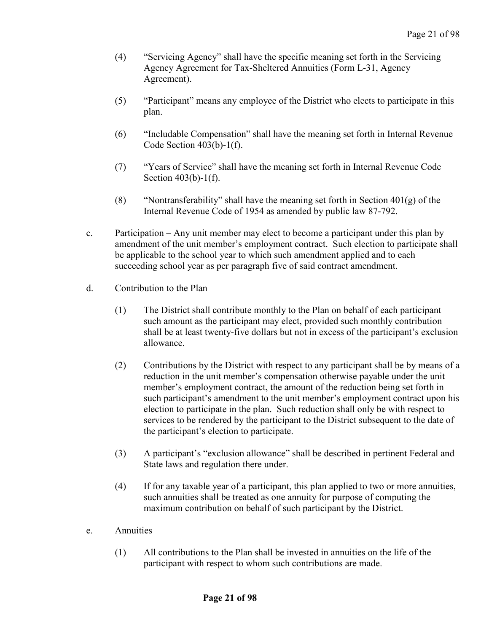- (4) "Servicing Agency" shall have the specific meaning set forth in the Servicing Agency Agreement for Tax-Sheltered Annuities (Form L-31, Agency Agreement).
- (5) "Participant" means any employee of the District who elects to participate in this plan.
- (6) "Includable Compensation" shall have the meaning set forth in Internal Revenue Code Section 403(b)-1(f).
- (7) "Years of Service" shall have the meaning set forth in Internal Revenue Code Section 403(b)-1(f).
- (8) "Nontransferability" shall have the meaning set forth in Section  $401(g)$  of the Internal Revenue Code of 1954 as amended by public law 87-792.
- c. Participation Any unit member may elect to become a participant under this plan by amendment of the unit member's employment contract. Such election to participate shall be applicable to the school year to which such amendment applied and to each succeeding school year as per paragraph five of said contract amendment.
- d. Contribution to the Plan
	- (1) The District shall contribute monthly to the Plan on behalf of each participant such amount as the participant may elect, provided such monthly contribution shall be at least twenty-five dollars but not in excess of the participant's exclusion allowance.
	- (2) Contributions by the District with respect to any participant shall be by means of a reduction in the unit member's compensation otherwise payable under the unit member's employment contract, the amount of the reduction being set forth in such participant's amendment to the unit member's employment contract upon his election to participate in the plan. Such reduction shall only be with respect to services to be rendered by the participant to the District subsequent to the date of the participant's election to participate.
	- (3) A participant's "exclusion allowance" shall be described in pertinent Federal and State laws and regulation there under.
	- (4) If for any taxable year of a participant, this plan applied to two or more annuities, such annuities shall be treated as one annuity for purpose of computing the maximum contribution on behalf of such participant by the District.
- e. Annuities
	- (1) All contributions to the Plan shall be invested in annuities on the life of the participant with respect to whom such contributions are made.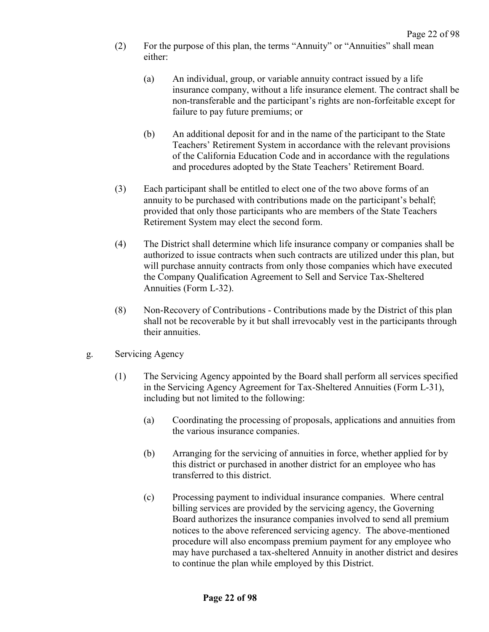- (2) For the purpose of this plan, the terms "Annuity" or "Annuities" shall mean either:
	- (a) An individual, group, or variable annuity contract issued by a life insurance company, without a life insurance element. The contract shall be non-transferable and the participant's rights are non-forfeitable except for failure to pay future premiums; or
	- (b) An additional deposit for and in the name of the participant to the State Teachers' Retirement System in accordance with the relevant provisions of the California Education Code and in accordance with the regulations and procedures adopted by the State Teachers' Retirement Board.
- (3) Each participant shall be entitled to elect one of the two above forms of an annuity to be purchased with contributions made on the participant's behalf; provided that only those participants who are members of the State Teachers Retirement System may elect the second form.
- (4) The District shall determine which life insurance company or companies shall be authorized to issue contracts when such contracts are utilized under this plan, but will purchase annuity contracts from only those companies which have executed the Company Qualification Agreement to Sell and Service Tax-Sheltered Annuities (Form L-32).
- (8) Non-Recovery of Contributions Contributions made by the District of this plan shall not be recoverable by it but shall irrevocably vest in the participants through their annuities.
- g. Servicing Agency
	- (1) The Servicing Agency appointed by the Board shall perform all services specified in the Servicing Agency Agreement for Tax-Sheltered Annuities (Form L-31), including but not limited to the following:
		- (a) Coordinating the processing of proposals, applications and annuities from the various insurance companies.
		- (b) Arranging for the servicing of annuities in force, whether applied for by this district or purchased in another district for an employee who has transferred to this district.
		- (c) Processing payment to individual insurance companies. Where central billing services are provided by the servicing agency, the Governing Board authorizes the insurance companies involved to send all premium notices to the above referenced servicing agency. The above-mentioned procedure will also encompass premium payment for any employee who may have purchased a tax-sheltered Annuity in another district and desires to continue the plan while employed by this District.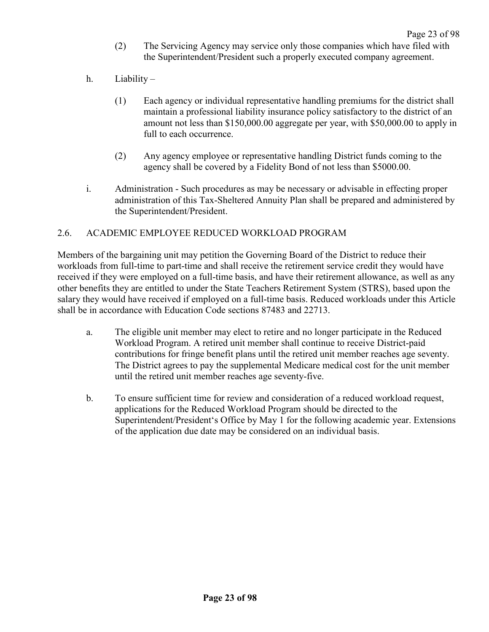- (2) The Servicing Agency may service only those companies which have filed with the Superintendent/President such a properly executed company agreement.
- h. Liability
	- (1) Each agency or individual representative handling premiums for the district shall maintain a professional liability insurance policy satisfactory to the district of an amount not less than \$150,000.00 aggregate per year, with \$50,000.00 to apply in full to each occurrence.
	- (2) Any agency employee or representative handling District funds coming to the agency shall be covered by a Fidelity Bond of not less than \$5000.00.
- i. Administration Such procedures as may be necessary or advisable in effecting proper administration of this Tax-Sheltered Annuity Plan shall be prepared and administered by the Superintendent/President.

## <span id="page-26-0"></span>2.6. ACADEMIC EMPLOYEE REDUCED WORKLOAD PROGRAM

Members of the bargaining unit may petition the Governing Board of the District to reduce their workloads from full-time to part-time and shall receive the retirement service credit they would have received if they were employed on a full-time basis, and have their retirement allowance, as well as any other benefits they are entitled to under the State Teachers Retirement System (STRS), based upon the salary they would have received if employed on a full-time basis. Reduced workloads under this Article shall be in accordance with Education Code sections 87483 and 22713.

- a. The eligible unit member may elect to retire and no longer participate in the Reduced Workload Program. A retired unit member shall continue to receive District-paid contributions for fringe benefit plans until the retired unit member reaches age seventy. The District agrees to pay the supplemental Medicare medical cost for the unit member until the retired unit member reaches age seventy-five.
- b. To ensure sufficient time for review and consideration of a reduced workload request, applications for the Reduced Workload Program should be directed to the Superintendent/President's Office by May 1 for the following academic year. Extensions of the application due date may be considered on an individual basis.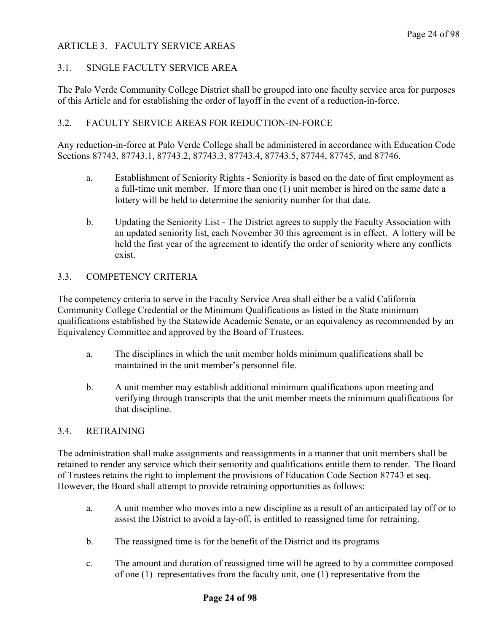## <span id="page-27-0"></span>ARTICLE 3. FACULTY SERVICE AREAS

## <span id="page-27-1"></span>3.1. SINGLE FACULTY SERVICE AREA

The Palo Verde Community College District shall be grouped into one faculty service area for purposes of this Article and for establishing the order of layoff in the event of a reduction-in-force.

## <span id="page-27-2"></span>3.2. FACULTY SERVICE AREAS FOR REDUCTION-IN-FORCE

Any reduction-in-force at Palo Verde College shall be administered in accordance with Education Code Sections 87743, 87743.1, 87743.2, 87743.3, 87743.4, 87743.5, 87744, 87745, and 87746.

- a. Establishment of Seniority Rights Seniority is based on the date of first employment as a full-time unit member. If more than one (1) unit member is hired on the same date a lottery will be held to determine the seniority number for that date.
- b. Updating the Seniority List The District agrees to supply the Faculty Association with an updated seniority list, each November 30 this agreement is in effect. A lottery will be held the first year of the agreement to identify the order of seniority where any conflicts exist.

## <span id="page-27-3"></span>3.3. COMPETENCY CRITERIA

The competency criteria to serve in the Faculty Service Area shall either be a valid California Community College Credential or the Minimum Qualifications as listed in the State minimum qualifications established by the Statewide Academic Senate, or an equivalency as recommended by an Equivalency Committee and approved by the Board of Trustees.

- a. The disciplines in which the unit member holds minimum qualifications shall be maintained in the unit member's personnel file.
- b. A unit member may establish additional minimum qualifications upon meeting and verifying through transcripts that the unit member meets the minimum qualifications for that discipline.

#### <span id="page-27-4"></span>3.4. RETRAINING

The administration shall make assignments and reassignments in a manner that unit members shall be retained to render any service which their seniority and qualifications entitle them to render. The Board of Trustees retains the right to implement the provisions of Education Code Section 87743 et seq. However, the Board shall attempt to provide retraining opportunities as follows:

- a. A unit member who moves into a new discipline as a result of an anticipated lay off or to assist the District to avoid a lay-off, is entitled to reassigned time for retraining.
- b. The reassigned time is for the benefit of the District and its programs
- c. The amount and duration of reassigned time will be agreed to by a committee composed of one (1) representatives from the faculty unit, one (1) representative from the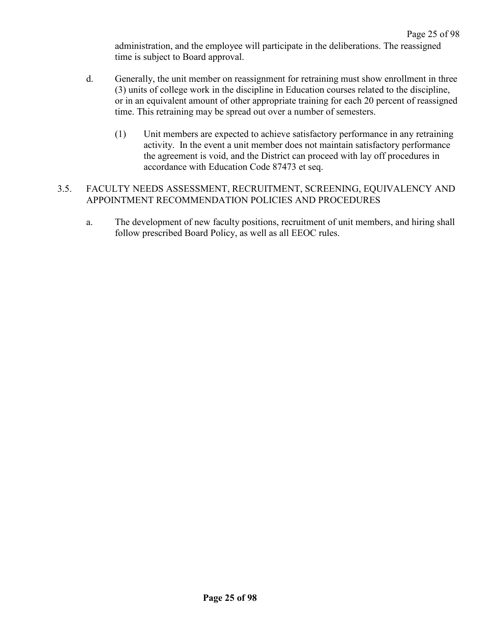administration, and the employee will participate in the deliberations. The reassigned time is subject to Board approval.

- d. Generally, the unit member on reassignment for retraining must show enrollment in three (3) units of college work in the discipline in Education courses related to the discipline, or in an equivalent amount of other appropriate training for each 20 percent of reassigned time. This retraining may be spread out over a number of semesters.
	- (1) Unit members are expected to achieve satisfactory performance in any retraining activity. In the event a unit member does not maintain satisfactory performance the agreement is void, and the District can proceed with lay off procedures in accordance with Education Code 87473 et seq.

## <span id="page-28-0"></span>3.5. FACULTY NEEDS ASSESSMENT, RECRUITMENT, SCREENING, EQUIVALENCY AND APPOINTMENT RECOMMENDATION POLICIES AND PROCEDURES

a. The development of new faculty positions, recruitment of unit members, and hiring shall follow prescribed Board Policy, as well as all EEOC rules.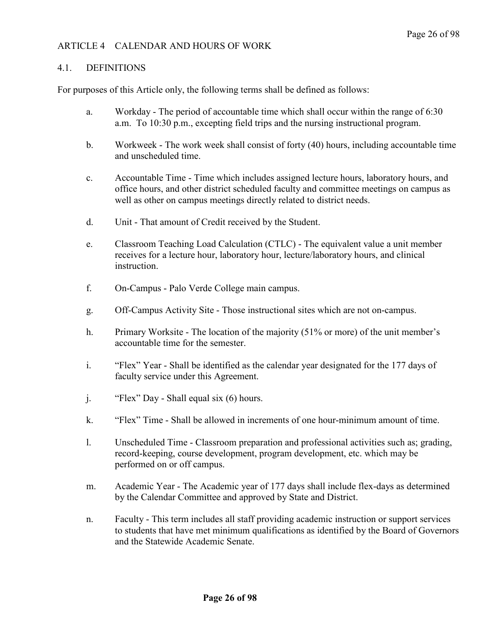## <span id="page-29-0"></span>ARTICLE 4 CALENDAR AND HOURS OF WORK

#### <span id="page-29-1"></span>4.1. DEFINITIONS

For purposes of this Article only, the following terms shall be defined as follows:

- a. Workday The period of accountable time which shall occur within the range of 6:30 a.m. To 10:30 p.m., excepting field trips and the nursing instructional program.
- b. Workweek The work week shall consist of forty (40) hours, including accountable time and unscheduled time.
- c. Accountable Time Time which includes assigned lecture hours, laboratory hours, and office hours, and other district scheduled faculty and committee meetings on campus as well as other on campus meetings directly related to district needs.
- d. Unit That amount of Credit received by the Student.
- e. Classroom Teaching Load Calculation (CTLC) The equivalent value a unit member receives for a lecture hour, laboratory hour, lecture/laboratory hours, and clinical instruction.
- f. On-Campus Palo Verde College main campus.
- g. Off-Campus Activity Site Those instructional sites which are not on-campus.
- h. Primary Worksite The location of the majority (51% or more) of the unit member's accountable time for the semester.
- i. "Flex" Year Shall be identified as the calendar year designated for the 177 days of faculty service under this Agreement.
- j. "Flex" Day Shall equal six (6) hours.
- k. "Flex" Time Shall be allowed in increments of one hour-minimum amount of time.
- l. Unscheduled Time Classroom preparation and professional activities such as; grading, record-keeping, course development, program development, etc. which may be performed on or off campus.
- m. Academic Year The Academic year of 177 days shall include flex-days as determined by the Calendar Committee and approved by State and District.
- n. Faculty This term includes all staff providing academic instruction or support services to students that have met minimum qualifications as identified by the Board of Governors and the Statewide Academic Senate.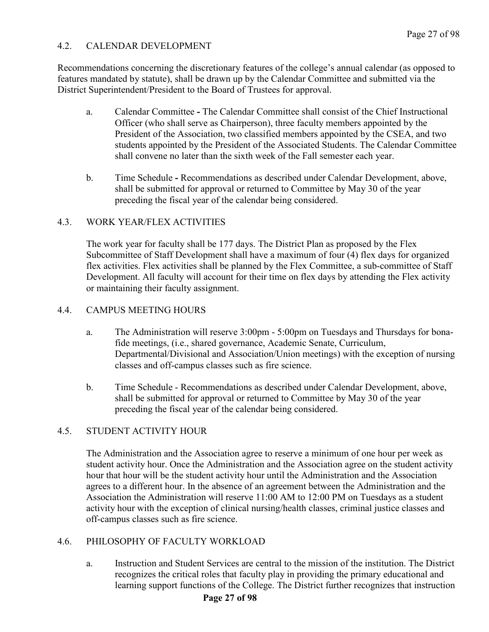## <span id="page-30-0"></span>4.2. CALENDAR DEVELOPMENT

Recommendations concerning the discretionary features of the college's annual calendar (as opposed to features mandated by statute), shall be drawn up by the Calendar Committee and submitted via the District Superintendent/President to the Board of Trustees for approval.

- a. Calendar Committee **-** The Calendar Committee shall consist of the Chief Instructional Officer (who shall serve as Chairperson), three faculty members appointed by the President of the Association, two classified members appointed by the CSEA, and two students appointed by the President of the Associated Students. The Calendar Committee shall convene no later than the sixth week of the Fall semester each year.
- b. Time Schedule **-** Recommendations as described under Calendar Development, above, shall be submitted for approval or returned to Committee by May 30 of the year preceding the fiscal year of the calendar being considered.

## <span id="page-30-1"></span>4.3. WORK YEAR/FLEX ACTIVITIES

The work year for faculty shall be 177 days. The District Plan as proposed by the Flex Subcommittee of Staff Development shall have a maximum of four (4) flex days for organized flex activities. Flex activities shall be planned by the Flex Committee, a sub-committee of Staff Development. All faculty will account for their time on flex days by attending the Flex activity or maintaining their faculty assignment.

## <span id="page-30-2"></span>4.4. CAMPUS MEETING HOURS

- a. The Administration will reserve 3:00pm 5:00pm on Tuesdays and Thursdays for bonafide meetings, (i.e., shared governance, Academic Senate, Curriculum, Departmental/Divisional and Association/Union meetings) with the exception of nursing classes and off-campus classes such as fire science.
- b. Time Schedule Recommendations as described under Calendar Development, above, shall be submitted for approval or returned to Committee by May 30 of the year preceding the fiscal year of the calendar being considered.

## <span id="page-30-3"></span>4.5. STUDENT ACTIVITY HOUR

The Administration and the Association agree to reserve a minimum of one hour per week as student activity hour. Once the Administration and the Association agree on the student activity hour that hour will be the student activity hour until the Administration and the Association agrees to a different hour. In the absence of an agreement between the Administration and the Association the Administration will reserve 11:00 AM to 12:00 PM on Tuesdays as a student activity hour with the exception of clinical nursing/health classes, criminal justice classes and off-campus classes such as fire science.

## <span id="page-30-4"></span>4.6. PHILOSOPHY OF FACULTY WORKLOAD

a. Instruction and Student Services are central to the mission of the institution. The District recognizes the critical roles that faculty play in providing the primary educational and learning support functions of the College. The District further recognizes that instruction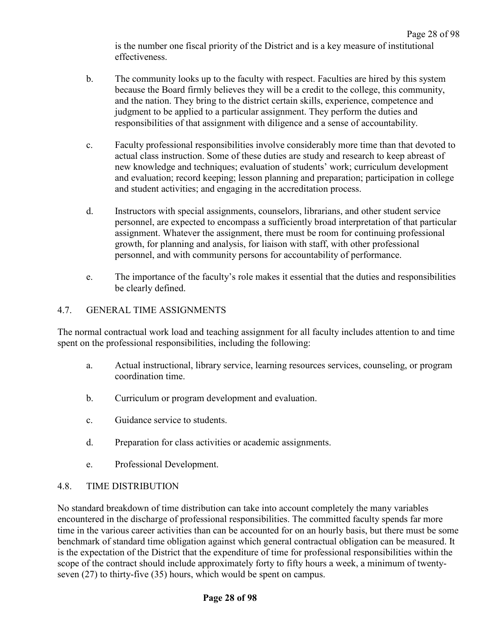Page 28 of 98 is the number one fiscal priority of the District and is a key measure of institutional effectiveness.

- b. The community looks up to the faculty with respect. Faculties are hired by this system because the Board firmly believes they will be a credit to the college, this community, and the nation. They bring to the district certain skills, experience, competence and judgment to be applied to a particular assignment. They perform the duties and responsibilities of that assignment with diligence and a sense of accountability.
- c. Faculty professional responsibilities involve considerably more time than that devoted to actual class instruction. Some of these duties are study and research to keep abreast of new knowledge and techniques; evaluation of students' work; curriculum development and evaluation; record keeping; lesson planning and preparation; participation in college and student activities; and engaging in the accreditation process.
- d. Instructors with special assignments, counselors, librarians, and other student service personnel, are expected to encompass a sufficiently broad interpretation of that particular assignment. Whatever the assignment, there must be room for continuing professional growth, for planning and analysis, for liaison with staff, with other professional personnel, and with community persons for accountability of performance.
- e. The importance of the faculty's role makes it essential that the duties and responsibilities be clearly defined.

## <span id="page-31-0"></span>4.7. GENERAL TIME ASSIGNMENTS

The normal contractual work load and teaching assignment for all faculty includes attention to and time spent on the professional responsibilities, including the following:

- a. Actual instructional, library service, learning resources services, counseling, or program coordination time.
- b. Curriculum or program development and evaluation.
- c. Guidance service to students.
- d. Preparation for class activities or academic assignments.
- e. Professional Development.

## <span id="page-31-1"></span>4.8. TIME DISTRIBUTION

No standard breakdown of time distribution can take into account completely the many variables encountered in the discharge of professional responsibilities. The committed faculty spends far more time in the various career activities than can be accounted for on an hourly basis, but there must be some benchmark of standard time obligation against which general contractual obligation can be measured. It is the expectation of the District that the expenditure of time for professional responsibilities within the scope of the contract should include approximately forty to fifty hours a week, a minimum of twentyseven (27) to thirty-five (35) hours, which would be spent on campus.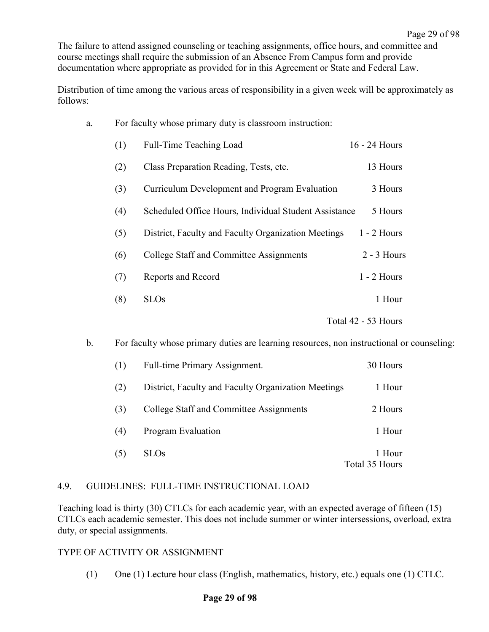The failure to attend assigned counseling or teaching assignments, office hours, and committee and course meetings shall require the submission of an Absence From Campus form and provide documentation where appropriate as provided for in this Agreement or State and Federal Law.

Distribution of time among the various areas of responsibility in a given week will be approximately as follows:

| a. | For faculty whose primary duty is classroom instruction: |                                                       |                     |
|----|----------------------------------------------------------|-------------------------------------------------------|---------------------|
|    | (1)                                                      | Full-Time Teaching Load                               | 16 - 24 Hours       |
|    | (2)                                                      | Class Preparation Reading, Tests, etc.                | 13 Hours            |
|    | (3)                                                      | Curriculum Development and Program Evaluation         | 3 Hours             |
|    | (4)                                                      | Scheduled Office Hours, Individual Student Assistance | 5 Hours             |
|    | (5)                                                      | District, Faculty and Faculty Organization Meetings   | $1 - 2$ Hours       |
|    | (6)                                                      | College Staff and Committee Assignments               | $2 - 3$ Hours       |
|    | (7)                                                      | Reports and Record                                    | $1 - 2$ Hours       |
|    | (8)                                                      | <b>SLOs</b>                                           | 1 Hour              |
|    |                                                          |                                                       | Total 42 - 53 Hours |

b. For faculty whose primary duties are learning resources, non instructional or counseling:

| (1) | Full-time Primary Assignment.                       | 30 Hours                 |
|-----|-----------------------------------------------------|--------------------------|
| (2) | District, Faculty and Faculty Organization Meetings | 1 Hour                   |
| (3) | College Staff and Committee Assignments             | 2 Hours                  |
| (4) | <b>Program Evaluation</b>                           | 1 Hour                   |
| (5) | <b>SLOs</b>                                         | 1 Hour<br>Total 35 Hours |

#### <span id="page-32-0"></span>4.9. GUIDELINES: FULL-TIME INSTRUCTIONAL LOAD

Teaching load is thirty (30) CTLCs for each academic year, with an expected average of fifteen (15) CTLCs each academic semester. This does not include summer or winter intersessions, overload, extra duty, or special assignments.

#### TYPE OF ACTIVITY OR ASSIGNMENT

(1) One (1) Lecture hour class (English, mathematics, history, etc.) equals one (1) CTLC.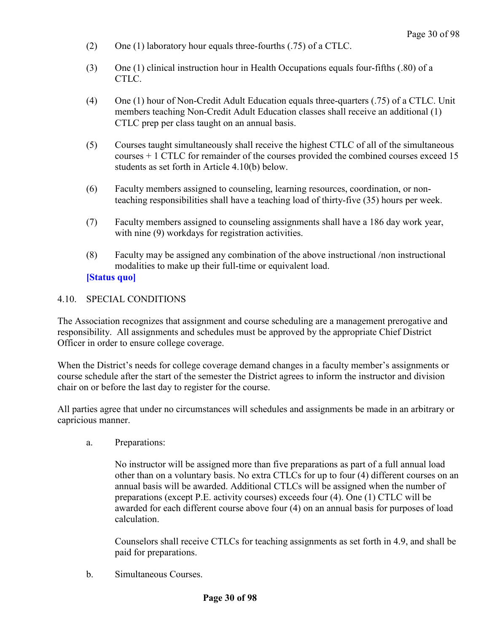- (2) One (1) laboratory hour equals three-fourths (.75) of a CTLC.
- (3) One (1) clinical instruction hour in Health Occupations equals four-fifths (.80) of a CTLC.
- (4) One (1) hour of Non-Credit Adult Education equals three-quarters (.75) of a CTLC. Unit members teaching Non-Credit Adult Education classes shall receive an additional (1) CTLC prep per class taught on an annual basis.
- (5) Courses taught simultaneously shall receive the highest CTLC of all of the simultaneous courses + 1 CTLC for remainder of the courses provided the combined courses exceed 15 students as set forth in Article 4.10(b) below.
- (6) Faculty members assigned to counseling, learning resources, coordination, or nonteaching responsibilities shall have a teaching load of thirty-five (35) hours per week.
- (7) Faculty members assigned to counseling assignments shall have a 186 day work year, with nine (9) workdays for registration activities.
- (8) Faculty may be assigned any combination of the above instructional /non instructional modalities to make up their full-time or equivalent load. **[Status quo]**

## <span id="page-33-0"></span>4.10. SPECIAL CONDITIONS

The Association recognizes that assignment and course scheduling are a management prerogative and responsibility. All assignments and schedules must be approved by the appropriate Chief District Officer in order to ensure college coverage.

When the District's needs for college coverage demand changes in a faculty member's assignments or course schedule after the start of the semester the District agrees to inform the instructor and division chair on or before the last day to register for the course.

All parties agree that under no circumstances will schedules and assignments be made in an arbitrary or capricious manner.

a. Preparations:

No instructor will be assigned more than five preparations as part of a full annual load other than on a voluntary basis. No extra CTLCs for up to four (4) different courses on an annual basis will be awarded. Additional CTLCs will be assigned when the number of preparations (except P.E. activity courses) exceeds four (4). One (1) CTLC will be awarded for each different course above four (4) on an annual basis for purposes of load calculation.

Counselors shall receive CTLCs for teaching assignments as set forth in 4.9, and shall be paid for preparations.

b. Simultaneous Courses.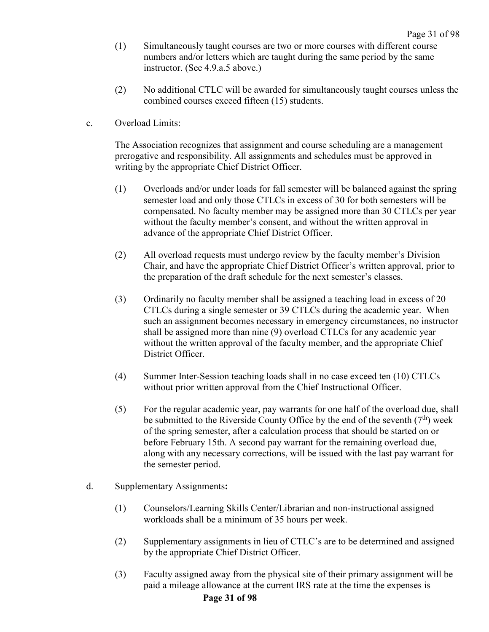- (1) Simultaneously taught courses are two or more courses with different course numbers and/or letters which are taught during the same period by the same instructor. (See 4.9.a.5 above.)
- (2) No additional CTLC will be awarded for simultaneously taught courses unless the combined courses exceed fifteen (15) students.
- c. Overload Limits:

The Association recognizes that assignment and course scheduling are a management prerogative and responsibility. All assignments and schedules must be approved in writing by the appropriate Chief District Officer.

- (1) Overloads and/or under loads for fall semester will be balanced against the spring semester load and only those CTLCs in excess of 30 for both semesters will be compensated. No faculty member may be assigned more than 30 CTLCs per year without the faculty member's consent, and without the written approval in advance of the appropriate Chief District Officer.
- (2) All overload requests must undergo review by the faculty member's Division Chair, and have the appropriate Chief District Officer's written approval, prior to the preparation of the draft schedule for the next semester's classes.
- (3) Ordinarily no faculty member shall be assigned a teaching load in excess of 20 CTLCs during a single semester or 39 CTLCs during the academic year. When such an assignment becomes necessary in emergency circumstances, no instructor shall be assigned more than nine (9) overload CTLCs for any academic year without the written approval of the faculty member, and the appropriate Chief District Officer.
- (4) Summer Inter-Session teaching loads shall in no case exceed ten (10) CTLCs without prior written approval from the Chief Instructional Officer.
- (5) For the regular academic year, pay warrants for one half of the overload due, shall be submitted to the Riverside County Office by the end of the seventh  $(7<sup>th</sup>)$  week of the spring semester, after a calculation process that should be started on or before February 15th. A second pay warrant for the remaining overload due, along with any necessary corrections, will be issued with the last pay warrant for the semester period.
- d. Supplementary Assignments**:**
	- (1) Counselors/Learning Skills Center/Librarian and non-instructional assigned workloads shall be a minimum of 35 hours per week.
	- (2) Supplementary assignments in lieu of CTLC's are to be determined and assigned by the appropriate Chief District Officer.
	- (3) Faculty assigned away from the physical site of their primary assignment will be paid a mileage allowance at the current IRS rate at the time the expenses is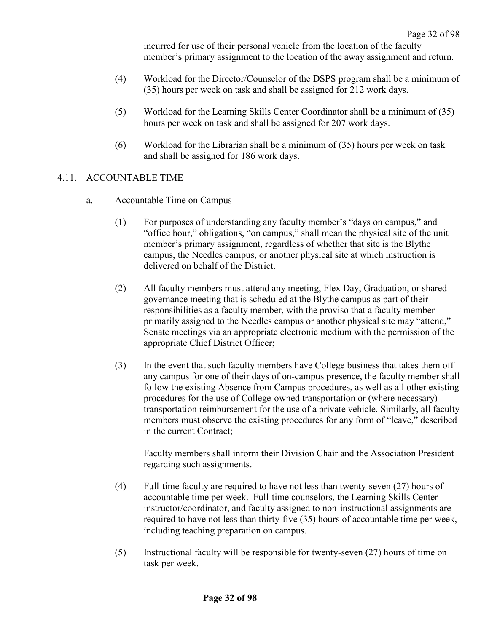incurred for use of their personal vehicle from the location of the faculty member's primary assignment to the location of the away assignment and return.

- (4) Workload for the Director/Counselor of the DSPS program shall be a minimum of (35) hours per week on task and shall be assigned for 212 work days.
- (5) Workload for the Learning Skills Center Coordinator shall be a minimum of (35) hours per week on task and shall be assigned for 207 work days.
- (6) Workload for the Librarian shall be a minimum of (35) hours per week on task and shall be assigned for 186 work days.

## <span id="page-35-0"></span>4.11. ACCOUNTABLE TIME

- a. Accountable Time on Campus
	- (1) For purposes of understanding any faculty member's "days on campus," and "office hour," obligations, "on campus," shall mean the physical site of the unit member's primary assignment, regardless of whether that site is the Blythe campus, the Needles campus, or another physical site at which instruction is delivered on behalf of the District.
	- (2) All faculty members must attend any meeting, Flex Day, Graduation, or shared governance meeting that is scheduled at the Blythe campus as part of their responsibilities as a faculty member, with the proviso that a faculty member primarily assigned to the Needles campus or another physical site may "attend," Senate meetings via an appropriate electronic medium with the permission of the appropriate Chief District Officer;
	- (3) In the event that such faculty members have College business that takes them off any campus for one of their days of on-campus presence, the faculty member shall follow the existing Absence from Campus procedures, as well as all other existing procedures for the use of College-owned transportation or (where necessary) transportation reimbursement for the use of a private vehicle. Similarly, all faculty members must observe the existing procedures for any form of "leave," described in the current Contract;

Faculty members shall inform their Division Chair and the Association President regarding such assignments.

- (4) Full-time faculty are required to have not less than twenty-seven (27) hours of accountable time per week. Full-time counselors, the Learning Skills Center instructor/coordinator, and faculty assigned to non-instructional assignments are required to have not less than thirty-five (35) hours of accountable time per week, including teaching preparation on campus.
- (5) Instructional faculty will be responsible for twenty-seven (27) hours of time on task per week.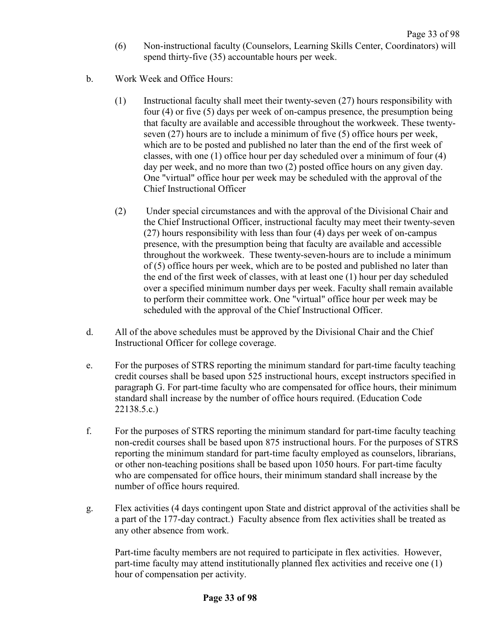- (6) Non-instructional faculty (Counselors, Learning Skills Center, Coordinators) will spend thirty-five (35) accountable hours per week.
- b. Work Week and Office Hours:
	- (1) Instructional faculty shall meet their twenty-seven (27) hours responsibility with four (4) or five (5) days per week of on-campus presence, the presumption being that faculty are available and accessible throughout the workweek. These twentyseven (27) hours are to include a minimum of five (5) office hours per week, which are to be posted and published no later than the end of the first week of classes, with one (1) office hour per day scheduled over a minimum of four (4) day per week, and no more than two (2) posted office hours on any given day. One "virtual" office hour per week may be scheduled with the approval of the Chief Instructional Officer
	- (2) Under special circumstances and with the approval of the Divisional Chair and the Chief Instructional Officer, instructional faculty may meet their twenty-seven (27) hours responsibility with less than four (4) days per week of on-campus presence, with the presumption being that faculty are available and accessible throughout the workweek. These twenty-seven-hours are to include a minimum of (5) office hours per week, which are to be posted and published no later than the end of the first week of classes, with at least one (1) hour per day scheduled over a specified minimum number days per week. Faculty shall remain available to perform their committee work. One "virtual" office hour per week may be scheduled with the approval of the Chief Instructional Officer.
- d. All of the above schedules must be approved by the Divisional Chair and the Chief Instructional Officer for college coverage.
- e. For the purposes of STRS reporting the minimum standard for part-time faculty teaching credit courses shall be based upon 525 instructional hours, except instructors specified in paragraph G. For part-time faculty who are compensated for office hours, their minimum standard shall increase by the number of office hours required. (Education Code 22138.5.c.)
- f. For the purposes of STRS reporting the minimum standard for part-time faculty teaching non-credit courses shall be based upon 875 instructional hours. For the purposes of STRS reporting the minimum standard for part-time faculty employed as counselors, librarians, or other non-teaching positions shall be based upon 1050 hours. For part-time faculty who are compensated for office hours, their minimum standard shall increase by the number of office hours required.
- g. Flex activities (4 days contingent upon State and district approval of the activities shall be a part of the 177-day contract.) Faculty absence from flex activities shall be treated as any other absence from work.

Part-time faculty members are not required to participate in flex activities. However, part-time faculty may attend institutionally planned flex activities and receive one (1) hour of compensation per activity.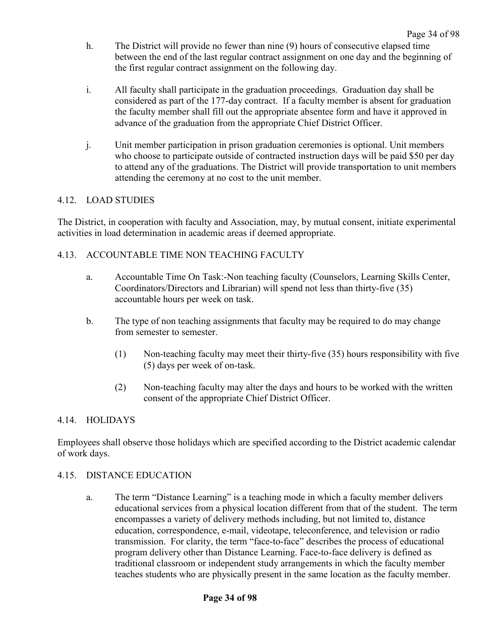- h. The District will provide no fewer than nine (9) hours of consecutive elapsed time between the end of the last regular contract assignment on one day and the beginning of the first regular contract assignment on the following day.
- i. All faculty shall participate in the graduation proceedings. Graduation day shall be considered as part of the 177-day contract. If a faculty member is absent for graduation the faculty member shall fill out the appropriate absentee form and have it approved in advance of the graduation from the appropriate Chief District Officer.
- j. Unit member participation in prison graduation ceremonies is optional. Unit members who choose to participate outside of contracted instruction days will be paid \$50 per day to attend any of the graduations. The District will provide transportation to unit members attending the ceremony at no cost to the unit member.

# 4.12. LOAD STUDIES

The District, in cooperation with faculty and Association, may, by mutual consent, initiate experimental activities in load determination in academic areas if deemed appropriate.

## 4.13. ACCOUNTABLE TIME NON TEACHING FACULTY

- a. Accountable Time On Task:-Non teaching faculty (Counselors, Learning Skills Center, Coordinators/Directors and Librarian) will spend not less than thirty-five (35) accountable hours per week on task.
- b. The type of non teaching assignments that faculty may be required to do may change from semester to semester.
	- (1) Non-teaching faculty may meet their thirty-five (35) hours responsibility with five (5) days per week of on-task.
	- (2) Non-teaching faculty may alter the days and hours to be worked with the written consent of the appropriate Chief District Officer.

## 4.14. HOLIDAYS

Employees shall observe those holidays which are specified according to the District academic calendar of work days.

### 4.15. DISTANCE EDUCATION

a. The term "Distance Learning" is a teaching mode in which a faculty member delivers educational services from a physical location different from that of the student. The term encompasses a variety of delivery methods including, but not limited to, distance education, correspondence, e-mail, videotape, teleconference, and television or radio transmission. For clarity, the term "face-to-face" describes the process of educational program delivery other than Distance Learning. Face-to-face delivery is defined as traditional classroom or independent study arrangements in which the faculty member teaches students who are physically present in the same location as the faculty member.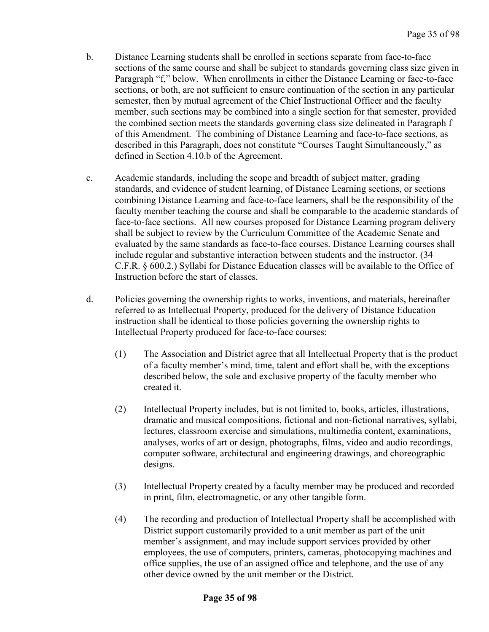- b. Distance Learning students shall be enrolled in sections separate from face-to-face sections of the same course and shall be subject to standards governing class size given in Paragraph "f," below. When enrollments in either the Distance Learning or face-to-face sections, or both, are not sufficient to ensure continuation of the section in any particular semester, then by mutual agreement of the Chief Instructional Officer and the faculty member, such sections may be combined into a single section for that semester, provided the combined section meets the standards governing class size delineated in Paragraph f of this Amendment. The combining of Distance Learning and face-to-face sections, as described in this Paragraph, does not constitute "Courses Taught Simultaneously," as defined in Section 4.10.b of the Agreement.
- c. Academic standards, including the scope and breadth of subject matter, grading standards, and evidence of student learning, of Distance Learning sections, or sections combining Distance Learning and face-to-face learners, shall be the responsibility of the faculty member teaching the course and shall be comparable to the academic standards of face-to-face sections. All new courses proposed for Distance Learning program delivery shall be subject to review by the Curriculum Committee of the Academic Senate and evaluated by the same standards as face-to-face courses. Distance Learning courses shall include regular and substantive interaction between students and the instructor. (34 C.F.R. § 600.2.) Syllabi for Distance Education classes will be available to the Office of Instruction before the start of classes.
- d. Policies governing the ownership rights to works, inventions, and materials, hereinafter referred to as Intellectual Property, produced for the delivery of Distance Education instruction shall be identical to those policies governing the ownership rights to Intellectual Property produced for face-to-face courses:
	- (1) The Association and District agree that all Intellectual Property that is the product of a faculty member's mind, time, talent and effort shall be, with the exceptions described below, the sole and exclusive property of the faculty member who created it.
	- (2) Intellectual Property includes, but is not limited to, books, articles, illustrations, dramatic and musical compositions, fictional and non-fictional narratives, syllabi, lectures, classroom exercise and simulations, multimedia content, examinations, analyses, works of art or design, photographs, films, video and audio recordings, computer software, architectural and engineering drawings, and choreographic designs.
	- (3) Intellectual Property created by a faculty member may be produced and recorded in print, film, electromagnetic, or any other tangible form.
	- (4) The recording and production of Intellectual Property shall be accomplished with District support customarily provided to a unit member as part of the unit member's assignment, and may include support services provided by other employees, the use of computers, printers, cameras, photocopying machines and office supplies, the use of an assigned office and telephone, and the use of any other device owned by the unit member or the District.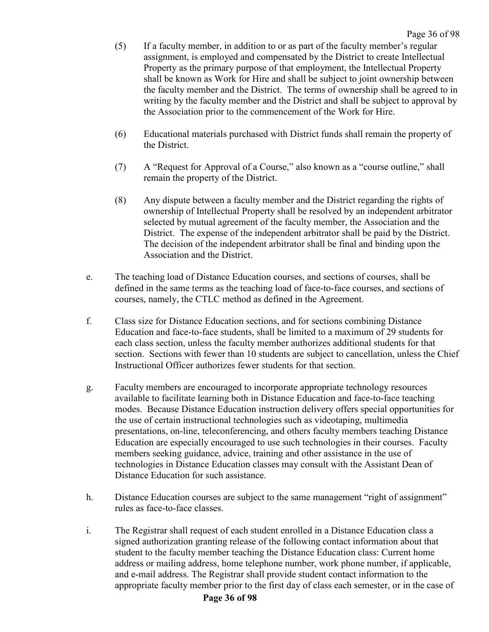- (5) If a faculty member, in addition to or as part of the faculty member's regular assignment, is employed and compensated by the District to create Intellectual Property as the primary purpose of that employment, the Intellectual Property shall be known as Work for Hire and shall be subject to joint ownership between the faculty member and the District. The terms of ownership shall be agreed to in writing by the faculty member and the District and shall be subject to approval by the Association prior to the commencement of the Work for Hire.
- (6) Educational materials purchased with District funds shall remain the property of the District.
- (7) A "Request for Approval of a Course," also known as a "course outline," shall remain the property of the District.
- (8) Any dispute between a faculty member and the District regarding the rights of ownership of Intellectual Property shall be resolved by an independent arbitrator selected by mutual agreement of the faculty member, the Association and the District. The expense of the independent arbitrator shall be paid by the District. The decision of the independent arbitrator shall be final and binding upon the Association and the District.
- e. The teaching load of Distance Education courses, and sections of courses, shall be defined in the same terms as the teaching load of face-to-face courses, and sections of courses, namely, the CTLC method as defined in the Agreement.
- f. Class size for Distance Education sections, and for sections combining Distance Education and face-to-face students, shall be limited to a maximum of 29 students for each class section, unless the faculty member authorizes additional students for that section. Sections with fewer than 10 students are subject to cancellation, unless the Chief Instructional Officer authorizes fewer students for that section.
- g. Faculty members are encouraged to incorporate appropriate technology resources available to facilitate learning both in Distance Education and face-to-face teaching modes. Because Distance Education instruction delivery offers special opportunities for the use of certain instructional technologies such as videotaping, multimedia presentations, on-line, teleconferencing, and others faculty members teaching Distance Education are especially encouraged to use such technologies in their courses. Faculty members seeking guidance, advice, training and other assistance in the use of technologies in Distance Education classes may consult with the Assistant Dean of Distance Education for such assistance.
- h. Distance Education courses are subject to the same management "right of assignment" rules as face-to-face classes.
- i. The Registrar shall request of each student enrolled in a Distance Education class a signed authorization granting release of the following contact information about that student to the faculty member teaching the Distance Education class: Current home address or mailing address, home telephone number, work phone number, if applicable, and e-mail address. The Registrar shall provide student contact information to the appropriate faculty member prior to the first day of class each semester, or in the case of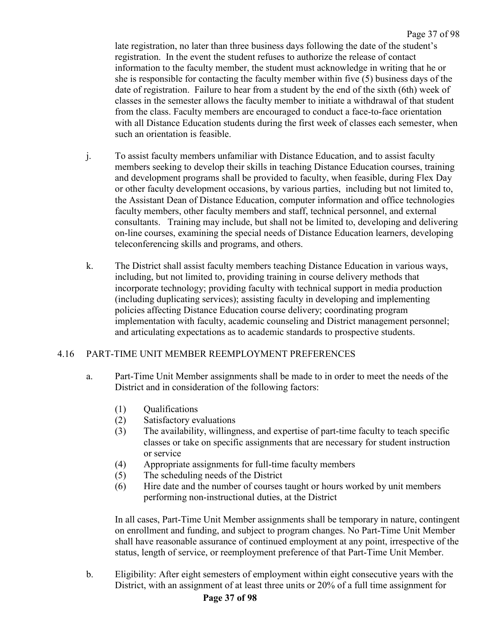late registration, no later than three business days following the date of the student's registration. In the event the student refuses to authorize the release of contact information to the faculty member, the student must acknowledge in writing that he or she is responsible for contacting the faculty member within five (5) business days of the date of registration. Failure to hear from a student by the end of the sixth (6th) week of classes in the semester allows the faculty member to initiate a withdrawal of that student from the class. Faculty members are encouraged to conduct a face-to-face orientation with all Distance Education students during the first week of classes each semester, when such an orientation is feasible.

- j. To assist faculty members unfamiliar with Distance Education, and to assist faculty members seeking to develop their skills in teaching Distance Education courses, training and development programs shall be provided to faculty, when feasible, during Flex Day or other faculty development occasions, by various parties, including but not limited to, the Assistant Dean of Distance Education, computer information and office technologies faculty members, other faculty members and staff, technical personnel, and external consultants. Training may include, but shall not be limited to, developing and delivering on-line courses, examining the special needs of Distance Education learners, developing teleconferencing skills and programs, and others.
- k. The District shall assist faculty members teaching Distance Education in various ways, including, but not limited to, providing training in course delivery methods that incorporate technology; providing faculty with technical support in media production (including duplicating services); assisting faculty in developing and implementing policies affecting Distance Education course delivery; coordinating program implementation with faculty, academic counseling and District management personnel; and articulating expectations as to academic standards to prospective students.

## 4.16 PART-TIME UNIT MEMBER REEMPLOYMENT PREFERENCES

- a. Part-Time Unit Member assignments shall be made to in order to meet the needs of the District and in consideration of the following factors:
	- (1) Qualifications
	- (2) Satisfactory evaluations
	- (3) The availability, willingness, and expertise of part-time faculty to teach specific classes or take on specific assignments that are necessary for student instruction or service
	- (4) Appropriate assignments for full-time faculty members
	- (5) The scheduling needs of the District
	- (6) Hire date and the number of courses taught or hours worked by unit members performing non-instructional duties, at the District

In all cases, Part-Time Unit Member assignments shall be temporary in nature, contingent on enrollment and funding, and subject to program changes. No Part-Time Unit Member shall have reasonable assurance of continued employment at any point, irrespective of the status, length of service, or reemployment preference of that Part-Time Unit Member.

b. Eligibility: After eight semesters of employment within eight consecutive years with the District, with an assignment of at least three units or 20% of a full time assignment for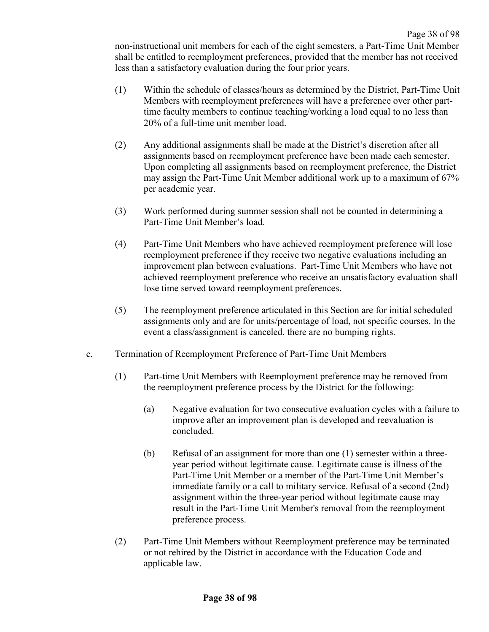non-instructional unit members for each of the eight semesters, a Part-Time Unit Member shall be entitled to reemployment preferences, provided that the member has not received less than a satisfactory evaluation during the four prior years.

- (1) Within the schedule of classes/hours as determined by the District, Part-Time Unit Members with reemployment preferences will have a preference over other parttime faculty members to continue teaching/working a load equal to no less than 20% of a full-time unit member load.
- (2) Any additional assignments shall be made at the District's discretion after all assignments based on reemployment preference have been made each semester. Upon completing all assignments based on reemployment preference, the District may assign the Part-Time Unit Member additional work up to a maximum of 67% per academic year.
- (3) Work performed during summer session shall not be counted in determining a Part-Time Unit Member's load.
- (4) Part-Time Unit Members who have achieved reemployment preference will lose reemployment preference if they receive two negative evaluations including an improvement plan between evaluations. Part-Time Unit Members who have not achieved reemployment preference who receive an unsatisfactory evaluation shall lose time served toward reemployment preferences.
- (5) The reemployment preference articulated in this Section are for initial scheduled assignments only and are for units/percentage of load, not specific courses. In the event a class/assignment is canceled, there are no bumping rights.
- c. Termination of Reemployment Preference of Part-Time Unit Members
	- (1) Part-time Unit Members with Reemployment preference may be removed from the reemployment preference process by the District for the following:
		- (a) Negative evaluation for two consecutive evaluation cycles with a failure to improve after an improvement plan is developed and reevaluation is concluded.
		- (b) Refusal of an assignment for more than one (1) semester within a threeyear period without legitimate cause. Legitimate cause is illness of the Part-Time Unit Member or a member of the Part-Time Unit Member's immediate family or a call to military service. Refusal of a second (2nd) assignment within the three-year period without legitimate cause may result in the Part-Time Unit Member's removal from the reemployment preference process.
	- (2) Part-Time Unit Members without Reemployment preference may be terminated or not rehired by the District in accordance with the Education Code and applicable law.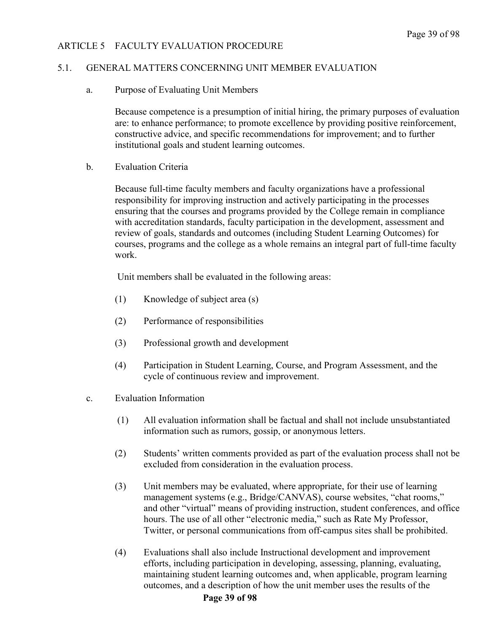## ARTICLE 5 FACULTY EVALUATION PROCEDURE

#### 5.1. GENERAL MATTERS CONCERNING UNIT MEMBER EVALUATION

a. Purpose of Evaluating Unit Members

Because competence is a presumption of initial hiring, the primary purposes of evaluation are: to enhance performance; to promote excellence by providing positive reinforcement, constructive advice, and specific recommendations for improvement; and to further institutional goals and student learning outcomes.

b. Evaluation Criteria

Because full-time faculty members and faculty organizations have a professional responsibility for improving instruction and actively participating in the processes ensuring that the courses and programs provided by the College remain in compliance with accreditation standards, faculty participation in the development, assessment and review of goals, standards and outcomes (including Student Learning Outcomes) for courses, programs and the college as a whole remains an integral part of full-time faculty work.

Unit members shall be evaluated in the following areas:

- (1) Knowledge of subject area (s)
- (2) Performance of responsibilities
- (3) Professional growth and development
- (4) Participation in Student Learning, Course, and Program Assessment, and the cycle of continuous review and improvement.
- c. Evaluation Information
	- (1) All evaluation information shall be factual and shall not include unsubstantiated information such as rumors, gossip, or anonymous letters.
	- (2) Students' written comments provided as part of the evaluation process shall not be excluded from consideration in the evaluation process.
	- (3) Unit members may be evaluated, where appropriate, for their use of learning management systems (e.g., Bridge/CANVAS), course websites, "chat rooms," and other "virtual" means of providing instruction, student conferences, and office hours. The use of all other "electronic media," such as Rate My Professor, Twitter, or personal communications from off-campus sites shall be prohibited.
	- (4) Evaluations shall also include Instructional development and improvement efforts, including participation in developing, assessing, planning, evaluating, maintaining student learning outcomes and, when applicable, program learning outcomes, and a description of how the unit member uses the results of the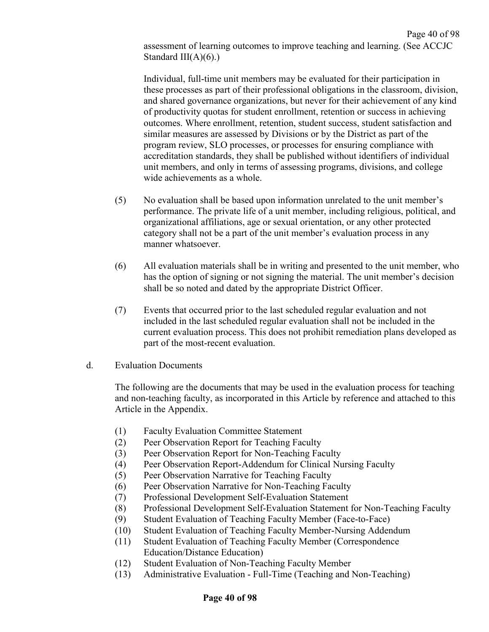Page 40 of 98 assessment of learning outcomes to improve teaching and learning. (See ACCJC Standard  $III(A)(6)$ .)

Individual, full-time unit members may be evaluated for their participation in these processes as part of their professional obligations in the classroom, division, and shared governance organizations, but never for their achievement of any kind of productivity quotas for student enrollment, retention or success in achieving outcomes. Where enrollment, retention, student success, student satisfaction and similar measures are assessed by Divisions or by the District as part of the program review, SLO processes, or processes for ensuring compliance with accreditation standards, they shall be published without identifiers of individual unit members, and only in terms of assessing programs, divisions, and college wide achievements as a whole.

- (5) No evaluation shall be based upon information unrelated to the unit member's performance. The private life of a unit member, including religious, political, and organizational affiliations, age or sexual orientation, or any other protected category shall not be a part of the unit member's evaluation process in any manner whatsoever.
- (6) All evaluation materials shall be in writing and presented to the unit member, who has the option of signing or not signing the material. The unit member's decision shall be so noted and dated by the appropriate District Officer.
- (7) Events that occurred prior to the last scheduled regular evaluation and not included in the last scheduled regular evaluation shall not be included in the current evaluation process. This does not prohibit remediation plans developed as part of the most-recent evaluation.
- d. Evaluation Documents

The following are the documents that may be used in the evaluation process for teaching and non-teaching faculty, as incorporated in this Article by reference and attached to this Article in the Appendix.

- (1) Faculty Evaluation Committee Statement
- (2) Peer Observation Report for Teaching Faculty
- (3) Peer Observation Report for Non-Teaching Faculty
- (4) Peer Observation Report-Addendum for Clinical Nursing Faculty
- (5) Peer Observation Narrative for Teaching Faculty
- (6) Peer Observation Narrative for Non-Teaching Faculty
- (7) Professional Development Self-Evaluation Statement
- (8) Professional Development Self-Evaluation Statement for Non-Teaching Faculty
- (9) Student Evaluation of Teaching Faculty Member (Face-to-Face)
- (10) Student Evaluation of Teaching Faculty Member-Nursing Addendum
- (11) Student Evaluation of Teaching Faculty Member (Correspondence Education/Distance Education)
- (12) Student Evaluation of Non-Teaching Faculty Member
- (13) Administrative Evaluation Full-Time (Teaching and Non-Teaching)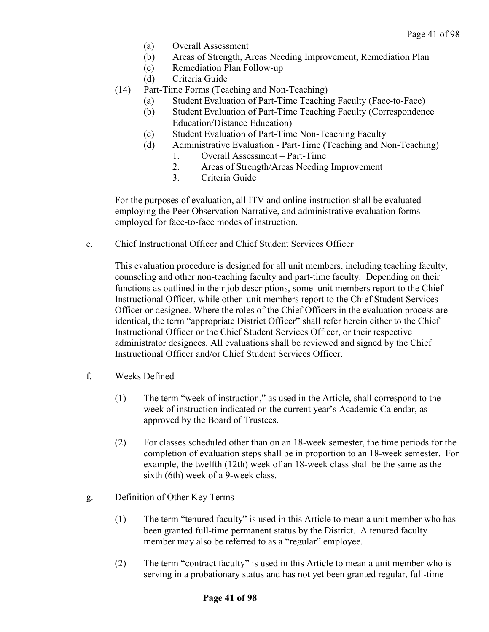- (a) Overall Assessment
- (b) Areas of Strength, Areas Needing Improvement, Remediation Plan
- (c) Remediation Plan Follow-up
- (d) Criteria Guide
- (14) Part-Time Forms (Teaching and Non-Teaching)
	- (a) Student Evaluation of Part-Time Teaching Faculty (Face-to-Face)
	- (b) Student Evaluation of Part-Time Teaching Faculty (Correspondence Education/Distance Education)
	- (c) Student Evaluation of Part-Time Non-Teaching Faculty
	- (d) Administrative Evaluation Part-Time (Teaching and Non-Teaching)
		- 1. Overall Assessment Part-Time
		- 2. Areas of Strength/Areas Needing Improvement
		- 3. Criteria Guide

For the purposes of evaluation, all ITV and online instruction shall be evaluated employing the Peer Observation Narrative, and administrative evaluation forms employed for face-to-face modes of instruction.

e. Chief Instructional Officer and Chief Student Services Officer

This evaluation procedure is designed for all unit members, including teaching faculty, counseling and other non-teaching faculty and part-time faculty. Depending on their functions as outlined in their job descriptions, some unit members report to the Chief Instructional Officer, while other unit members report to the Chief Student Services Officer or designee. Where the roles of the Chief Officers in the evaluation process are identical, the term "appropriate District Officer" shall refer herein either to the Chief Instructional Officer or the Chief Student Services Officer, or their respective administrator designees. All evaluations shall be reviewed and signed by the Chief Instructional Officer and/or Chief Student Services Officer.

- f. Weeks Defined
	- (1) The term "week of instruction," as used in the Article, shall correspond to the week of instruction indicated on the current year's Academic Calendar, as approved by the Board of Trustees.
	- (2) For classes scheduled other than on an 18-week semester, the time periods for the completion of evaluation steps shall be in proportion to an 18-week semester. For example, the twelfth (12th) week of an 18-week class shall be the same as the sixth (6th) week of a 9-week class.
- g. Definition of Other Key Terms
	- (1) The term "tenured faculty" is used in this Article to mean a unit member who has been granted full-time permanent status by the District. A tenured faculty member may also be referred to as a "regular" employee.
	- (2) The term "contract faculty" is used in this Article to mean a unit member who is serving in a probationary status and has not yet been granted regular, full-time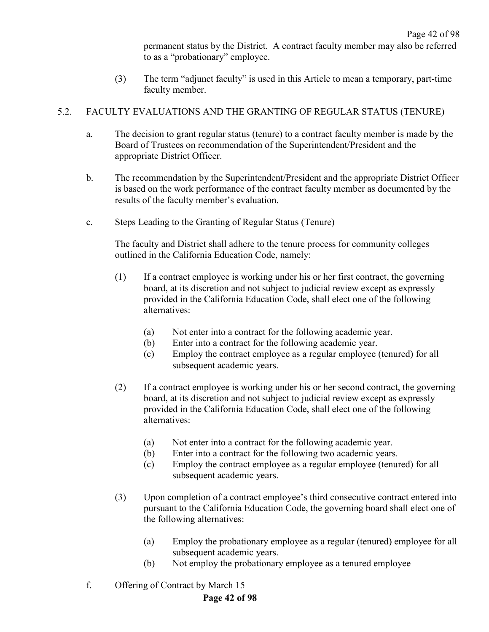permanent status by the District. A contract faculty member may also be referred to as a "probationary" employee.

(3) The term "adjunct faculty" is used in this Article to mean a temporary, part-time faculty member.

## 5.2. FACULTY EVALUATIONS AND THE GRANTING OF REGULAR STATUS (TENURE)

- a. The decision to grant regular status (tenure) to a contract faculty member is made by the Board of Trustees on recommendation of the Superintendent/President and the appropriate District Officer.
- b. The recommendation by the Superintendent/President and the appropriate District Officer is based on the work performance of the contract faculty member as documented by the results of the faculty member's evaluation.
- c. Steps Leading to the Granting of Regular Status (Tenure)

The faculty and District shall adhere to the tenure process for community colleges outlined in the California Education Code, namely:

- (1) If a contract employee is working under his or her first contract, the governing board, at its discretion and not subject to judicial review except as expressly provided in the California Education Code, shall elect one of the following alternatives:
	- (a) Not enter into a contract for the following academic year.
	- (b) Enter into a contract for the following academic year.
	- (c) Employ the contract employee as a regular employee (tenured) for all subsequent academic years.
- (2) If a contract employee is working under his or her second contract, the governing board, at its discretion and not subject to judicial review except as expressly provided in the California Education Code, shall elect one of the following alternatives:
	- (a) Not enter into a contract for the following academic year.
	- (b) Enter into a contract for the following two academic years.
	- (c) Employ the contract employee as a regular employee (tenured) for all subsequent academic years.
- (3) Upon completion of a contract employee's third consecutive contract entered into pursuant to the California Education Code, the governing board shall elect one of the following alternatives:
	- (a) Employ the probationary employee as a regular (tenured) employee for all subsequent academic years.
	- (b) Not employ the probationary employee as a tenured employee
- f. Offering of Contract by March 15

# **Page 42 of 98**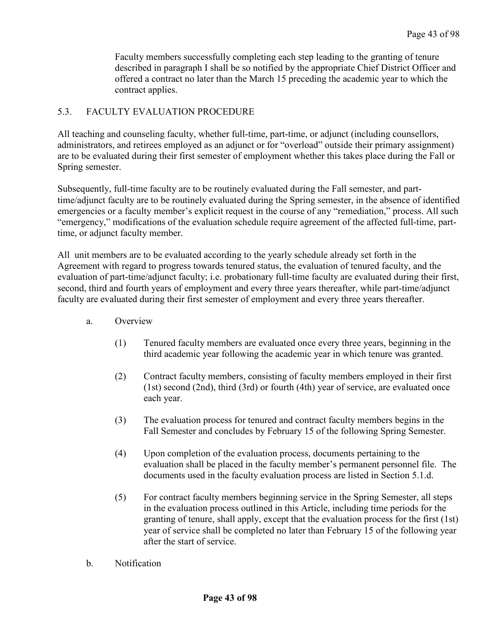Faculty members successfully completing each step leading to the granting of tenure described in paragraph I shall be so notified by the appropriate Chief District Officer and offered a contract no later than the March 15 preceding the academic year to which the contract applies.

## 5.3. FACULTY EVALUATION PROCEDURE

All teaching and counseling faculty, whether full-time, part-time, or adjunct (including counsellors, administrators, and retirees employed as an adjunct or for "overload" outside their primary assignment) are to be evaluated during their first semester of employment whether this takes place during the Fall or Spring semester.

Subsequently, full-time faculty are to be routinely evaluated during the Fall semester, and parttime/adjunct faculty are to be routinely evaluated during the Spring semester, in the absence of identified emergencies or a faculty member's explicit request in the course of any "remediation," process. All such "emergency," modifications of the evaluation schedule require agreement of the affected full-time, parttime, or adjunct faculty member.

All unit members are to be evaluated according to the yearly schedule already set forth in the Agreement with regard to progress towards tenured status, the evaluation of tenured faculty, and the evaluation of part-time/adjunct faculty; i.e. probationary full-time faculty are evaluated during their first, second, third and fourth years of employment and every three years thereafter, while part-time/adjunct faculty are evaluated during their first semester of employment and every three years thereafter.

- a. Overview
	- (1) Tenured faculty members are evaluated once every three years, beginning in the third academic year following the academic year in which tenure was granted.
	- (2) Contract faculty members, consisting of faculty members employed in their first (1st) second (2nd), third (3rd) or fourth (4th) year of service, are evaluated once each year.
	- (3) The evaluation process for tenured and contract faculty members begins in the Fall Semester and concludes by February 15 of the following Spring Semester.
	- (4) Upon completion of the evaluation process, documents pertaining to the evaluation shall be placed in the faculty member's permanent personnel file. The documents used in the faculty evaluation process are listed in Section 5.1.d.
	- (5) For contract faculty members beginning service in the Spring Semester, all steps in the evaluation process outlined in this Article, including time periods for the granting of tenure, shall apply, except that the evaluation process for the first (1st) year of service shall be completed no later than February 15 of the following year after the start of service.
- b. Notification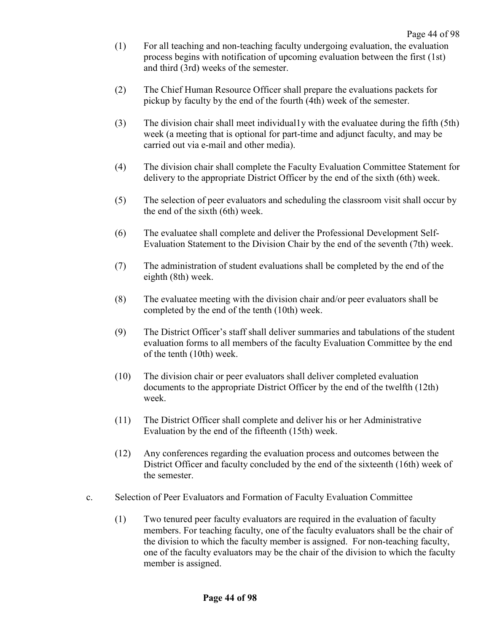- (1) For all teaching and non-teaching faculty undergoing evaluation, the evaluation process begins with notification of upcoming evaluation between the first (1st) and third (3rd) weeks of the semester.
- (2) The Chief Human Resource Officer shall prepare the evaluations packets for pickup by faculty by the end of the fourth (4th) week of the semester.
- (3) The division chair shall meet individual1y with the evaluatee during the fifth (5th) week (a meeting that is optional for part-time and adjunct faculty, and may be carried out via e-mail and other media).
- (4) The division chair shall complete the Faculty Evaluation Committee Statement for delivery to the appropriate District Officer by the end of the sixth (6th) week.
- (5) The selection of peer evaluators and scheduling the classroom visit shall occur by the end of the sixth (6th) week.
- (6) The evaluatee shall complete and deliver the Professional Development Self-Evaluation Statement to the Division Chair by the end of the seventh (7th) week.
- (7) The administration of student evaluations shall be completed by the end of the eighth (8th) week.
- (8) The evaluatee meeting with the division chair and/or peer evaluators shall be completed by the end of the tenth (10th) week.
- (9) The District Officer's staff shall deliver summaries and tabulations of the student evaluation forms to all members of the faculty Evaluation Committee by the end of the tenth (10th) week.
- (10) The division chair or peer evaluators shall deliver completed evaluation documents to the appropriate District Officer by the end of the twelfth (12th) week.
- (11) The District Officer shall complete and deliver his or her Administrative Evaluation by the end of the fifteenth (15th) week.
- (12) Any conferences regarding the evaluation process and outcomes between the District Officer and faculty concluded by the end of the sixteenth (16th) week of the semester.
- c. Selection of Peer Evaluators and Formation of Faculty Evaluation Committee
	- (1) Two tenured peer faculty evaluators are required in the evaluation of faculty members. For teaching faculty, one of the faculty evaluators shall be the chair of the division to which the faculty member is assigned. For non-teaching faculty, one of the faculty evaluators may be the chair of the division to which the faculty member is assigned.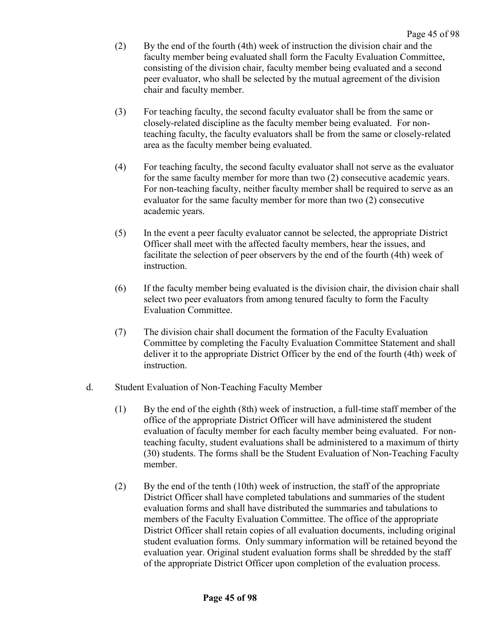- (2) By the end of the fourth (4th) week of instruction the division chair and the faculty member being evaluated shall form the Faculty Evaluation Committee, consisting of the division chair, faculty member being evaluated and a second peer evaluator, who shall be selected by the mutual agreement of the division chair and faculty member.
- (3) For teaching faculty, the second faculty evaluator shall be from the same or closely-related discipline as the faculty member being evaluated. For nonteaching faculty, the faculty evaluators shall be from the same or closely-related area as the faculty member being evaluated.
- (4) For teaching faculty, the second faculty evaluator shall not serve as the evaluator for the same faculty member for more than two (2) consecutive academic years. For non-teaching faculty, neither faculty member shall be required to serve as an evaluator for the same faculty member for more than two (2) consecutive academic years.
- (5) In the event a peer faculty evaluator cannot be selected, the appropriate District Officer shall meet with the affected faculty members, hear the issues, and facilitate the selection of peer observers by the end of the fourth (4th) week of instruction.
- (6) If the faculty member being evaluated is the division chair, the division chair shall select two peer evaluators from among tenured faculty to form the Faculty Evaluation Committee.
- (7) The division chair shall document the formation of the Faculty Evaluation Committee by completing the Faculty Evaluation Committee Statement and shall deliver it to the appropriate District Officer by the end of the fourth (4th) week of instruction.
- d. Student Evaluation of Non-Teaching Faculty Member
	- (1) By the end of the eighth (8th) week of instruction, a full-time staff member of the office of the appropriate District Officer will have administered the student evaluation of faculty member for each faculty member being evaluated. For nonteaching faculty, student evaluations shall be administered to a maximum of thirty (30) students. The forms shall be the Student Evaluation of Non-Teaching Faculty member.
	- (2) By the end of the tenth (10th) week of instruction, the staff of the appropriate District Officer shall have completed tabulations and summaries of the student evaluation forms and shall have distributed the summaries and tabulations to members of the Faculty Evaluation Committee. The office of the appropriate District Officer shall retain copies of all evaluation documents, including original student evaluation forms. Only summary information will be retained beyond the evaluation year. Original student evaluation forms shall be shredded by the staff of the appropriate District Officer upon completion of the evaluation process.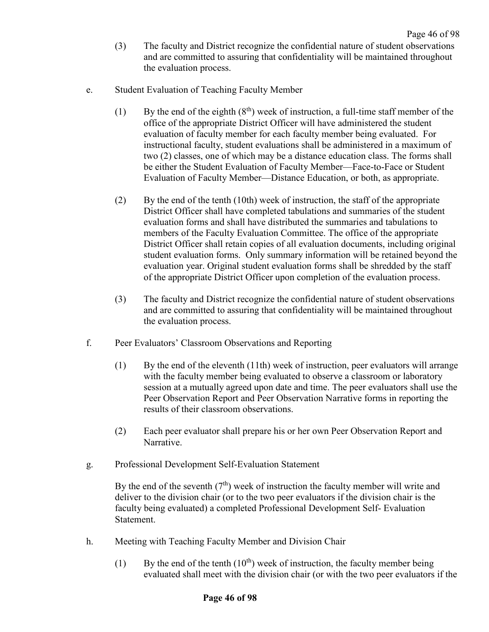- (3) The faculty and District recognize the confidential nature of student observations and are committed to assuring that confidentiality will be maintained throughout the evaluation process.
- e. Student Evaluation of Teaching Faculty Member
	- (1) By the end of the eighth  $(8<sup>th</sup>)$  week of instruction, a full-time staff member of the office of the appropriate District Officer will have administered the student evaluation of faculty member for each faculty member being evaluated. For instructional faculty, student evaluations shall be administered in a maximum of two (2) classes, one of which may be a distance education class. The forms shall be either the Student Evaluation of Faculty Member—Face-to-Face or Student Evaluation of Faculty Member—Distance Education, or both, as appropriate.
	- (2) By the end of the tenth (10th) week of instruction, the staff of the appropriate District Officer shall have completed tabulations and summaries of the student evaluation forms and shall have distributed the summaries and tabulations to members of the Faculty Evaluation Committee. The office of the appropriate District Officer shall retain copies of all evaluation documents, including original student evaluation forms. Only summary information will be retained beyond the evaluation year. Original student evaluation forms shall be shredded by the staff of the appropriate District Officer upon completion of the evaluation process.
	- (3) The faculty and District recognize the confidential nature of student observations and are committed to assuring that confidentiality will be maintained throughout the evaluation process.
- f. Peer Evaluators' Classroom Observations and Reporting
	- (1) By the end of the eleventh (11th) week of instruction, peer evaluators will arrange with the faculty member being evaluated to observe a classroom or laboratory session at a mutually agreed upon date and time. The peer evaluators shall use the Peer Observation Report and Peer Observation Narrative forms in reporting the results of their classroom observations.
	- (2) Each peer evaluator shall prepare his or her own Peer Observation Report and Narrative.
- g. Professional Development Self-Evaluation Statement

By the end of the seventh  $(7<sup>th</sup>)$  week of instruction the faculty member will write and deliver to the division chair (or to the two peer evaluators if the division chair is the faculty being evaluated) a completed Professional Development Self- Evaluation Statement.

- h. Meeting with Teaching Faculty Member and Division Chair
	- (1) By the end of the tenth  $(10<sup>th</sup>)$  week of instruction, the faculty member being evaluated shall meet with the division chair (or with the two peer evaluators if the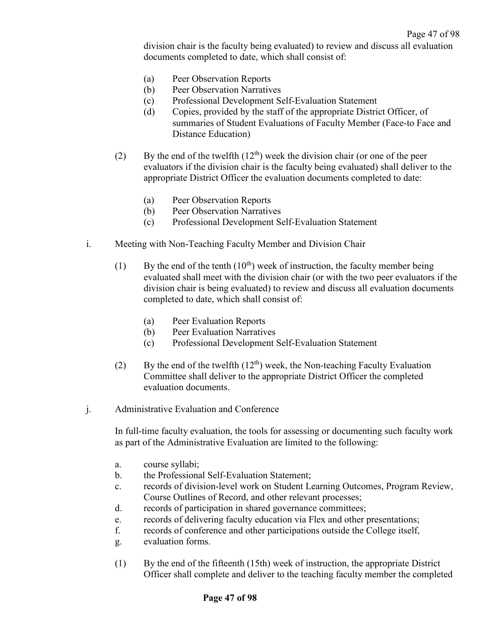division chair is the faculty being evaluated) to review and discuss all evaluation documents completed to date, which shall consist of:

- (a) Peer Observation Reports
- (b) Peer Observation Narratives
- (c) Professional Development Self-Evaluation Statement
- (d) Copies, provided by the staff of the appropriate District Officer, of summaries of Student Evaluations of Faculty Member (Face-to Face and Distance Education)
- (2) By the end of the twelfth  $(12<sup>th</sup>)$  week the division chair (or one of the peer evaluators if the division chair is the faculty being evaluated) shall deliver to the appropriate District Officer the evaluation documents completed to date:
	- (a) Peer Observation Reports
	- (b) Peer Observation Narratives
	- (c) Professional Development Self-Evaluation Statement
- i. Meeting with Non-Teaching Faculty Member and Division Chair
	- (1) By the end of the tenth  $(10<sup>th</sup>)$  week of instruction, the faculty member being evaluated shall meet with the division chair (or with the two peer evaluators if the division chair is being evaluated) to review and discuss all evaluation documents completed to date, which shall consist of:
		- (a) Peer Evaluation Reports
		- (b) Peer Evaluation Narratives
		- (c) Professional Development Self-Evaluation Statement
	- (2) By the end of the twelfth  $(12<sup>th</sup>)$  week, the Non-teaching Faculty Evaluation Committee shall deliver to the appropriate District Officer the completed evaluation documents.
- j. Administrative Evaluation and Conference

In full-time faculty evaluation, the tools for assessing or documenting such faculty work as part of the Administrative Evaluation are limited to the following:

- a. course syllabi;
- b. the Professional Self-Evaluation Statement;
- c. records of division-level work on Student Learning Outcomes, Program Review, Course Outlines of Record, and other relevant processes;
- d. records of participation in shared governance committees;
- e. records of delivering faculty education via Flex and other presentations;
- f. records of conference and other participations outside the College itself,
- g. evaluation forms.
- (1) By the end of the fifteenth (15th) week of instruction, the appropriate District Officer shall complete and deliver to the teaching faculty member the completed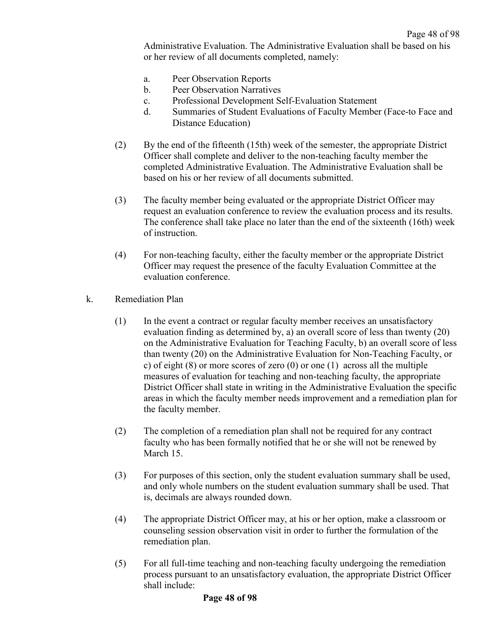Administrative Evaluation. The Administrative Evaluation shall be based on his or her review of all documents completed, namely:

- a. Peer Observation Reports
- b. Peer Observation Narratives
- c. Professional Development Self-Evaluation Statement
- d. Summaries of Student Evaluations of Faculty Member (Face-to Face and Distance Education)
- (2) By the end of the fifteenth (15th) week of the semester, the appropriate District Officer shall complete and deliver to the non-teaching faculty member the completed Administrative Evaluation. The Administrative Evaluation shall be based on his or her review of all documents submitted.
- (3) The faculty member being evaluated or the appropriate District Officer may request an evaluation conference to review the evaluation process and its results. The conference shall take place no later than the end of the sixteenth (16th) week of instruction.
- (4) For non-teaching faculty, either the faculty member or the appropriate District Officer may request the presence of the faculty Evaluation Committee at the evaluation conference.
- k. Remediation Plan
	- (1) In the event a contract or regular faculty member receives an unsatisfactory evaluation finding as determined by, a) an overall score of less than twenty (20) on the Administrative Evaluation for Teaching Faculty, b) an overall score of less than twenty (20) on the Administrative Evaluation for Non-Teaching Faculty, or c) of eight  $(8)$  or more scores of zero  $(0)$  or one  $(1)$  across all the multiple measures of evaluation for teaching and non-teaching faculty, the appropriate District Officer shall state in writing in the Administrative Evaluation the specific areas in which the faculty member needs improvement and a remediation plan for the faculty member.
	- (2) The completion of a remediation plan shall not be required for any contract faculty who has been formally notified that he or she will not be renewed by March 15.
	- (3) For purposes of this section, only the student evaluation summary shall be used, and only whole numbers on the student evaluation summary shall be used. That is, decimals are always rounded down.
	- (4) The appropriate District Officer may, at his or her option, make a classroom or counseling session observation visit in order to further the formulation of the remediation plan.
	- (5) For all full-time teaching and non-teaching faculty undergoing the remediation process pursuant to an unsatisfactory evaluation, the appropriate District Officer shall include: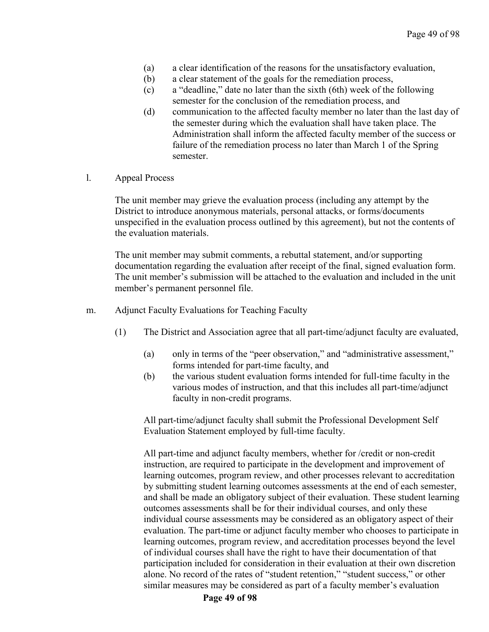- (a) a clear identification of the reasons for the unsatisfactory evaluation,
- (b) a clear statement of the goals for the remediation process,
- (c) a "deadline," date no later than the sixth (6th) week of the following semester for the conclusion of the remediation process, and
- (d) communication to the affected faculty member no later than the last day of the semester during which the evaluation shall have taken place. The Administration shall inform the affected faculty member of the success or failure of the remediation process no later than March 1 of the Spring semester.
- l. Appeal Process

The unit member may grieve the evaluation process (including any attempt by the District to introduce anonymous materials, personal attacks, or forms/documents unspecified in the evaluation process outlined by this agreement), but not the contents of the evaluation materials.

The unit member may submit comments, a rebuttal statement, and/or supporting documentation regarding the evaluation after receipt of the final, signed evaluation form. The unit member's submission will be attached to the evaluation and included in the unit member's permanent personnel file.

- m. Adjunct Faculty Evaluations for Teaching Faculty
	- (1) The District and Association agree that all part-time/adjunct faculty are evaluated,
		- (a) only in terms of the "peer observation," and "administrative assessment," forms intended for part-time faculty, and
		- (b) the various student evaluation forms intended for full-time faculty in the various modes of instruction, and that this includes all part-time/adjunct faculty in non-credit programs.

All part-time/adjunct faculty shall submit the Professional Development Self Evaluation Statement employed by full-time faculty.

All part-time and adjunct faculty members, whether for /credit or non-credit instruction, are required to participate in the development and improvement of learning outcomes, program review, and other processes relevant to accreditation by submitting student learning outcomes assessments at the end of each semester, and shall be made an obligatory subject of their evaluation. These student learning outcomes assessments shall be for their individual courses, and only these individual course assessments may be considered as an obligatory aspect of their evaluation. The part-time or adjunct faculty member who chooses to participate in learning outcomes, program review, and accreditation processes beyond the level of individual courses shall have the right to have their documentation of that participation included for consideration in their evaluation at their own discretion alone. No record of the rates of "student retention," "student success," or other similar measures may be considered as part of a faculty member's evaluation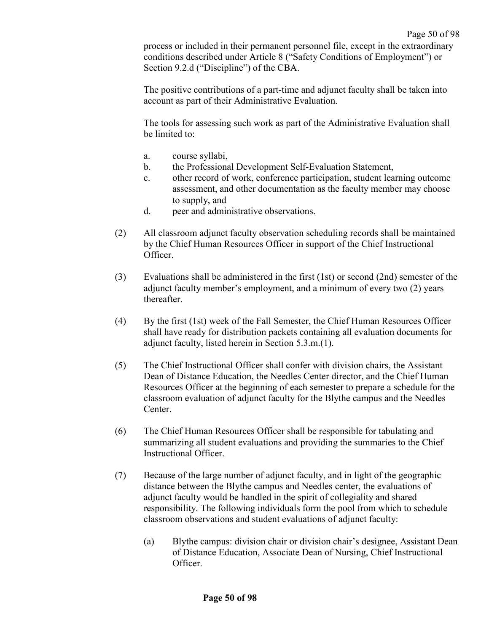process or included in their permanent personnel file, except in the extraordinary conditions described under Article 8 ("Safety Conditions of Employment") or Section 9.2.d ("Discipline") of the CBA.

The positive contributions of a part-time and adjunct faculty shall be taken into account as part of their Administrative Evaluation.

The tools for assessing such work as part of the Administrative Evaluation shall be limited to:

- a. course syllabi,
- b. the Professional Development Self-Evaluation Statement,
- c. other record of work, conference participation, student learning outcome assessment, and other documentation as the faculty member may choose to supply, and
- d. peer and administrative observations.
- (2) All classroom adjunct faculty observation scheduling records shall be maintained by the Chief Human Resources Officer in support of the Chief Instructional Officer.
- (3) Evaluations shall be administered in the first (1st) or second (2nd) semester of the adjunct faculty member's employment, and a minimum of every two (2) years thereafter.
- (4) By the first (1st) week of the Fall Semester, the Chief Human Resources Officer shall have ready for distribution packets containing all evaluation documents for adjunct faculty, listed herein in Section 5.3.m.(1).
- (5) The Chief Instructional Officer shall confer with division chairs, the Assistant Dean of Distance Education, the Needles Center director, and the Chief Human Resources Officer at the beginning of each semester to prepare a schedule for the classroom evaluation of adjunct faculty for the Blythe campus and the Needles Center.
- (6) The Chief Human Resources Officer shall be responsible for tabulating and summarizing all student evaluations and providing the summaries to the Chief Instructional Officer.
- (7) Because of the large number of adjunct faculty, and in light of the geographic distance between the Blythe campus and Needles center, the evaluations of adjunct faculty would be handled in the spirit of collegiality and shared responsibility. The following individuals form the pool from which to schedule classroom observations and student evaluations of adjunct faculty:
	- (a) Blythe campus: division chair or division chair's designee, Assistant Dean of Distance Education, Associate Dean of Nursing, Chief Instructional Officer.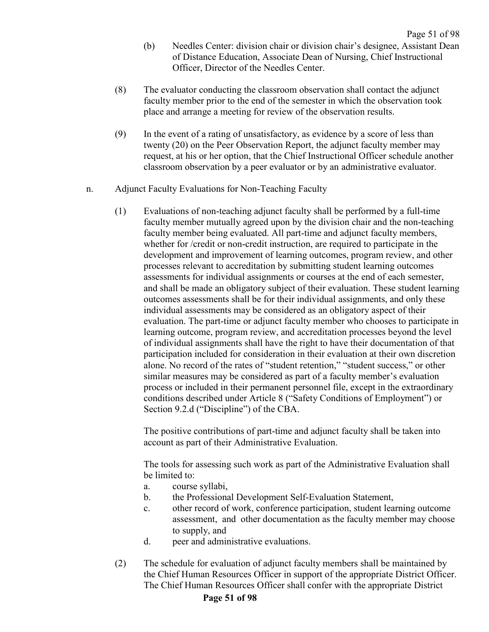- (b) Needles Center: division chair or division chair's designee, Assistant Dean of Distance Education, Associate Dean of Nursing, Chief Instructional Officer, Director of the Needles Center.
- (8) The evaluator conducting the classroom observation shall contact the adjunct faculty member prior to the end of the semester in which the observation took place and arrange a meeting for review of the observation results.
- (9) In the event of a rating of unsatisfactory, as evidence by a score of less than twenty (20) on the Peer Observation Report, the adjunct faculty member may request, at his or her option, that the Chief Instructional Officer schedule another classroom observation by a peer evaluator or by an administrative evaluator.
- n. Adjunct Faculty Evaluations for Non-Teaching Faculty
	- (1) Evaluations of non-teaching adjunct faculty shall be performed by a full-time faculty member mutually agreed upon by the division chair and the non-teaching faculty member being evaluated. All part-time and adjunct faculty members, whether for /credit or non-credit instruction, are required to participate in the development and improvement of learning outcomes, program review, and other processes relevant to accreditation by submitting student learning outcomes assessments for individual assignments or courses at the end of each semester, and shall be made an obligatory subject of their evaluation. These student learning outcomes assessments shall be for their individual assignments, and only these individual assessments may be considered as an obligatory aspect of their evaluation. The part-time or adjunct faculty member who chooses to participate in learning outcome, program review, and accreditation processes beyond the level of individual assignments shall have the right to have their documentation of that participation included for consideration in their evaluation at their own discretion alone. No record of the rates of "student retention," "student success," or other similar measures may be considered as part of a faculty member's evaluation process or included in their permanent personnel file, except in the extraordinary conditions described under Article 8 ("Safety Conditions of Employment") or Section 9.2.d ("Discipline") of the CBA.

The positive contributions of part-time and adjunct faculty shall be taken into account as part of their Administrative Evaluation.

The tools for assessing such work as part of the Administrative Evaluation shall be limited to:

- a. course syllabi,
- b. the Professional Development Self-Evaluation Statement,
- c. other record of work, conference participation, student learning outcome assessment, and other documentation as the faculty member may choose to supply, and
- d. peer and administrative evaluations.
- (2) The schedule for evaluation of adjunct faculty members shall be maintained by the Chief Human Resources Officer in support of the appropriate District Officer. The Chief Human Resources Officer shall confer with the appropriate District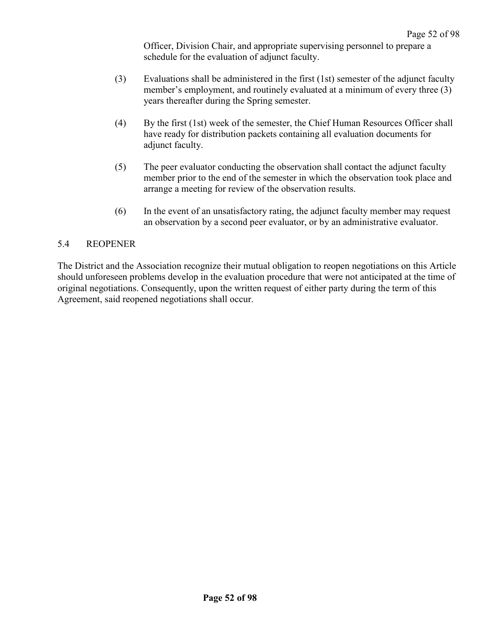Officer, Division Chair, and appropriate supervising personnel to prepare a schedule for the evaluation of adjunct faculty.

- (3) Evaluations shall be administered in the first (1st) semester of the adjunct faculty member's employment, and routinely evaluated at a minimum of every three (3) years thereafter during the Spring semester.
- (4) By the first (1st) week of the semester, the Chief Human Resources Officer shall have ready for distribution packets containing all evaluation documents for adjunct faculty.
- (5) The peer evaluator conducting the observation shall contact the adjunct faculty member prior to the end of the semester in which the observation took place and arrange a meeting for review of the observation results.
- (6) In the event of an unsatisfactory rating, the adjunct faculty member may request an observation by a second peer evaluator, or by an administrative evaluator.

#### 5.4 REOPENER

The District and the Association recognize their mutual obligation to reopen negotiations on this Article should unforeseen problems develop in the evaluation procedure that were not anticipated at the time of original negotiations. Consequently, upon the written request of either party during the term of this Agreement, said reopened negotiations shall occur.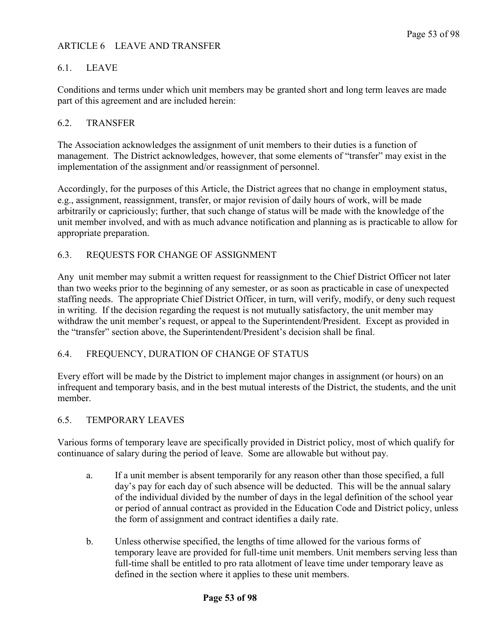## ARTICLE 6 LEAVE AND TRANSFER

## 6.1. LEAVE

Conditions and terms under which unit members may be granted short and long term leaves are made part of this agreement and are included herein:

### 6.2. TRANSFER

The Association acknowledges the assignment of unit members to their duties is a function of management. The District acknowledges, however, that some elements of "transfer" may exist in the implementation of the assignment and/or reassignment of personnel.

Accordingly, for the purposes of this Article, the District agrees that no change in employment status, e.g., assignment, reassignment, transfer, or major revision of daily hours of work, will be made arbitrarily or capriciously; further, that such change of status will be made with the knowledge of the unit member involved, and with as much advance notification and planning as is practicable to allow for appropriate preparation.

#### 6.3. REQUESTS FOR CHANGE OF ASSIGNMENT

Any unit member may submit a written request for reassignment to the Chief District Officer not later than two weeks prior to the beginning of any semester, or as soon as practicable in case of unexpected staffing needs. The appropriate Chief District Officer, in turn, will verify, modify, or deny such request in writing. If the decision regarding the request is not mutually satisfactory, the unit member may withdraw the unit member's request, or appeal to the Superintendent/President. Except as provided in the "transfer" section above, the Superintendent/President's decision shall be final.

#### 6.4. FREQUENCY, DURATION OF CHANGE OF STATUS

Every effort will be made by the District to implement major changes in assignment (or hours) on an infrequent and temporary basis, and in the best mutual interests of the District, the students, and the unit member.

#### 6.5. TEMPORARY LEAVES

Various forms of temporary leave are specifically provided in District policy, most of which qualify for continuance of salary during the period of leave. Some are allowable but without pay.

- a. If a unit member is absent temporarily for any reason other than those specified, a full day's pay for each day of such absence will be deducted. This will be the annual salary of the individual divided by the number of days in the legal definition of the school year or period of annual contract as provided in the Education Code and District policy, unless the form of assignment and contract identifies a daily rate.
- b. Unless otherwise specified, the lengths of time allowed for the various forms of temporary leave are provided for full-time unit members. Unit members serving less than full-time shall be entitled to pro rata allotment of leave time under temporary leave as defined in the section where it applies to these unit members.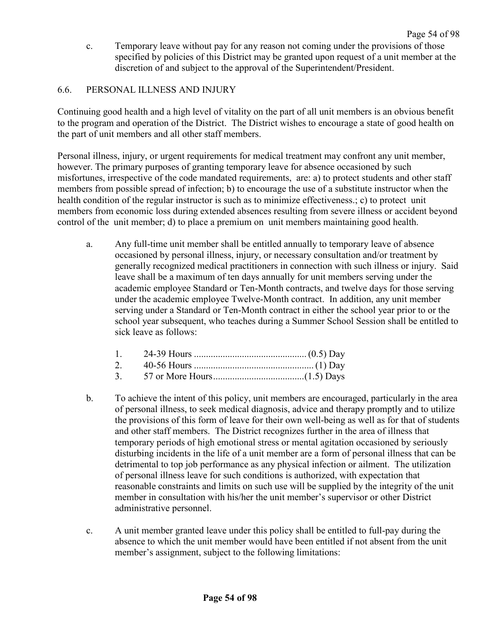c. Temporary leave without pay for any reason not coming under the provisions of those specified by policies of this District may be granted upon request of a unit member at the discretion of and subject to the approval of the Superintendent/President.

## 6.6. PERSONAL ILLNESS AND INJURY

Continuing good health and a high level of vitality on the part of all unit members is an obvious benefit to the program and operation of the District. The District wishes to encourage a state of good health on the part of unit members and all other staff members.

Personal illness, injury, or urgent requirements for medical treatment may confront any unit member, however. The primary purposes of granting temporary leave for absence occasioned by such misfortunes, irrespective of the code mandated requirements, are: a) to protect students and other staff members from possible spread of infection; b) to encourage the use of a substitute instructor when the health condition of the regular instructor is such as to minimize effectiveness.; c) to protect unit members from economic loss during extended absences resulting from severe illness or accident beyond control of the unit member; d) to place a premium on unit members maintaining good health.

a. Any full-time unit member shall be entitled annually to temporary leave of absence occasioned by personal illness, injury, or necessary consultation and/or treatment by generally recognized medical practitioners in connection with such illness or injury. Said leave shall be a maximum of ten days annually for unit members serving under the academic employee Standard or Ten-Month contracts, and twelve days for those serving under the academic employee Twelve-Month contract. In addition, any unit member serving under a Standard or Ten-Month contract in either the school year prior to or the school year subsequent, who teaches during a Summer School Session shall be entitled to sick leave as follows:

- 2. 40-56 Hours .................................................. (1) Day 3. 57 or More Hours......................................(1.5) Days
- b. To achieve the intent of this policy, unit members are encouraged, particularly in the area of personal illness, to seek medical diagnosis, advice and therapy promptly and to utilize the provisions of this form of leave for their own well-being as well as for that of students and other staff members. The District recognizes further in the area of illness that temporary periods of high emotional stress or mental agitation occasioned by seriously disturbing incidents in the life of a unit member are a form of personal illness that can be detrimental to top job performance as any physical infection or ailment. The utilization of personal illness leave for such conditions is authorized, with expectation that reasonable constraints and limits on such use will be supplied by the integrity of the unit member in consultation with his/her the unit member's supervisor or other District administrative personnel.
- c. A unit member granted leave under this policy shall be entitled to full-pay during the absence to which the unit member would have been entitled if not absent from the unit member's assignment, subject to the following limitations: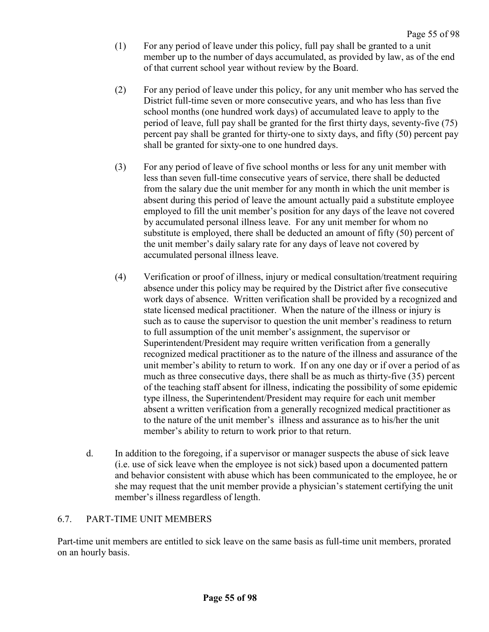- (1) For any period of leave under this policy, full pay shall be granted to a unit member up to the number of days accumulated, as provided by law, as of the end of that current school year without review by the Board.
- (2) For any period of leave under this policy, for any unit member who has served the District full-time seven or more consecutive years, and who has less than five school months (one hundred work days) of accumulated leave to apply to the period of leave, full pay shall be granted for the first thirty days, seventy-five (75) percent pay shall be granted for thirty-one to sixty days, and fifty (50) percent pay shall be granted for sixty-one to one hundred days.
- (3) For any period of leave of five school months or less for any unit member with less than seven full-time consecutive years of service, there shall be deducted from the salary due the unit member for any month in which the unit member is absent during this period of leave the amount actually paid a substitute employee employed to fill the unit member's position for any days of the leave not covered by accumulated personal illness leave. For any unit member for whom no substitute is employed, there shall be deducted an amount of fifty (50) percent of the unit member's daily salary rate for any days of leave not covered by accumulated personal illness leave.
- (4) Verification or proof of illness, injury or medical consultation/treatment requiring absence under this policy may be required by the District after five consecutive work days of absence. Written verification shall be provided by a recognized and state licensed medical practitioner. When the nature of the illness or injury is such as to cause the supervisor to question the unit member's readiness to return to full assumption of the unit member's assignment, the supervisor or Superintendent/President may require written verification from a generally recognized medical practitioner as to the nature of the illness and assurance of the unit member's ability to return to work. If on any one day or if over a period of as much as three consecutive days, there shall be as much as thirty-five (35) percent of the teaching staff absent for illness, indicating the possibility of some epidemic type illness, the Superintendent/President may require for each unit member absent a written verification from a generally recognized medical practitioner as to the nature of the unit member's illness and assurance as to his/her the unit member's ability to return to work prior to that return.
- d. In addition to the foregoing, if a supervisor or manager suspects the abuse of sick leave (i.e. use of sick leave when the employee is not sick) based upon a documented pattern and behavior consistent with abuse which has been communicated to the employee, he or she may request that the unit member provide a physician's statement certifying the unit member's illness regardless of length.

## 6.7. PART-TIME UNIT MEMBERS

Part-time unit members are entitled to sick leave on the same basis as full-time unit members, prorated on an hourly basis.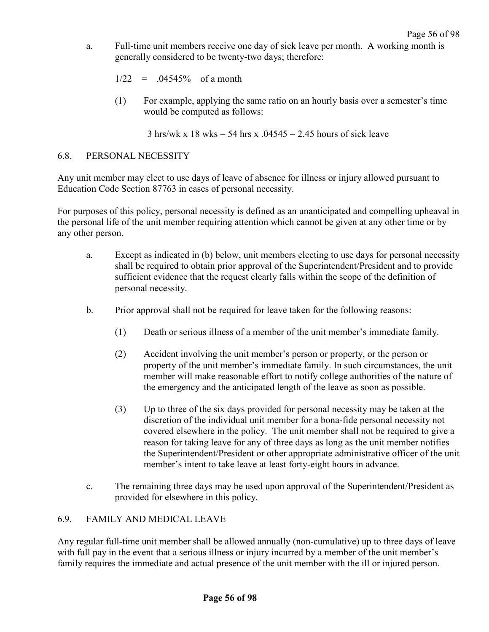- a. Full-time unit members receive one day of sick leave per month. A working month is generally considered to be twenty-two days; therefore:
	- $1/22 = .04545\%$  of a month
	- (1) For example, applying the same ratio on an hourly basis over a semester's time would be computed as follows:

 $3 \text{ hrs/wk x}$  18 wks = 54 hrs x  $.04545 = 2.45$  hours of sick leave

#### 6.8. PERSONAL NECESSITY

Any unit member may elect to use days of leave of absence for illness or injury allowed pursuant to Education Code Section 87763 in cases of personal necessity.

For purposes of this policy, personal necessity is defined as an unanticipated and compelling upheaval in the personal life of the unit member requiring attention which cannot be given at any other time or by any other person.

- a. Except as indicated in (b) below, unit members electing to use days for personal necessity shall be required to obtain prior approval of the Superintendent/President and to provide sufficient evidence that the request clearly falls within the scope of the definition of personal necessity.
- b. Prior approval shall not be required for leave taken for the following reasons:
	- (1) Death or serious illness of a member of the unit member's immediate family.
	- (2) Accident involving the unit member's person or property, or the person or property of the unit member's immediate family. In such circumstances, the unit member will make reasonable effort to notify college authorities of the nature of the emergency and the anticipated length of the leave as soon as possible.
	- (3) Up to three of the six days provided for personal necessity may be taken at the discretion of the individual unit member for a bona-fide personal necessity not covered elsewhere in the policy. The unit member shall not be required to give a reason for taking leave for any of three days as long as the unit member notifies the Superintendent/President or other appropriate administrative officer of the unit member's intent to take leave at least forty-eight hours in advance.
- c. The remaining three days may be used upon approval of the Superintendent/President as provided for elsewhere in this policy.

#### 6.9. FAMILY AND MEDICAL LEAVE

Any regular full-time unit member shall be allowed annually (non-cumulative) up to three days of leave with full pay in the event that a serious illness or injury incurred by a member of the unit member's family requires the immediate and actual presence of the unit member with the ill or injured person.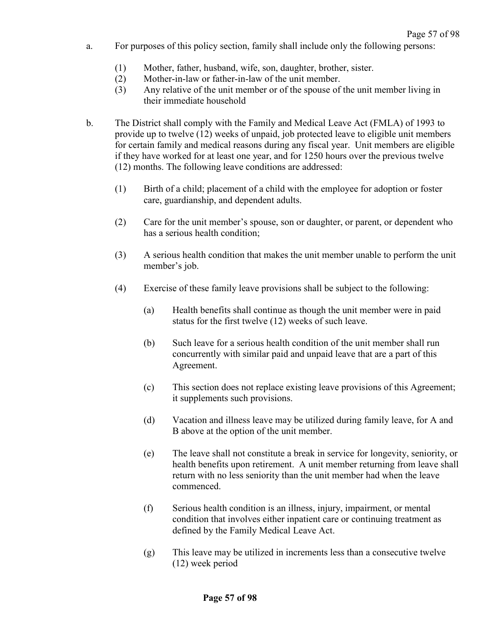- a. For purposes of this policy section, family shall include only the following persons:
	- (1) Mother, father, husband, wife, son, daughter, brother, sister.
	- (2) Mother-in-law or father-in-law of the unit member.
	- (3) Any relative of the unit member or of the spouse of the unit member living in their immediate household
- b. The District shall comply with the Family and Medical Leave Act (FMLA) of 1993 to provide up to twelve (12) weeks of unpaid, job protected leave to eligible unit members for certain family and medical reasons during any fiscal year. Unit members are eligible if they have worked for at least one year, and for 1250 hours over the previous twelve (12) months. The following leave conditions are addressed:
	- (1) Birth of a child; placement of a child with the employee for adoption or foster care, guardianship, and dependent adults.
	- (2) Care for the unit member's spouse, son or daughter, or parent, or dependent who has a serious health condition;
	- (3) A serious health condition that makes the unit member unable to perform the unit member's job.
	- (4) Exercise of these family leave provisions shall be subject to the following:
		- (a) Health benefits shall continue as though the unit member were in paid status for the first twelve (12) weeks of such leave.
		- (b) Such leave for a serious health condition of the unit member shall run concurrently with similar paid and unpaid leave that are a part of this Agreement.
		- (c) This section does not replace existing leave provisions of this Agreement; it supplements such provisions.
		- (d) Vacation and illness leave may be utilized during family leave, for A and B above at the option of the unit member.
		- (e) The leave shall not constitute a break in service for longevity, seniority, or health benefits upon retirement. A unit member returning from leave shall return with no less seniority than the unit member had when the leave commenced.
		- (f) Serious health condition is an illness, injury, impairment, or mental condition that involves either inpatient care or continuing treatment as defined by the Family Medical Leave Act.
		- (g) This leave may be utilized in increments less than a consecutive twelve (12) week period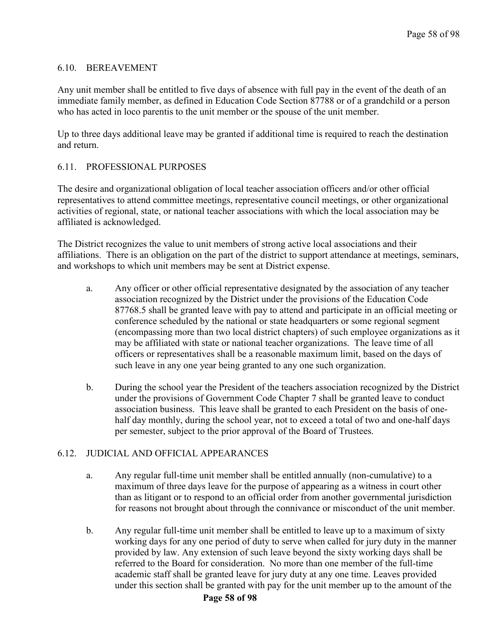## 6.10. BEREAVEMENT

Any unit member shall be entitled to five days of absence with full pay in the event of the death of an immediate family member, as defined in Education Code Section 87788 or of a grandchild or a person who has acted in loco parentis to the unit member or the spouse of the unit member.

Up to three days additional leave may be granted if additional time is required to reach the destination and return.

## 6.11. PROFESSIONAL PURPOSES

The desire and organizational obligation of local teacher association officers and/or other official representatives to attend committee meetings, representative council meetings, or other organizational activities of regional, state, or national teacher associations with which the local association may be affiliated is acknowledged.

The District recognizes the value to unit members of strong active local associations and their affiliations. There is an obligation on the part of the district to support attendance at meetings, seminars, and workshops to which unit members may be sent at District expense.

- a. Any officer or other official representative designated by the association of any teacher association recognized by the District under the provisions of the Education Code 87768.5 shall be granted leave with pay to attend and participate in an official meeting or conference scheduled by the national or state headquarters or some regional segment (encompassing more than two local district chapters) of such employee organizations as it may be affiliated with state or national teacher organizations. The leave time of all officers or representatives shall be a reasonable maximum limit, based on the days of such leave in any one year being granted to any one such organization.
- b. During the school year the President of the teachers association recognized by the District under the provisions of Government Code Chapter 7 shall be granted leave to conduct association business. This leave shall be granted to each President on the basis of onehalf day monthly, during the school year, not to exceed a total of two and one-half days per semester, subject to the prior approval of the Board of Trustees.

## 6.12. JUDICIAL AND OFFICIAL APPEARANCES

- a. Any regular full-time unit member shall be entitled annually (non-cumulative) to a maximum of three days leave for the purpose of appearing as a witness in court other than as litigant or to respond to an official order from another governmental jurisdiction for reasons not brought about through the connivance or misconduct of the unit member.
- b. Any regular full-time unit member shall be entitled to leave up to a maximum of sixty working days for any one period of duty to serve when called for jury duty in the manner provided by law. Any extension of such leave beyond the sixty working days shall be referred to the Board for consideration. No more than one member of the full-time academic staff shall be granted leave for jury duty at any one time. Leaves provided under this section shall be granted with pay for the unit member up to the amount of the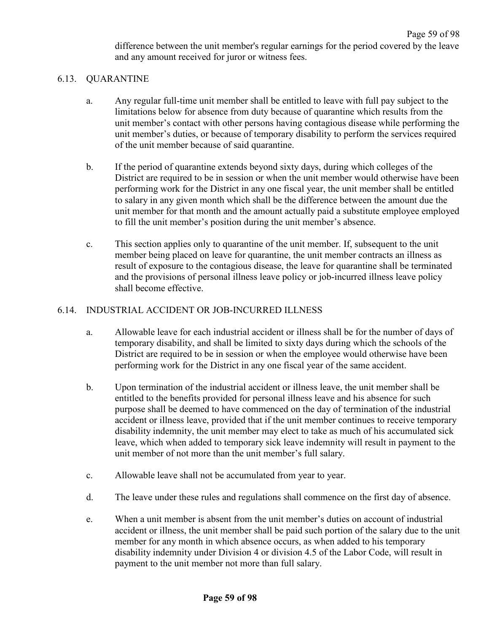difference between the unit member's regular earnings for the period covered by the leave and any amount received for juror or witness fees.

# 6.13. QUARANTINE

- a. Any regular full-time unit member shall be entitled to leave with full pay subject to the limitations below for absence from duty because of quarantine which results from the unit member's contact with other persons having contagious disease while performing the unit member's duties, or because of temporary disability to perform the services required of the unit member because of said quarantine.
- b. If the period of quarantine extends beyond sixty days, during which colleges of the District are required to be in session or when the unit member would otherwise have been performing work for the District in any one fiscal year, the unit member shall be entitled to salary in any given month which shall be the difference between the amount due the unit member for that month and the amount actually paid a substitute employee employed to fill the unit member's position during the unit member's absence.
- c. This section applies only to quarantine of the unit member. If, subsequent to the unit member being placed on leave for quarantine, the unit member contracts an illness as result of exposure to the contagious disease, the leave for quarantine shall be terminated and the provisions of personal illness leave policy or job-incurred illness leave policy shall become effective.

#### 6.14. INDUSTRIAL ACCIDENT OR JOB-INCURRED ILLNESS

- a. Allowable leave for each industrial accident or illness shall be for the number of days of temporary disability, and shall be limited to sixty days during which the schools of the District are required to be in session or when the employee would otherwise have been performing work for the District in any one fiscal year of the same accident.
- b. Upon termination of the industrial accident or illness leave, the unit member shall be entitled to the benefits provided for personal illness leave and his absence for such purpose shall be deemed to have commenced on the day of termination of the industrial accident or illness leave, provided that if the unit member continues to receive temporary disability indemnity, the unit member may elect to take as much of his accumulated sick leave, which when added to temporary sick leave indemnity will result in payment to the unit member of not more than the unit member's full salary.
- c. Allowable leave shall not be accumulated from year to year.
- d. The leave under these rules and regulations shall commence on the first day of absence.
- e. When a unit member is absent from the unit member's duties on account of industrial accident or illness, the unit member shall be paid such portion of the salary due to the unit member for any month in which absence occurs, as when added to his temporary disability indemnity under Division 4 or division 4.5 of the Labor Code, will result in payment to the unit member not more than full salary.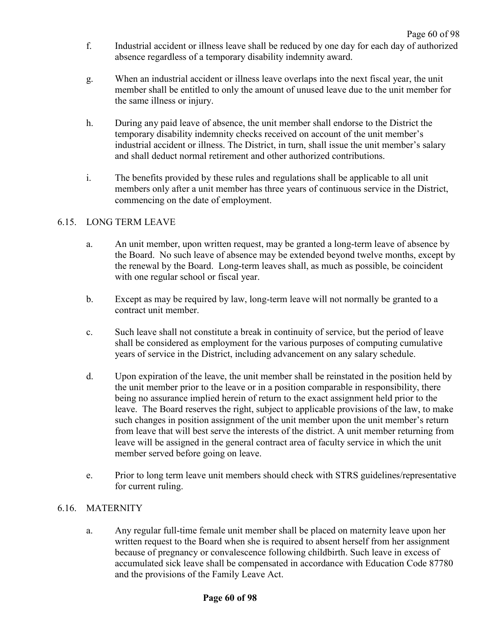- f. Industrial accident or illness leave shall be reduced by one day for each day of authorized absence regardless of a temporary disability indemnity award.
- g. When an industrial accident or illness leave overlaps into the next fiscal year, the unit member shall be entitled to only the amount of unused leave due to the unit member for the same illness or injury.
- h. During any paid leave of absence, the unit member shall endorse to the District the temporary disability indemnity checks received on account of the unit member's industrial accident or illness. The District, in turn, shall issue the unit member's salary and shall deduct normal retirement and other authorized contributions.
- i. The benefits provided by these rules and regulations shall be applicable to all unit members only after a unit member has three years of continuous service in the District, commencing on the date of employment.

## 6.15. LONG TERM LEAVE

- a. An unit member, upon written request, may be granted a long-term leave of absence by the Board. No such leave of absence may be extended beyond twelve months, except by the renewal by the Board. Long-term leaves shall, as much as possible, be coincident with one regular school or fiscal year.
- b. Except as may be required by law, long-term leave will not normally be granted to a contract unit member.
- c. Such leave shall not constitute a break in continuity of service, but the period of leave shall be considered as employment for the various purposes of computing cumulative years of service in the District, including advancement on any salary schedule.
- d. Upon expiration of the leave, the unit member shall be reinstated in the position held by the unit member prior to the leave or in a position comparable in responsibility, there being no assurance implied herein of return to the exact assignment held prior to the leave. The Board reserves the right, subject to applicable provisions of the law, to make such changes in position assignment of the unit member upon the unit member's return from leave that will best serve the interests of the district. A unit member returning from leave will be assigned in the general contract area of faculty service in which the unit member served before going on leave.
- e. Prior to long term leave unit members should check with STRS guidelines/representative for current ruling.

## 6.16. MATERNITY

a. Any regular full-time female unit member shall be placed on maternity leave upon her written request to the Board when she is required to absent herself from her assignment because of pregnancy or convalescence following childbirth. Such leave in excess of accumulated sick leave shall be compensated in accordance with Education Code 87780 and the provisions of the Family Leave Act.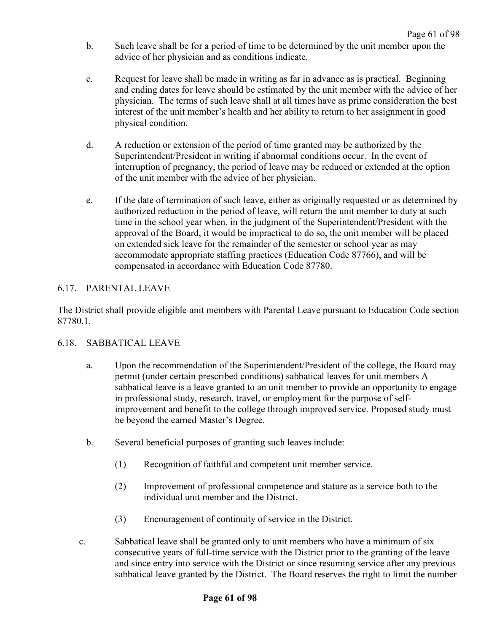- b. Such leave shall be for a period of time to be determined by the unit member upon the advice of her physician and as conditions indicate.
- c. Request for leave shall be made in writing as far in advance as is practical. Beginning and ending dates for leave should be estimated by the unit member with the advice of her physician. The terms of such leave shall at all times have as prime consideration the best interest of the unit member's health and her ability to return to her assignment in good physical condition.
- d. A reduction or extension of the period of time granted may be authorized by the Superintendent/President in writing if abnormal conditions occur. In the event of interruption of pregnancy, the period of leave may be reduced or extended at the option of the unit member with the advice of her physician.
- e. If the date of termination of such leave, either as originally requested or as determined by authorized reduction in the period of leave, will return the unit member to duty at such time in the school year when, in the judgment of the Superintendent/President with the approval of the Board, it would be impractical to do so, the unit member will be placed on extended sick leave for the remainder of the semester or school year as may accommodate appropriate staffing practices (Education Code 87766), and will be compensated in accordance with Education Code 87780.

## 6.17. PARENTAL LEAVE

The District shall provide eligible unit members with Parental Leave pursuant to Education Code section 87780.1.

## 6.18. SABBATICAL LEAVE

- a. Upon the recommendation of the Superintendent/President of the college, the Board may permit (under certain prescribed conditions) sabbatical leaves for unit members A sabbatical leave is a leave granted to an unit member to provide an opportunity to engage in professional study, research, travel, or employment for the purpose of selfimprovement and benefit to the college through improved service. Proposed study must be beyond the earned Master's Degree.
- b. Several beneficial purposes of granting such leaves include:
	- (1) Recognition of faithful and competent unit member service.
	- (2) Improvement of professional competence and stature as a service both to the individual unit member and the District.
	- (3) Encouragement of continuity of service in the District.
- c. Sabbatical leave shall be granted only to unit members who have a minimum of six consecutive years of full-time service with the District prior to the granting of the leave and since entry into service with the District or since resuming service after any previous sabbatical leave granted by the District. The Board reserves the right to limit the number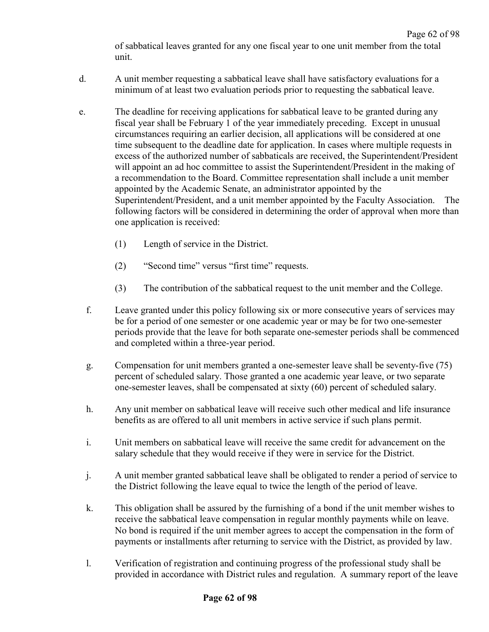Page 62 of 98 of sabbatical leaves granted for any one fiscal year to one unit member from the total unit.

- d. A unit member requesting a sabbatical leave shall have satisfactory evaluations for a minimum of at least two evaluation periods prior to requesting the sabbatical leave.
- e. The deadline for receiving applications for sabbatical leave to be granted during any fiscal year shall be February 1 of the year immediately preceding. Except in unusual circumstances requiring an earlier decision, all applications will be considered at one time subsequent to the deadline date for application. In cases where multiple requests in excess of the authorized number of sabbaticals are received, the Superintendent/President will appoint an ad hoc committee to assist the Superintendent/President in the making of a recommendation to the Board. Committee representation shall include a unit member appointed by the Academic Senate, an administrator appointed by the Superintendent/President, and a unit member appointed by the Faculty Association. The following factors will be considered in determining the order of approval when more than one application is received:
	- (1) Length of service in the District.
	- (2) "Second time" versus "first time" requests.
	- (3) The contribution of the sabbatical request to the unit member and the College.
	- f. Leave granted under this policy following six or more consecutive years of services may be for a period of one semester or one academic year or may be for two one-semester periods provide that the leave for both separate one-semester periods shall be commenced and completed within a three-year period.
	- g. Compensation for unit members granted a one-semester leave shall be seventy-five (75) percent of scheduled salary. Those granted a one academic year leave, or two separate one-semester leaves, shall be compensated at sixty (60) percent of scheduled salary.
	- h. Any unit member on sabbatical leave will receive such other medical and life insurance benefits as are offered to all unit members in active service if such plans permit.
	- i. Unit members on sabbatical leave will receive the same credit for advancement on the salary schedule that they would receive if they were in service for the District.
	- j. A unit member granted sabbatical leave shall be obligated to render a period of service to the District following the leave equal to twice the length of the period of leave.
	- k. This obligation shall be assured by the furnishing of a bond if the unit member wishes to receive the sabbatical leave compensation in regular monthly payments while on leave. No bond is required if the unit member agrees to accept the compensation in the form of payments or installments after returning to service with the District, as provided by law.
	- l. Verification of registration and continuing progress of the professional study shall be provided in accordance with District rules and regulation. A summary report of the leave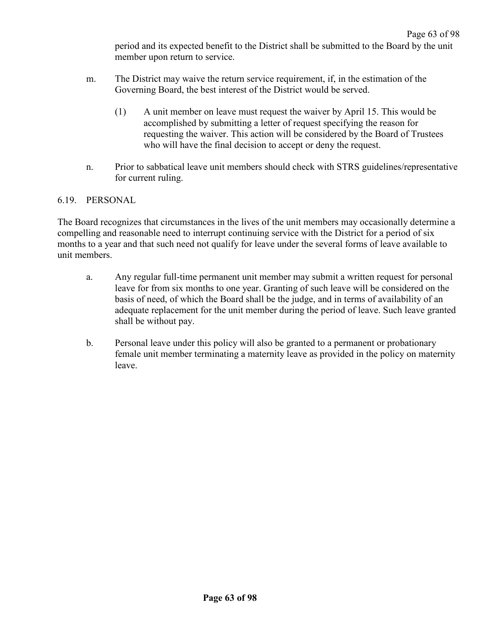period and its expected benefit to the District shall be submitted to the Board by the unit member upon return to service.

- m. The District may waive the return service requirement, if, in the estimation of the Governing Board, the best interest of the District would be served.
	- (1) A unit member on leave must request the waiver by April 15. This would be accomplished by submitting a letter of request specifying the reason for requesting the waiver. This action will be considered by the Board of Trustees who will have the final decision to accept or deny the request.
- n. Prior to sabbatical leave unit members should check with STRS guidelines/representative for current ruling.

## 6.19. PERSONAL

The Board recognizes that circumstances in the lives of the unit members may occasionally determine a compelling and reasonable need to interrupt continuing service with the District for a period of six months to a year and that such need not qualify for leave under the several forms of leave available to unit members.

- a. Any regular full-time permanent unit member may submit a written request for personal leave for from six months to one year. Granting of such leave will be considered on the basis of need, of which the Board shall be the judge, and in terms of availability of an adequate replacement for the unit member during the period of leave. Such leave granted shall be without pay.
- b. Personal leave under this policy will also be granted to a permanent or probationary female unit member terminating a maternity leave as provided in the policy on maternity leave.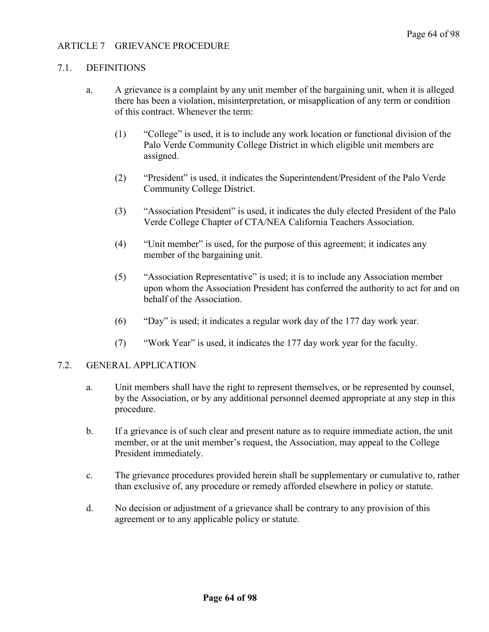## 7.1. DEFINITIONS

- a. A grievance is a complaint by any unit member of the bargaining unit, when it is alleged there has been a violation, misinterpretation, or misapplication of any term or condition of this contract. Whenever the term:
	- (1) "College" is used, it is to include any work location or functional division of the Palo Verde Community College District in which eligible unit members are assigned.
	- (2) "President" is used, it indicates the Superintendent/President of the Palo Verde Community College District.
	- (3) "Association President" is used, it indicates the duly elected President of the Palo Verde College Chapter of CTA/NEA California Teachers Association.
	- (4) "Unit member" is used, for the purpose of this agreement; it indicates any member of the bargaining unit.
	- (5) "Association Representative" is used; it is to include any Association member upon whom the Association President has conferred the authority to act for and on behalf of the Association.
	- (6) "Day" is used; it indicates a regular work day of the 177 day work year.
	- (7) "Work Year" is used, it indicates the 177 day work year for the faculty.

#### 7.2. GENERAL APPLICATION

- a. Unit members shall have the right to represent themselves, or be represented by counsel, by the Association, or by any additional personnel deemed appropriate at any step in this procedure.
- b. If a grievance is of such clear and present nature as to require immediate action, the unit member, or at the unit member's request, the Association, may appeal to the College President immediately.
- c. The grievance procedures provided herein shall be supplementary or cumulative to, rather than exclusive of, any procedure or remedy afforded elsewhere in policy or statute.
- d. No decision or adjustment of a grievance shall be contrary to any provision of this agreement or to any applicable policy or statute.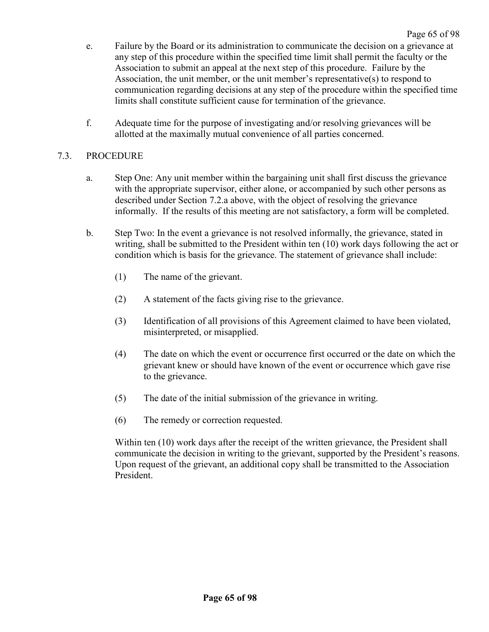- e. Failure by the Board or its administration to communicate the decision on a grievance at any step of this procedure within the specified time limit shall permit the faculty or the Association to submit an appeal at the next step of this procedure. Failure by the Association, the unit member, or the unit member's representative(s) to respond to communication regarding decisions at any step of the procedure within the specified time limits shall constitute sufficient cause for termination of the grievance.
- f. Adequate time for the purpose of investigating and/or resolving grievances will be allotted at the maximally mutual convenience of all parties concerned.

## 7.3. PROCEDURE

- a. Step One: Any unit member within the bargaining unit shall first discuss the grievance with the appropriate supervisor, either alone, or accompanied by such other persons as described under Section 7.2.a above, with the object of resolving the grievance informally. If the results of this meeting are not satisfactory, a form will be completed.
- b. Step Two: In the event a grievance is not resolved informally, the grievance, stated in writing, shall be submitted to the President within ten (10) work days following the act or condition which is basis for the grievance. The statement of grievance shall include:
	- (1) The name of the grievant.
	- (2) A statement of the facts giving rise to the grievance.
	- (3) Identification of all provisions of this Agreement claimed to have been violated, misinterpreted, or misapplied.
	- (4) The date on which the event or occurrence first occurred or the date on which the grievant knew or should have known of the event or occurrence which gave rise to the grievance.
	- (5) The date of the initial submission of the grievance in writing.
	- (6) The remedy or correction requested.

Within ten (10) work days after the receipt of the written grievance, the President shall communicate the decision in writing to the grievant, supported by the President's reasons. Upon request of the grievant, an additional copy shall be transmitted to the Association President.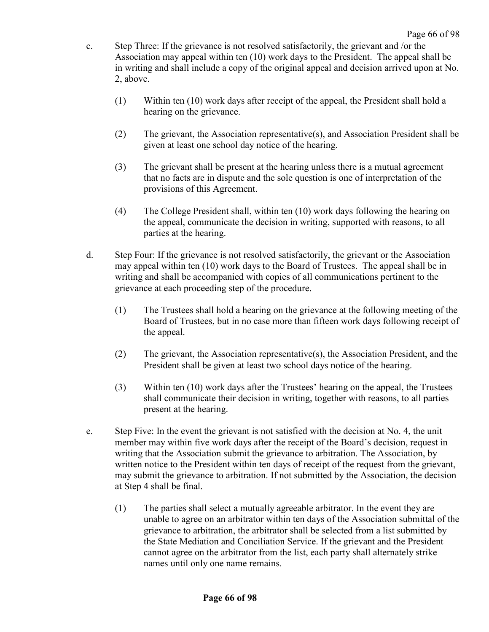- c. Step Three: If the grievance is not resolved satisfactorily, the grievant and /or the Association may appeal within ten (10) work days to the President. The appeal shall be in writing and shall include a copy of the original appeal and decision arrived upon at No. 2, above.
	- (1) Within ten (10) work days after receipt of the appeal, the President shall hold a hearing on the grievance.
	- (2) The grievant, the Association representative(s), and Association President shall be given at least one school day notice of the hearing.
	- (3) The grievant shall be present at the hearing unless there is a mutual agreement that no facts are in dispute and the sole question is one of interpretation of the provisions of this Agreement.
	- (4) The College President shall, within ten (10) work days following the hearing on the appeal, communicate the decision in writing, supported with reasons, to all parties at the hearing.
- d. Step Four: If the grievance is not resolved satisfactorily, the grievant or the Association may appeal within ten (10) work days to the Board of Trustees. The appeal shall be in writing and shall be accompanied with copies of all communications pertinent to the grievance at each proceeding step of the procedure.
	- (1) The Trustees shall hold a hearing on the grievance at the following meeting of the Board of Trustees, but in no case more than fifteen work days following receipt of the appeal.
	- (2) The grievant, the Association representative(s), the Association President, and the President shall be given at least two school days notice of the hearing.
	- (3) Within ten (10) work days after the Trustees' hearing on the appeal, the Trustees shall communicate their decision in writing, together with reasons, to all parties present at the hearing.
- e. Step Five: In the event the grievant is not satisfied with the decision at No. 4, the unit member may within five work days after the receipt of the Board's decision, request in writing that the Association submit the grievance to arbitration. The Association, by written notice to the President within ten days of receipt of the request from the grievant, may submit the grievance to arbitration. If not submitted by the Association, the decision at Step 4 shall be final.
	- (1) The parties shall select a mutually agreeable arbitrator. In the event they are unable to agree on an arbitrator within ten days of the Association submittal of the grievance to arbitration, the arbitrator shall be selected from a list submitted by the State Mediation and Conciliation Service. If the grievant and the President cannot agree on the arbitrator from the list, each party shall alternately strike names until only one name remains.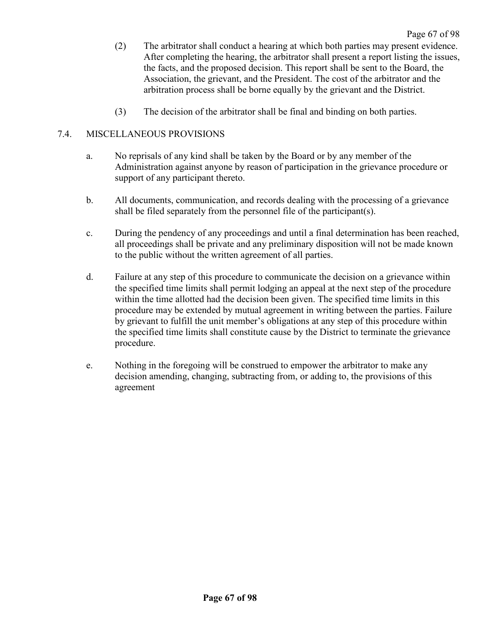- (2) The arbitrator shall conduct a hearing at which both parties may present evidence. After completing the hearing, the arbitrator shall present a report listing the issues, the facts, and the proposed decision. This report shall be sent to the Board, the Association, the grievant, and the President. The cost of the arbitrator and the arbitration process shall be borne equally by the grievant and the District.
- (3) The decision of the arbitrator shall be final and binding on both parties.

# 7.4. MISCELLANEOUS PROVISIONS

- a. No reprisals of any kind shall be taken by the Board or by any member of the Administration against anyone by reason of participation in the grievance procedure or support of any participant thereto.
- b. All documents, communication, and records dealing with the processing of a grievance shall be filed separately from the personnel file of the participant(s).
- c. During the pendency of any proceedings and until a final determination has been reached, all proceedings shall be private and any preliminary disposition will not be made known to the public without the written agreement of all parties.
- d. Failure at any step of this procedure to communicate the decision on a grievance within the specified time limits shall permit lodging an appeal at the next step of the procedure within the time allotted had the decision been given. The specified time limits in this procedure may be extended by mutual agreement in writing between the parties. Failure by grievant to fulfill the unit member's obligations at any step of this procedure within the specified time limits shall constitute cause by the District to terminate the grievance procedure.
- e. Nothing in the foregoing will be construed to empower the arbitrator to make any decision amending, changing, subtracting from, or adding to, the provisions of this agreement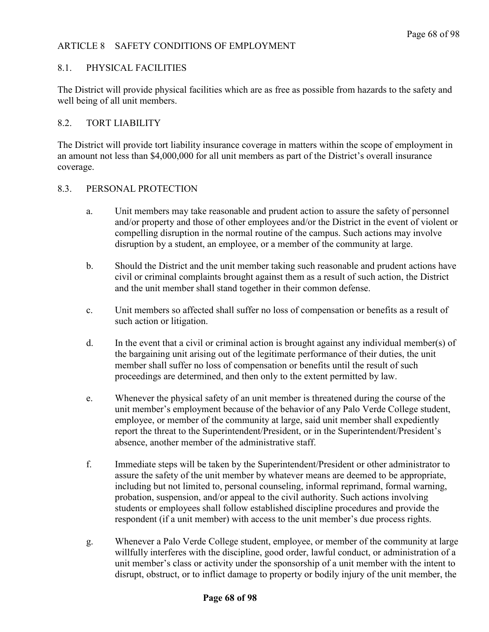## ARTICLE 8 SAFETY CONDITIONS OF EMPLOYMENT

## 8.1. PHYSICAL FACILITIES

The District will provide physical facilities which are as free as possible from hazards to the safety and well being of all unit members.

## 8.2. TORT LIABILITY

The District will provide tort liability insurance coverage in matters within the scope of employment in an amount not less than \$4,000,000 for all unit members as part of the District's overall insurance coverage.

## 8.3. PERSONAL PROTECTION

- a. Unit members may take reasonable and prudent action to assure the safety of personnel and/or property and those of other employees and/or the District in the event of violent or compelling disruption in the normal routine of the campus. Such actions may involve disruption by a student, an employee, or a member of the community at large.
- b. Should the District and the unit member taking such reasonable and prudent actions have civil or criminal complaints brought against them as a result of such action, the District and the unit member shall stand together in their common defense.
- c. Unit members so affected shall suffer no loss of compensation or benefits as a result of such action or litigation.
- d. In the event that a civil or criminal action is brought against any individual member(s) of the bargaining unit arising out of the legitimate performance of their duties, the unit member shall suffer no loss of compensation or benefits until the result of such proceedings are determined, and then only to the extent permitted by law.
- e. Whenever the physical safety of an unit member is threatened during the course of the unit member's employment because of the behavior of any Palo Verde College student, employee, or member of the community at large, said unit member shall expediently report the threat to the Superintendent/President, or in the Superintendent/President's absence, another member of the administrative staff.
- f. Immediate steps will be taken by the Superintendent/President or other administrator to assure the safety of the unit member by whatever means are deemed to be appropriate, including but not limited to, personal counseling, informal reprimand, formal warning, probation, suspension, and/or appeal to the civil authority. Such actions involving students or employees shall follow established discipline procedures and provide the respondent (if a unit member) with access to the unit member's due process rights.
- g. Whenever a Palo Verde College student, employee, or member of the community at large willfully interferes with the discipline, good order, lawful conduct, or administration of a unit member's class or activity under the sponsorship of a unit member with the intent to disrupt, obstruct, or to inflict damage to property or bodily injury of the unit member, the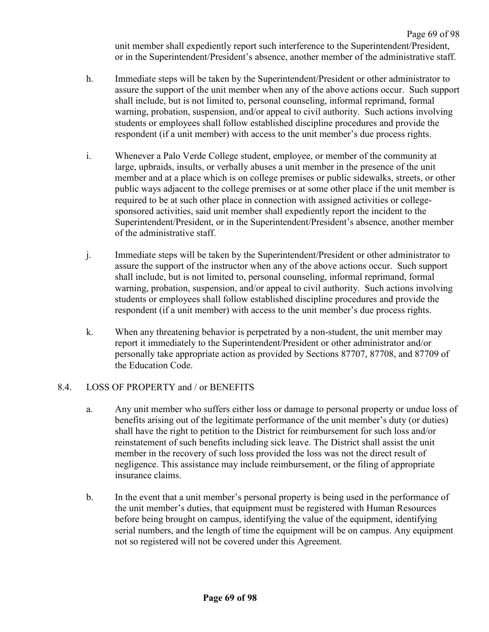Page 69 of 98 unit member shall expediently report such interference to the Superintendent/President, or in the Superintendent/President's absence, another member of the administrative staff.

- h. Immediate steps will be taken by the Superintendent/President or other administrator to assure the support of the unit member when any of the above actions occur. Such support shall include, but is not limited to, personal counseling, informal reprimand, formal warning, probation, suspension, and/or appeal to civil authority. Such actions involving students or employees shall follow established discipline procedures and provide the respondent (if a unit member) with access to the unit member's due process rights.
- i. Whenever a Palo Verde College student, employee, or member of the community at large, upbraids, insults, or verbally abuses a unit member in the presence of the unit member and at a place which is on college premises or public sidewalks, streets, or other public ways adjacent to the college premises or at some other place if the unit member is required to be at such other place in connection with assigned activities or collegesponsored activities, said unit member shall expediently report the incident to the Superintendent/President, or in the Superintendent/President's absence, another member of the administrative staff.
- j. Immediate steps will be taken by the Superintendent/President or other administrator to assure the support of the instructor when any of the above actions occur. Such support shall include, but is not limited to, personal counseling, informal reprimand, formal warning, probation, suspension, and/or appeal to civil authority. Such actions involving students or employees shall follow established discipline procedures and provide the respondent (if a unit member) with access to the unit member's due process rights.
- k. When any threatening behavior is perpetrated by a non-student, the unit member may report it immediately to the Superintendent/President or other administrator and/or personally take appropriate action as provided by Sections 87707, 87708, and 87709 of the Education Code.

### 8.4. LOSS OF PROPERTY and / or BENEFITS

- a. Any unit member who suffers either loss or damage to personal property or undue loss of benefits arising out of the legitimate performance of the unit member's duty (or duties) shall have the right to petition to the District for reimbursement for such loss and/or reinstatement of such benefits including sick leave. The District shall assist the unit member in the recovery of such loss provided the loss was not the direct result of negligence. This assistance may include reimbursement, or the filing of appropriate insurance claims.
- b. In the event that a unit member's personal property is being used in the performance of the unit member's duties, that equipment must be registered with Human Resources before being brought on campus, identifying the value of the equipment, identifying serial numbers, and the length of time the equipment will be on campus. Any equipment not so registered will not be covered under this Agreement.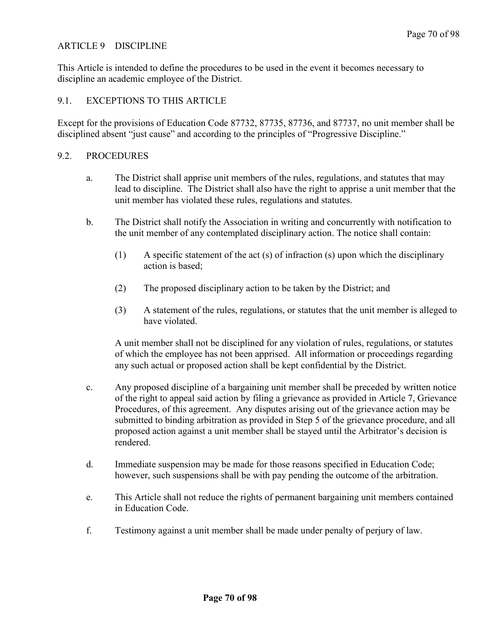### ARTICLE 9 DISCIPLINE

This Article is intended to define the procedures to be used in the event it becomes necessary to discipline an academic employee of the District.

### 9.1. EXCEPTIONS TO THIS ARTICLE

Except for the provisions of Education Code 87732, 87735, 87736, and 87737, no unit member shall be disciplined absent "just cause" and according to the principles of "Progressive Discipline."

### 9.2. PROCEDURES

- a. The District shall apprise unit members of the rules, regulations, and statutes that may lead to discipline. The District shall also have the right to apprise a unit member that the unit member has violated these rules, regulations and statutes.
- b. The District shall notify the Association in writing and concurrently with notification to the unit member of any contemplated disciplinary action. The notice shall contain:
	- (1) A specific statement of the act (s) of infraction (s) upon which the disciplinary action is based;
	- (2) The proposed disciplinary action to be taken by the District; and
	- (3) A statement of the rules, regulations, or statutes that the unit member is alleged to have violated.

A unit member shall not be disciplined for any violation of rules, regulations, or statutes of which the employee has not been apprised. All information or proceedings regarding any such actual or proposed action shall be kept confidential by the District.

- c. Any proposed discipline of a bargaining unit member shall be preceded by written notice of the right to appeal said action by filing a grievance as provided in Article 7, Grievance Procedures, of this agreement. Any disputes arising out of the grievance action may be submitted to binding arbitration as provided in Step 5 of the grievance procedure, and all proposed action against a unit member shall be stayed until the Arbitrator's decision is rendered.
- d. Immediate suspension may be made for those reasons specified in Education Code; however, such suspensions shall be with pay pending the outcome of the arbitration.
- e. This Article shall not reduce the rights of permanent bargaining unit members contained in Education Code.
- f. Testimony against a unit member shall be made under penalty of perjury of law.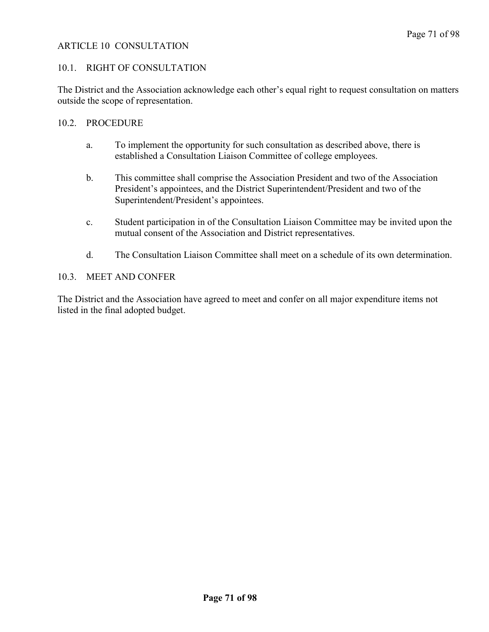### ARTICLE 10 CONSULTATION

### 10.1. RIGHT OF CONSULTATION

The District and the Association acknowledge each other's equal right to request consultation on matters outside the scope of representation.

### 10.2. PROCEDURE

- a. To implement the opportunity for such consultation as described above, there is established a Consultation Liaison Committee of college employees.
- b. This committee shall comprise the Association President and two of the Association President's appointees, and the District Superintendent/President and two of the Superintendent/President's appointees.
- c. Student participation in of the Consultation Liaison Committee may be invited upon the mutual consent of the Association and District representatives.
- d. The Consultation Liaison Committee shall meet on a schedule of its own determination.

### 10.3. MEET AND CONFER

The District and the Association have agreed to meet and confer on all major expenditure items not listed in the final adopted budget.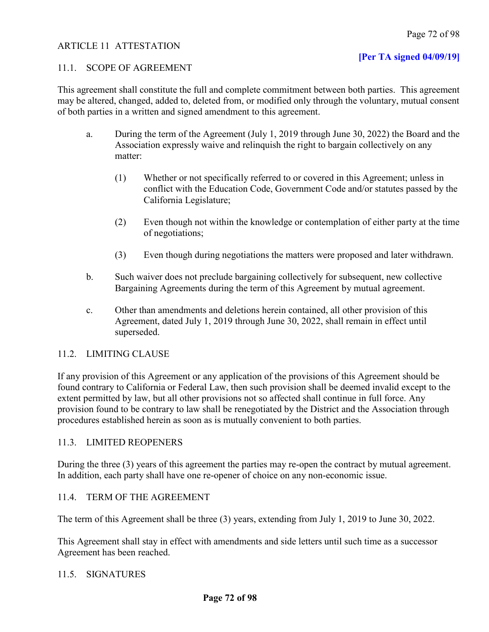### ARTICLE 11 ATTESTATION

### **[Per TA signed 04/09/19]**

### 11.1. SCOPE OF AGREEMENT

This agreement shall constitute the full and complete commitment between both parties. This agreement may be altered, changed, added to, deleted from, or modified only through the voluntary, mutual consent of both parties in a written and signed amendment to this agreement.

- a. During the term of the Agreement (July 1, 2019 through June 30, 2022) the Board and the Association expressly waive and relinquish the right to bargain collectively on any matter:
	- (1) Whether or not specifically referred to or covered in this Agreement; unless in conflict with the Education Code, Government Code and/or statutes passed by the California Legislature;
	- (2) Even though not within the knowledge or contemplation of either party at the time of negotiations;
	- (3) Even though during negotiations the matters were proposed and later withdrawn.
- b. Such waiver does not preclude bargaining collectively for subsequent, new collective Bargaining Agreements during the term of this Agreement by mutual agreement.
- c. Other than amendments and deletions herein contained, all other provision of this Agreement, dated July 1, 2019 through June 30, 2022, shall remain in effect until superseded.

### 11.2. LIMITING CLAUSE

If any provision of this Agreement or any application of the provisions of this Agreement should be found contrary to California or Federal Law, then such provision shall be deemed invalid except to the extent permitted by law, but all other provisions not so affected shall continue in full force. Any provision found to be contrary to law shall be renegotiated by the District and the Association through procedures established herein as soon as is mutually convenient to both parties.

### 11.3. LIMITED REOPENERS

During the three (3) years of this agreement the parties may re-open the contract by mutual agreement. In addition, each party shall have one re-opener of choice on any non-economic issue.

### 11.4. TERM OF THE AGREEMENT

The term of this Agreement shall be three (3) years, extending from July 1, 2019 to June 30, 2022.

This Agreement shall stay in effect with amendments and side letters until such time as a successor Agreement has been reached.

### 11.5. SIGNATURES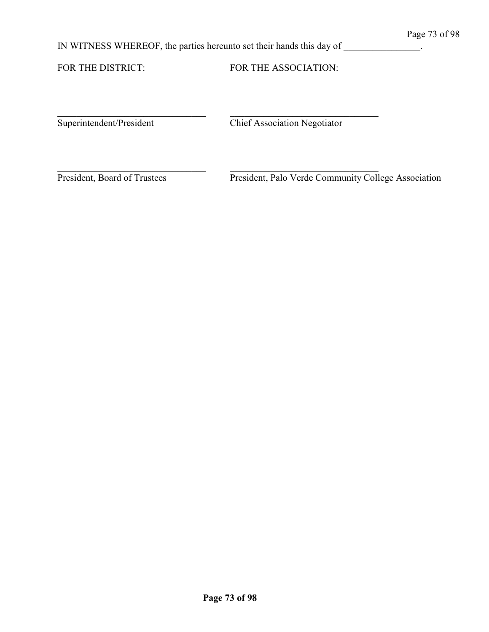IN WITNESS WHEREOF, the parties hereunto set their hands this day of \_\_\_\_\_\_\_\_\_\_\_\_\_\_.

\_\_\_\_\_\_\_\_\_\_\_\_\_\_\_\_\_\_\_\_\_\_\_\_\_\_\_\_\_\_\_ \_\_\_\_\_\_\_\_\_\_\_\_\_\_\_\_\_\_\_\_\_\_\_\_\_\_\_\_\_\_\_

FOR THE DISTRICT: FOR THE ASSOCIATION:

Superintendent/President Chief Association Negotiator

\_\_\_\_\_\_\_\_\_\_\_\_\_\_\_\_\_\_\_\_\_\_\_\_\_\_\_\_\_\_\_ \_\_\_\_\_\_\_\_\_\_\_\_\_\_\_\_\_\_\_\_\_\_\_\_\_\_\_\_\_\_\_

President, Board of Trustees President, Palo Verde Community College Association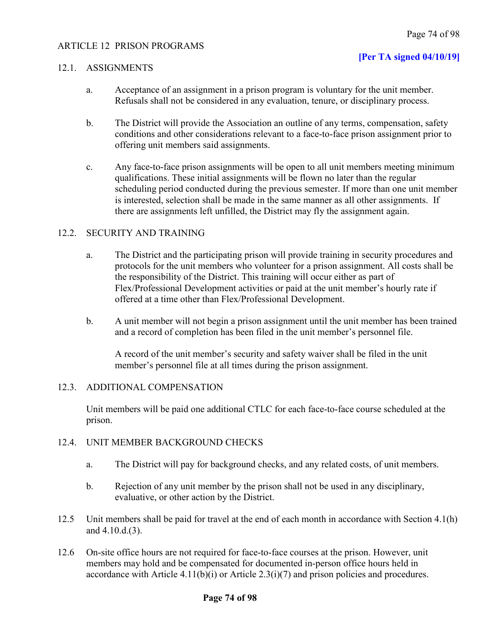### ARTICLE 12 PRISON PROGRAMS

### **[Per TA signed 04/10/19]**

### 12.1. ASSIGNMENTS

- a. Acceptance of an assignment in a prison program is voluntary for the unit member. Refusals shall not be considered in any evaluation, tenure, or disciplinary process.
- b. The District will provide the Association an outline of any terms, compensation, safety conditions and other considerations relevant to a face-to-face prison assignment prior to offering unit members said assignments.
- c. Any face-to-face prison assignments will be open to all unit members meeting minimum qualifications. These initial assignments will be flown no later than the regular scheduling period conducted during the previous semester. If more than one unit member is interested, selection shall be made in the same manner as all other assignments. If there are assignments left unfilled, the District may fly the assignment again.

### 12.2. SECURITY AND TRAINING

- a. The District and the participating prison will provide training in security procedures and protocols for the unit members who volunteer for a prison assignment. All costs shall be the responsibility of the District. This training will occur either as part of Flex/Professional Development activities or paid at the unit member's hourly rate if offered at a time other than Flex/Professional Development.
- b. A unit member will not begin a prison assignment until the unit member has been trained and a record of completion has been filed in the unit member's personnel file.

A record of the unit member's security and safety waiver shall be filed in the unit member's personnel file at all times during the prison assignment.

### 12.3. ADDITIONAL COMPENSATION

Unit members will be paid one additional CTLC for each face-to-face course scheduled at the prison.

### 12.4. UNIT MEMBER BACKGROUND CHECKS

- a. The District will pay for background checks, and any related costs, of unit members.
- b. Rejection of any unit member by the prison shall not be used in any disciplinary, evaluative, or other action by the District.
- 12.5 Unit members shall be paid for travel at the end of each month in accordance with Section 4.1(h) and 4.10.d.(3).
- 12.6 On-site office hours are not required for face-to-face courses at the prison. However, unit members may hold and be compensated for documented in-person office hours held in accordance with Article  $4.11(b)(i)$  or Article  $2.3(i)(7)$  and prison policies and procedures.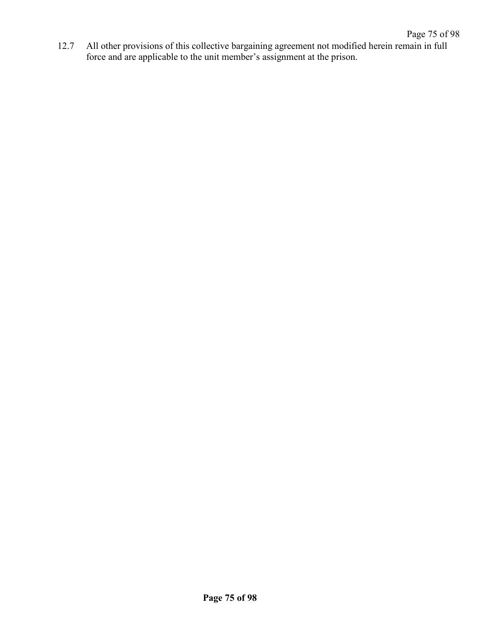12.7 All other provisions of this collective bargaining agreement not modified herein remain in full force and are applicable to the unit member's assignment at the prison.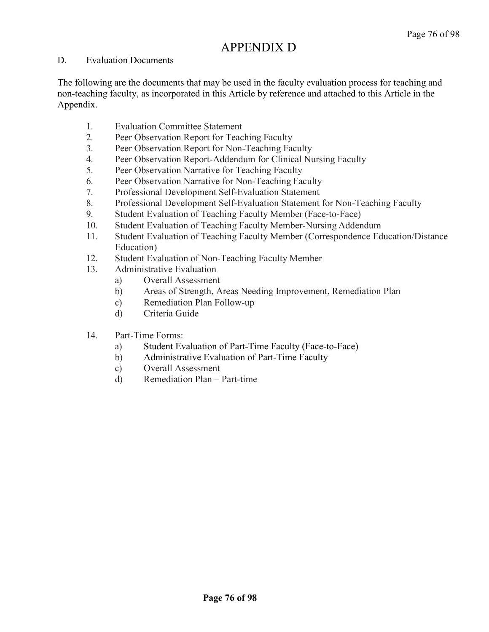### APPENDIX D

### D. Evaluation Documents

The following are the documents that may be used in the faculty evaluation process for teaching and non-teaching faculty, as incorporated in this Article by reference and attached to this Article in the Appendix.

- 1. Evaluation Committee Statement
- 2. Peer Observation Report for Teaching Faculty
- 3. Peer Observation Report for Non-Teaching Faculty
- 4. Peer Observation Report-Addendum for Clinical Nursing Faculty
- 5. Peer Observation Narrative for Teaching Faculty
- 6. Peer Observation Narrative for Non-Teaching Faculty
- 7. Professional Development Self-Evaluation Statement
- 8. Professional Development Self-Evaluation Statement for Non-Teaching Faculty
- 9. Student Evaluation of Teaching Faculty Member (Face-to-Face)
- 10. Student Evaluation of Teaching Faculty Member-Nursing Addendum
- 11. Student Evaluation of Teaching Faculty Member (Correspondence Education/Distance Education)
- 12. Student Evaluation of Non-Teaching Faculty Member
- 13. Administrative Evaluation
	- a) Overall Assessment
	- b) Areas of Strength, Areas Needing Improvement, Remediation Plan
	- c) Remediation Plan Follow-up
	- d) Criteria Guide
- 14. Part-Time Forms:
	- a) Student Evaluation of Part-Time Faculty (Face-to-Face)
	- b) Administrative Evaluation of Part-Time Faculty
	- c) Overall Assessment
	- d) Remediation Plan Part-time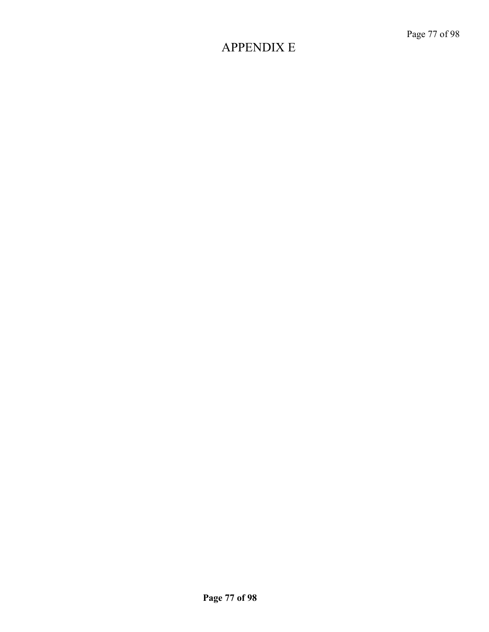### APPENDIX E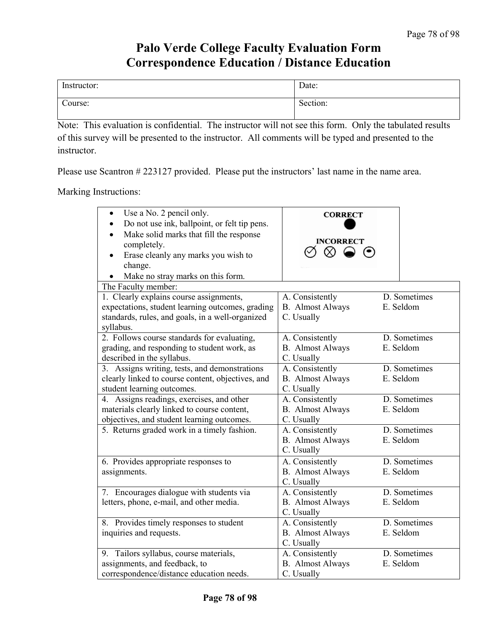### **Palo Verde College Faculty Evaluation Form Correspondence Education / Distance Education**

| Instructor: | Date:              |
|-------------|--------------------|
| Course:     | $\sim$<br>Section: |

Note: This evaluation is confidential. The instructor will not see this form. Only the tabulated results of this survey will be presented to the instructor. All comments will be typed and presented to the instructor.

Please use Scantron # 223127 provided. Please put the instructors' last name in the name area.

#### Marking Instructions:

| Use a No. 2 pencil only.<br>$\bullet$<br>Do not use ink, ballpoint, or felt tip pens.<br>$\bullet$<br>Make solid marks that fill the response<br>$\bullet$<br>completely.<br>Erase cleanly any marks you wish to<br>change.<br>Make no stray marks on this form.<br>The Faculty member: | <b>CORRECT</b><br><b>INCORRECT</b><br>$\infty$ $\infty$ |              |
|-----------------------------------------------------------------------------------------------------------------------------------------------------------------------------------------------------------------------------------------------------------------------------------------|---------------------------------------------------------|--------------|
| 1. Clearly explains course assignments,                                                                                                                                                                                                                                                 | A. Consistently                                         | D. Sometimes |
| expectations, student learning outcomes, grading<br>standards, rules, and goals, in a well-organized<br>syllabus.                                                                                                                                                                       | <b>B.</b> Almost Always<br>C. Usually                   | E. Seldom    |
| 2. Follows course standards for evaluating,                                                                                                                                                                                                                                             | A. Consistently                                         | D. Sometimes |
| grading, and responding to student work, as                                                                                                                                                                                                                                             | <b>B.</b> Almost Always                                 | E. Seldom    |
| described in the syllabus.                                                                                                                                                                                                                                                              | C. Usually                                              |              |
| 3. Assigns writing, tests, and demonstrations                                                                                                                                                                                                                                           | A. Consistently                                         | D. Sometimes |
| clearly linked to course content, objectives, and                                                                                                                                                                                                                                       | <b>B.</b> Almost Always                                 | E. Seldom    |
| student learning outcomes.                                                                                                                                                                                                                                                              | C. Usually                                              |              |
| 4. Assigns readings, exercises, and other                                                                                                                                                                                                                                               | A. Consistently                                         | D. Sometimes |
| materials clearly linked to course content,                                                                                                                                                                                                                                             | <b>B.</b> Almost Always                                 | E. Seldom    |
| objectives, and student learning outcomes.                                                                                                                                                                                                                                              | C. Usually                                              |              |
| 5. Returns graded work in a timely fashion.                                                                                                                                                                                                                                             | A. Consistently                                         | D. Sometimes |
|                                                                                                                                                                                                                                                                                         | <b>B.</b> Almost Always                                 | E. Seldom    |
|                                                                                                                                                                                                                                                                                         | C. Usually                                              |              |
| 6. Provides appropriate responses to                                                                                                                                                                                                                                                    | A. Consistently                                         | D. Sometimes |
| assignments.                                                                                                                                                                                                                                                                            | <b>B.</b> Almost Always                                 | E. Seldom    |
|                                                                                                                                                                                                                                                                                         | C. Usually                                              |              |
| 7. Encourages dialogue with students via                                                                                                                                                                                                                                                | A. Consistently                                         | D. Sometimes |
| letters, phone, e-mail, and other media.                                                                                                                                                                                                                                                | <b>B.</b> Almost Always                                 | E. Seldom    |
|                                                                                                                                                                                                                                                                                         | C. Usually                                              |              |
| 8. Provides timely responses to student                                                                                                                                                                                                                                                 | A. Consistently                                         | D. Sometimes |
| inquiries and requests.                                                                                                                                                                                                                                                                 | <b>B.</b> Almost Always                                 | E. Seldom    |
|                                                                                                                                                                                                                                                                                         | C. Usually                                              |              |
| 9. Tailors syllabus, course materials,                                                                                                                                                                                                                                                  | A. Consistently                                         | D. Sometimes |
| assignments, and feedback, to                                                                                                                                                                                                                                                           | <b>B.</b> Almost Always                                 | E. Seldom    |
| correspondence/distance education needs.                                                                                                                                                                                                                                                | C. Usually                                              |              |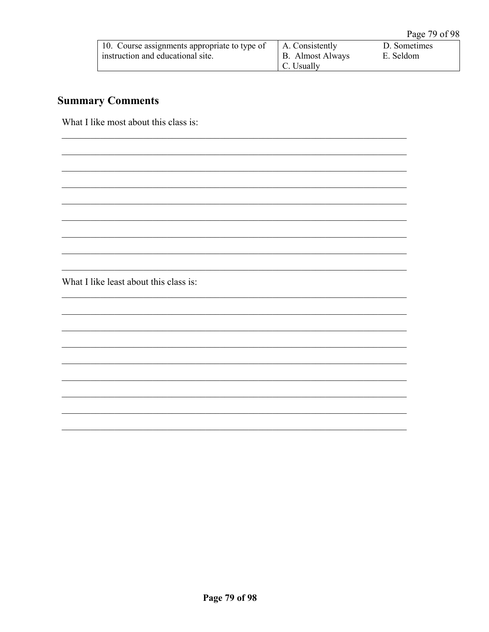| 10. Course assignments appropriate to type of | A. Consistently  | D. Sometimes |
|-----------------------------------------------|------------------|--------------|
| instruction and educational site.             | B. Almost Always | E. Seldom    |
|                                               | C. Usually       |              |

### **Summary Comments**

What I like most about this class is:

What I like least about this class is: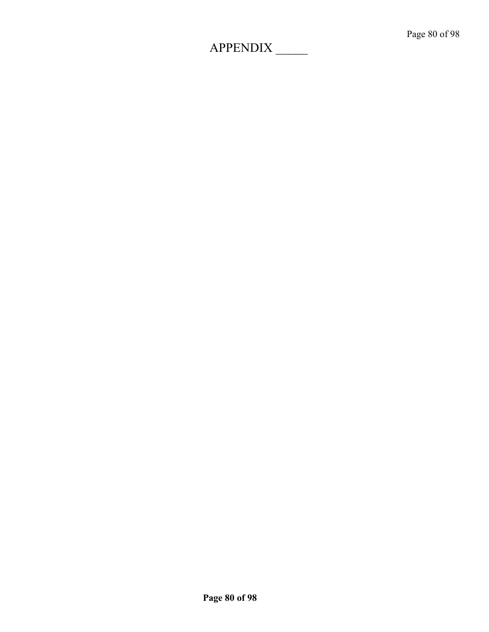# APPENDIX \_\_\_\_\_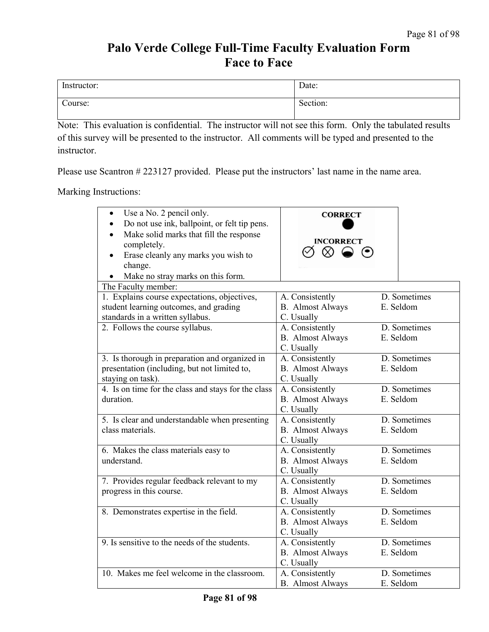### **Palo Verde College Full-Time Faculty Evaluation Form Face to Face**

| Instructor: | Date:    |
|-------------|----------|
| Course:     | Section: |

Note: This evaluation is confidential. The instructor will not see this form. Only the tabulated results of this survey will be presented to the instructor. All comments will be typed and presented to the instructor.

Please use Scantron # 223127 provided. Please put the instructors' last name in the name area.

Marking Instructions:

| Use a No. 2 pencil only.<br>$\bullet$<br>Do not use ink, ballpoint, or felt tip pens.<br>$\bullet$<br>Make solid marks that fill the response<br>$\bullet$<br>completely.<br>Erase cleanly any marks you wish to<br>$\bullet$<br>change.<br>Make no stray marks on this form.<br>$\bullet$<br>The Faculty member: | <b>CORRECT</b><br><b>INCORRECT</b><br>$\infty \bullet \bullet$ |              |
|-------------------------------------------------------------------------------------------------------------------------------------------------------------------------------------------------------------------------------------------------------------------------------------------------------------------|----------------------------------------------------------------|--------------|
| 1. Explains course expectations, objectives,                                                                                                                                                                                                                                                                      | A. Consistently                                                | D. Sometimes |
| student learning outcomes, and grading                                                                                                                                                                                                                                                                            | <b>B.</b> Almost Always                                        | E. Seldom    |
| standards in a written syllabus.                                                                                                                                                                                                                                                                                  | C. Usually                                                     |              |
| 2. Follows the course syllabus.                                                                                                                                                                                                                                                                                   | A. Consistently                                                | D. Sometimes |
|                                                                                                                                                                                                                                                                                                                   | <b>B.</b> Almost Always<br>C. Usually                          | E. Seldom    |
| 3. Is thorough in preparation and organized in                                                                                                                                                                                                                                                                    | A. Consistently                                                | D. Sometimes |
| presentation (including, but not limited to,                                                                                                                                                                                                                                                                      | <b>B.</b> Almost Always                                        | E. Seldom    |
| staying on task).                                                                                                                                                                                                                                                                                                 | C. Usually                                                     |              |
| 4. Is on time for the class and stays for the class                                                                                                                                                                                                                                                               | A. Consistently                                                | D. Sometimes |
| duration.                                                                                                                                                                                                                                                                                                         | <b>B.</b> Almost Always<br>C. Usually                          | E. Seldom    |
| 5. Is clear and understandable when presenting                                                                                                                                                                                                                                                                    | A. Consistently                                                | D. Sometimes |
| class materials.                                                                                                                                                                                                                                                                                                  | <b>B.</b> Almost Always<br>C. Usually                          | E. Seldom    |
| 6. Makes the class materials easy to                                                                                                                                                                                                                                                                              | A. Consistently                                                | D. Sometimes |
| understand.                                                                                                                                                                                                                                                                                                       | <b>B.</b> Almost Always<br>C. Usually                          | E. Seldom    |
| 7. Provides regular feedback relevant to my                                                                                                                                                                                                                                                                       | A. Consistently                                                | D. Sometimes |
| progress in this course.                                                                                                                                                                                                                                                                                          | <b>B.</b> Almost Always                                        | E. Seldom    |
|                                                                                                                                                                                                                                                                                                                   | C. Usually                                                     |              |
| 8. Demonstrates expertise in the field.                                                                                                                                                                                                                                                                           | A. Consistently                                                | D. Sometimes |
|                                                                                                                                                                                                                                                                                                                   | <b>B.</b> Almost Always<br>C. Usually                          | E. Seldom    |
| 9. Is sensitive to the needs of the students.                                                                                                                                                                                                                                                                     | A. Consistently                                                | D. Sometimes |
|                                                                                                                                                                                                                                                                                                                   | <b>B.</b> Almost Always<br>C. Usually                          | E. Seldom    |
| 10. Makes me feel welcome in the classroom.                                                                                                                                                                                                                                                                       | A. Consistently                                                | D. Sometimes |
|                                                                                                                                                                                                                                                                                                                   | <b>B.</b> Almost Always                                        | E. Seldom    |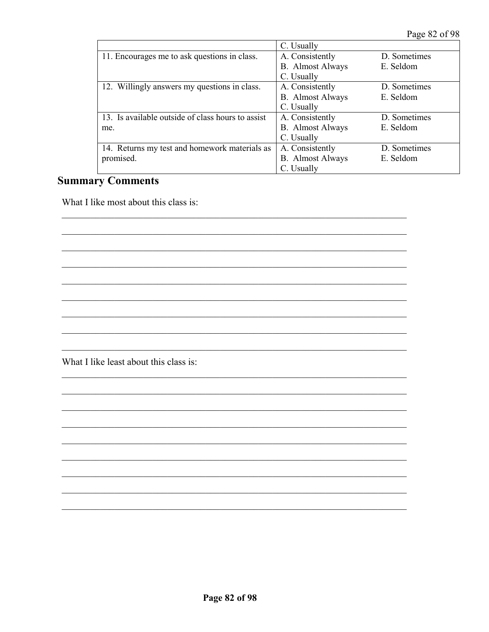Page 82 of 98

|                                                   | C. Usually              |              |
|---------------------------------------------------|-------------------------|--------------|
| 11. Encourages me to ask questions in class.      | A. Consistently         | D. Sometimes |
|                                                   | <b>B.</b> Almost Always | E. Seldom    |
|                                                   | C. Usually              |              |
| 12. Willingly answers my questions in class.      | A. Consistently         | D. Sometimes |
|                                                   | <b>B.</b> Almost Always | E. Seldom    |
|                                                   | C. Usually              |              |
| 13. Is available outside of class hours to assist | A. Consistently         | D. Sometimes |
| me.                                               | <b>B.</b> Almost Always | E. Seldom    |
|                                                   | C. Usually              |              |
| 14. Returns my test and homework materials as     | A. Consistently         | D. Sometimes |
| promised.                                         | <b>B.</b> Almost Always | E. Seldom    |
|                                                   | C. Usually              |              |

### **Summary Comments**

What I like most about this class is:

What I like least about this class is: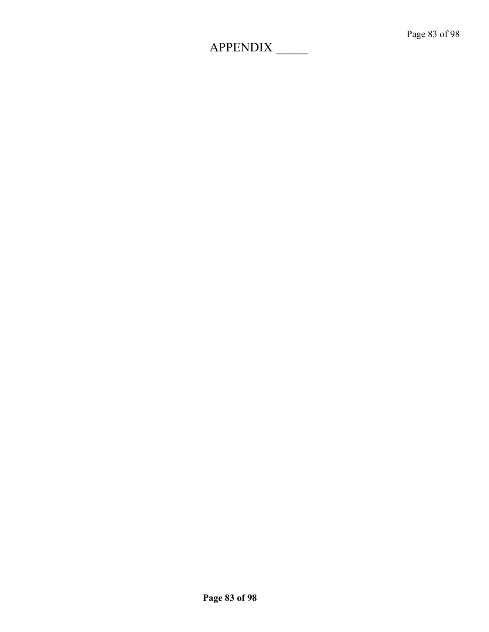# APPENDIX \_\_\_\_\_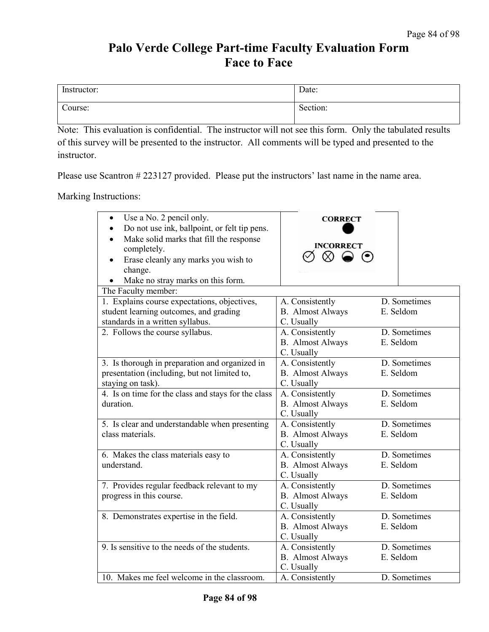### **Palo Verde College Part-time Faculty Evaluation Form Face to Face**

| Instructor: | Date:    |
|-------------|----------|
| Course:     | Section: |

Note: This evaluation is confidential. The instructor will not see this form. Only the tabulated results of this survey will be presented to the instructor. All comments will be typed and presented to the instructor.

Please use Scantron # 223127 provided. Please put the instructors' last name in the name area.

Marking Instructions:

| Use a No. 2 pencil only.<br>$\bullet$<br>Do not use ink, ballpoint, or felt tip pens.<br>$\bullet$<br>Make solid marks that fill the response<br>completely.<br>Erase cleanly any marks you wish to<br>change.<br>Make no stray marks on this form.<br>$\bullet$ | <b>CORRECT</b><br><b>INCORRECT</b><br>$\otimes$ $\odot$  |                           |
|------------------------------------------------------------------------------------------------------------------------------------------------------------------------------------------------------------------------------------------------------------------|----------------------------------------------------------|---------------------------|
| The Faculty member:                                                                                                                                                                                                                                              |                                                          |                           |
| 1. Explains course expectations, objectives,<br>student learning outcomes, and grading<br>standards in a written syllabus.                                                                                                                                       | A. Consistently<br><b>B.</b> Almost Always<br>C. Usually | D. Sometimes<br>E. Seldom |
| 2. Follows the course syllabus.                                                                                                                                                                                                                                  | A. Consistently<br><b>B.</b> Almost Always<br>C. Usually | D. Sometimes<br>E. Seldom |
| 3. Is thorough in preparation and organized in<br>presentation (including, but not limited to,<br>staying on task).                                                                                                                                              | A. Consistently<br><b>B.</b> Almost Always<br>C. Usually | D. Sometimes<br>E. Seldom |
| 4. Is on time for the class and stays for the class<br>duration.                                                                                                                                                                                                 | A. Consistently<br><b>B.</b> Almost Always<br>C. Usually | D. Sometimes<br>E. Seldom |
| 5. Is clear and understandable when presenting<br>class materials.                                                                                                                                                                                               | A. Consistently<br><b>B.</b> Almost Always<br>C. Usually | D. Sometimes<br>E. Seldom |
| 6. Makes the class materials easy to<br>understand.                                                                                                                                                                                                              | A. Consistently<br><b>B.</b> Almost Always<br>C. Usually | D. Sometimes<br>E. Seldom |
| 7. Provides regular feedback relevant to my<br>progress in this course.                                                                                                                                                                                          | A. Consistently<br><b>B.</b> Almost Always<br>C. Usually | D. Sometimes<br>E. Seldom |
| 8. Demonstrates expertise in the field.                                                                                                                                                                                                                          | A. Consistently<br><b>B.</b> Almost Always<br>C. Usually | D. Sometimes<br>E. Seldom |
| 9. Is sensitive to the needs of the students.                                                                                                                                                                                                                    | A. Consistently<br><b>B.</b> Almost Always<br>C. Usually | D. Sometimes<br>E. Seldom |
| 10. Makes me feel welcome in the classroom.                                                                                                                                                                                                                      | A. Consistently                                          | D. Sometimes              |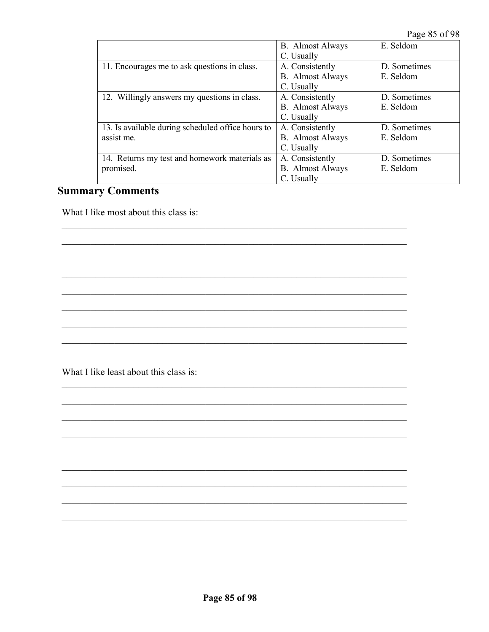Page 85 of 98

|                                                   | <b>B.</b> Almost Always | E. Seldom    |
|---------------------------------------------------|-------------------------|--------------|
|                                                   | C. Usually              |              |
| 11. Encourages me to ask questions in class.      | A. Consistently         | D. Sometimes |
|                                                   | <b>B.</b> Almost Always | E. Seldom    |
|                                                   | C. Usually              |              |
| 12. Willingly answers my questions in class.      | A. Consistently         | D. Sometimes |
|                                                   | <b>B.</b> Almost Always | E. Seldom    |
|                                                   | C. Usually              |              |
| 13. Is available during scheduled office hours to | A. Consistently         | D. Sometimes |
| assist me.                                        | <b>B.</b> Almost Always | E. Seldom    |
|                                                   | C. Usually              |              |
| 14. Returns my test and homework materials as     | A. Consistently         | D. Sometimes |
| promised.                                         | <b>B.</b> Almost Always | E. Seldom    |
|                                                   | C. Usually              |              |

### **Summary Comments**

What I like most about this class is:

What I like least about this class is: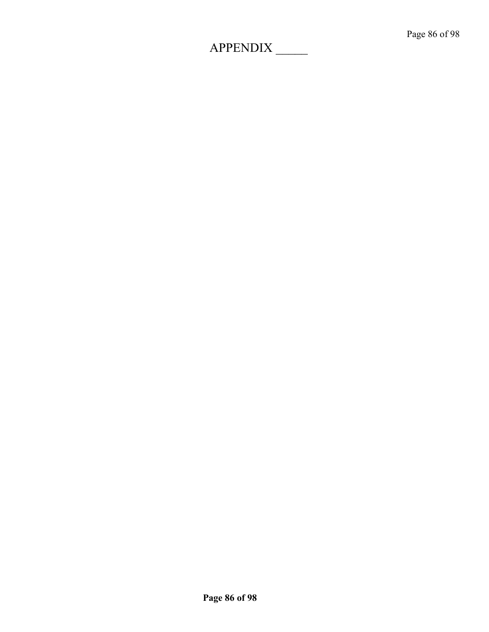# APPENDIX \_\_\_\_\_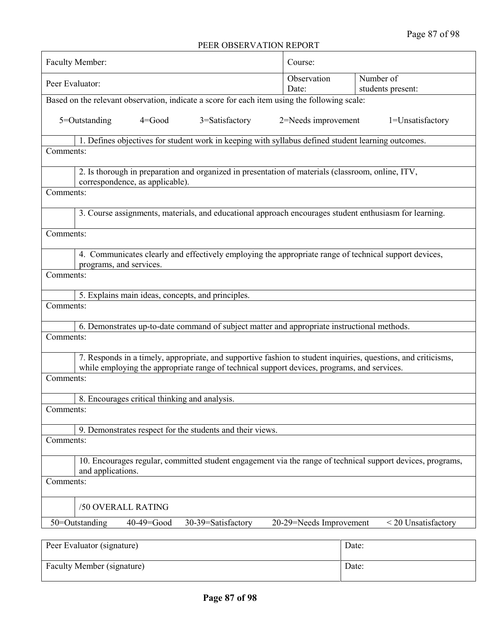### PEER OBSERVATION REPORT

| FEEN UDSENVATIUN NEFUNT                                                                                                         |                         |                     |
|---------------------------------------------------------------------------------------------------------------------------------|-------------------------|---------------------|
| <b>Faculty Member:</b>                                                                                                          | Course:                 |                     |
| Number of<br>Observation                                                                                                        |                         |                     |
| Peer Evaluator:                                                                                                                 | Date:                   | students present:   |
| Based on the relevant observation, indicate a score for each item using the following scale:                                    |                         |                     |
| 5=Outstanding<br>3=Satisfactory<br>$4 = Good$                                                                                   | 2=Needs improvement     | 1=Unsatisfactory    |
| 1. Defines objectives for student work in keeping with syllabus defined student learning outcomes.                              |                         |                     |
| Comments:                                                                                                                       |                         |                     |
| 2. Is thorough in preparation and organized in presentation of materials (classroom, online, ITV,                               |                         |                     |
| correspondence, as applicable).                                                                                                 |                         |                     |
| Comments:                                                                                                                       |                         |                     |
| 3. Course assignments, materials, and educational approach encourages student enthusiasm for learning.                          |                         |                     |
| Comments:                                                                                                                       |                         |                     |
| 4. Communicates clearly and effectively employing the appropriate range of technical support devices,                           |                         |                     |
| programs, and services.                                                                                                         |                         |                     |
| Comments:                                                                                                                       |                         |                     |
| 5. Explains main ideas, concepts, and principles.                                                                               |                         |                     |
| Comments:                                                                                                                       |                         |                     |
| 6. Demonstrates up-to-date command of subject matter and appropriate instructional methods.                                     |                         |                     |
| Comments:                                                                                                                       |                         |                     |
| 7. Responds in a timely, appropriate, and supportive fashion to student inquiries, questions, and criticisms,                   |                         |                     |
| while employing the appropriate range of technical support devices, programs, and services.                                     |                         |                     |
| Comments:                                                                                                                       |                         |                     |
| 8. Encourages critical thinking and analysis.                                                                                   |                         |                     |
| Comments:                                                                                                                       |                         |                     |
| 9. Demonstrates respect for the students and their views.                                                                       |                         |                     |
| Comments:                                                                                                                       |                         |                     |
| 10. Encourages regular, committed student engagement via the range of technical support devices, programs,<br>and applications. |                         |                     |
| Comments:                                                                                                                       |                         |                     |
| /50 OVERALL RATING                                                                                                              |                         |                     |
| 50=Outstanding<br>30-39=Satisfactory<br>40-49=Good                                                                              | 20-29=Needs Improvement | < 20 Unsatisfactory |
|                                                                                                                                 |                         |                     |
| Peer Evaluator (signature)                                                                                                      | Date:                   |                     |
| Faculty Member (signature)                                                                                                      | Date:                   |                     |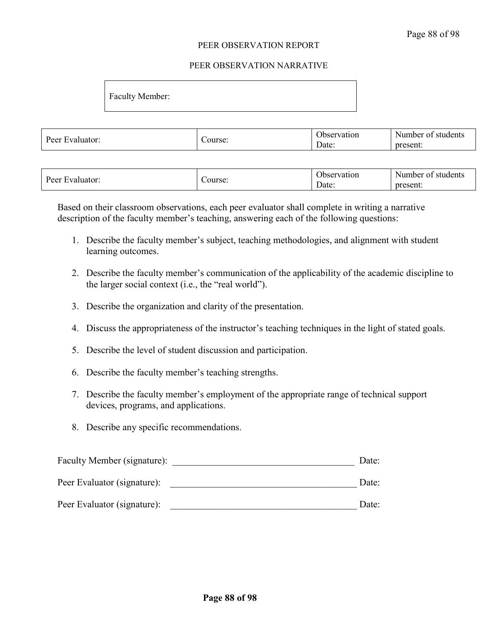#### PEER OBSERVATION REPORT

#### PEER OBSERVATION NARRATIVE

Faculty Member:

| -<br><sup>n</sup><br><b>Livro</b> |        | Jbse<br>2.00000000000<br>vation | udents<br>Number<br>. st<br>ΩŤ |
|-----------------------------------|--------|---------------------------------|--------------------------------|
| Peer<br>luator:                   | ourse: | Date:                           | nresent:<br>-SUIII.            |

| $\sim$<br>$\overline{\phantom{a}}$ |        | Jbservation                       | Number<br>students <sup>-</sup><br>O1 |
|------------------------------------|--------|-----------------------------------|---------------------------------------|
| Peer<br>Evaluator:                 | ourse: | $\overline{\phantom{a}}$<br>Date: | present.                              |

Based on their classroom observations, each peer evaluator shall complete in writing a narrative description of the faculty member's teaching, answering each of the following questions:

- 1. Describe the faculty member's subject, teaching methodologies, and alignment with student learning outcomes.
- 2. Describe the faculty member's communication of the applicability of the academic discipline to the larger social context (i.e., the "real world").
- 3. Describe the organization and clarity of the presentation.
- 4. Discuss the appropriateness of the instructor's teaching techniques in the light of stated goals.
- 5. Describe the level of student discussion and participation.
- 6. Describe the faculty member's teaching strengths.
- 7. Describe the faculty member's employment of the appropriate range of technical support devices, programs, and applications.
- 8. Describe any specific recommendations.

| Faculty Member (signature): | Date: |
|-----------------------------|-------|
| Peer Evaluator (signature): | Date: |
| Peer Evaluator (signature): | Date: |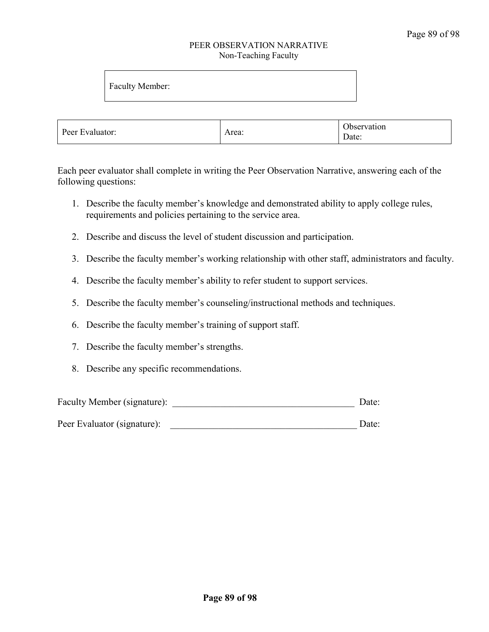#### PEER OBSERVATION NARRATIVE Non-Teaching Faculty

Faculty Member:

| $\overline{\phantom{a}}$<br>Peer Evaluator:<br>Area: |  | Observation<br>$\overline{\phantom{a}}$<br>Date: |
|------------------------------------------------------|--|--------------------------------------------------|
|------------------------------------------------------|--|--------------------------------------------------|

Each peer evaluator shall complete in writing the Peer Observation Narrative, answering each of the following questions:

- 1. Describe the faculty member's knowledge and demonstrated ability to apply college rules, requirements and policies pertaining to the service area.
- 2. Describe and discuss the level of student discussion and participation.
- 3. Describe the faculty member's working relationship with other staff, administrators and faculty.
- 4. Describe the faculty member's ability to refer student to support services.
- 5. Describe the faculty member's counseling/instructional methods and techniques.
- 6. Describe the faculty member's training of support staff.
- 7. Describe the faculty member's strengths.
- 8. Describe any specific recommendations.

| Faculty Member (signature): | Date: |
|-----------------------------|-------|
|-----------------------------|-------|

Peer Evaluator (signature): <br>  $\Box$  Date: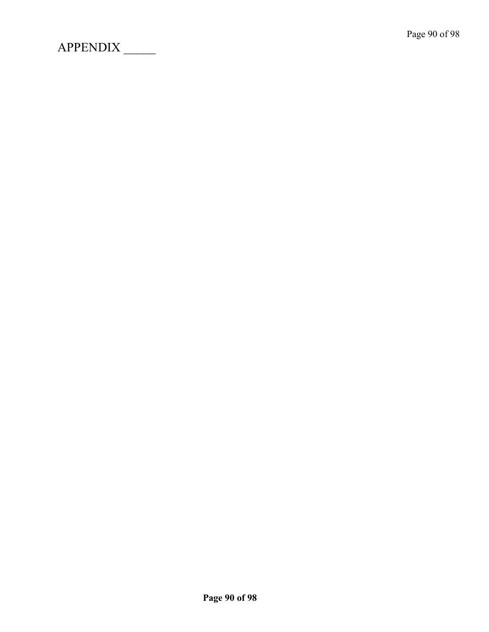APPENDIX \_\_\_\_\_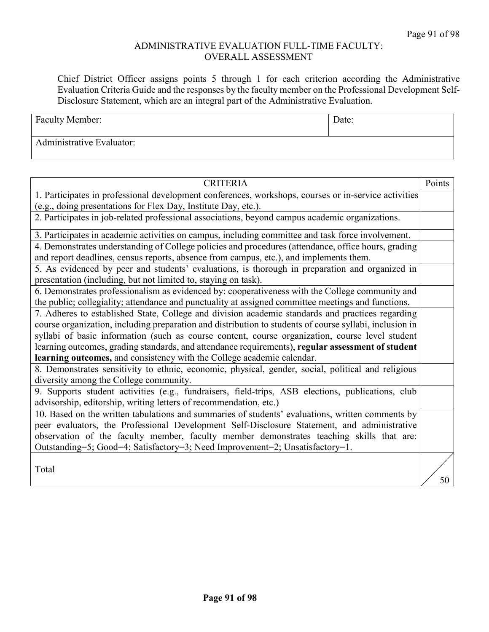### ADMINISTRATIVE EVALUATION FULL-TIME FACULTY: OVERALL ASSESSMENT

Chief District Officer assigns points 5 through 1 for each criterion according the Administrative Evaluation Criteria Guide and the responses by the faculty member on the Professional Development Self-Disclosure Statement, which are an integral part of the Administrative Evaluation.

| <b>Faculty Member:</b>           | Date: |
|----------------------------------|-------|
| <b>Administrative Evaluator:</b> |       |

| <b>CRITERIA</b>                                                                                         | Points |
|---------------------------------------------------------------------------------------------------------|--------|
| 1. Participates in professional development conferences, workshops, courses or in-service activities    |        |
| (e.g., doing presentations for Flex Day, Institute Day, etc.).                                          |        |
| 2. Participates in job-related professional associations, beyond campus academic organizations.         |        |
| 3. Participates in academic activities on campus, including committee and task force involvement.       |        |
| 4. Demonstrates understanding of College policies and procedures (attendance, office hours, grading     |        |
| and report deadlines, census reports, absence from campus, etc.), and implements them.                  |        |
| 5. As evidenced by peer and students' evaluations, is thorough in preparation and organized in          |        |
| presentation (including, but not limited to, staying on task).                                          |        |
| 6. Demonstrates professionalism as evidenced by: cooperativeness with the College community and         |        |
| the public; collegiality; attendance and punctuality at assigned committee meetings and functions.      |        |
| 7. Adheres to established State, College and division academic standards and practices regarding        |        |
| course organization, including preparation and distribution to students of course syllabi, inclusion in |        |
| syllabi of basic information (such as course content, course organization, course level student         |        |
| learning outcomes, grading standards, and attendance requirements), regular assessment of student       |        |
| learning outcomes, and consistency with the College academic calendar.                                  |        |
| 8. Demonstrates sensitivity to ethnic, economic, physical, gender, social, political and religious      |        |
| diversity among the College community.                                                                  |        |
| 9. Supports student activities (e.g., fundraisers, field-trips, ASB elections, publications, club       |        |
| advisorship, editorship, writing letters of recommendation, etc.)                                       |        |
| 10. Based on the written tabulations and summaries of students' evaluations, written comments by        |        |
| peer evaluators, the Professional Development Self-Disclosure Statement, and administrative             |        |
| observation of the faculty member, faculty member demonstrates teaching skills that are:                |        |
| Outstanding=5; Good=4; Satisfactory=3; Need Improvement=2; Unsatisfactory=1.                            |        |
| Total                                                                                                   |        |
|                                                                                                         | 50     |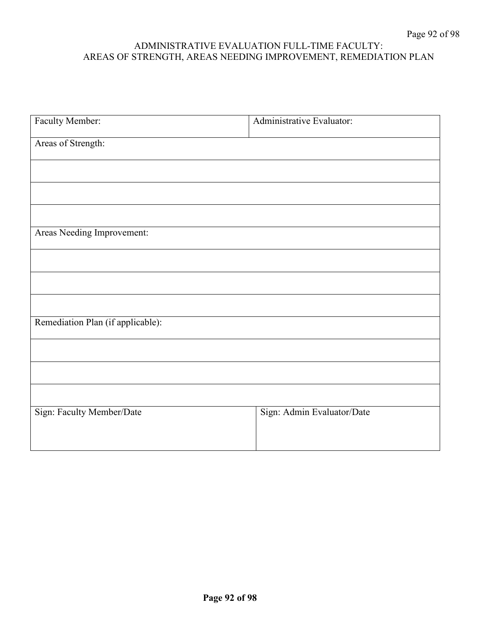### ADMINISTRATIVE EVALUATION FULL-TIME FACULTY: AREAS OF STRENGTH, AREAS NEEDING IMPROVEMENT, REMEDIATION PLAN

| Faculty Member:                   | Administrative Evaluator:  |
|-----------------------------------|----------------------------|
| Areas of Strength:                |                            |
|                                   |                            |
|                                   |                            |
|                                   |                            |
|                                   |                            |
| Areas Needing Improvement:        |                            |
|                                   |                            |
|                                   |                            |
|                                   |                            |
| Remediation Plan (if applicable): |                            |
|                                   |                            |
|                                   |                            |
|                                   |                            |
| Sign: Faculty Member/Date         | Sign: Admin Evaluator/Date |
|                                   |                            |
|                                   |                            |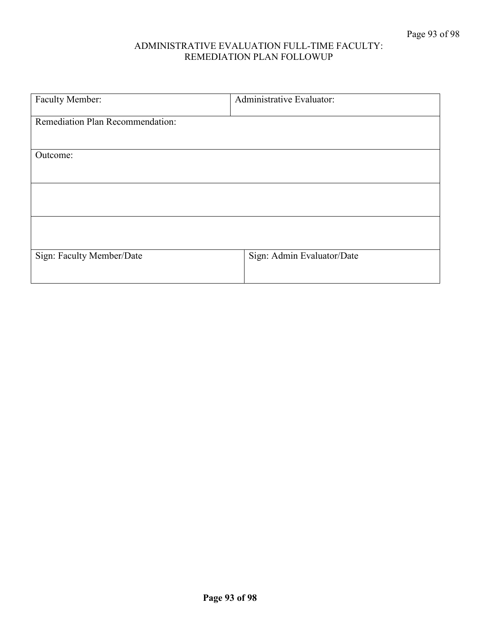### ADMINISTRATIVE EVALUATION FULL-TIME FACULTY: REMEDIATION PLAN FOLLOWUP

| Faculty Member:                  | Administrative Evaluator:  |
|----------------------------------|----------------------------|
|                                  |                            |
| Remediation Plan Recommendation: |                            |
|                                  |                            |
|                                  |                            |
| Outcome:                         |                            |
|                                  |                            |
|                                  |                            |
|                                  |                            |
|                                  |                            |
|                                  |                            |
|                                  |                            |
| Sign: Faculty Member/Date        | Sign: Admin Evaluator/Date |
|                                  |                            |
|                                  |                            |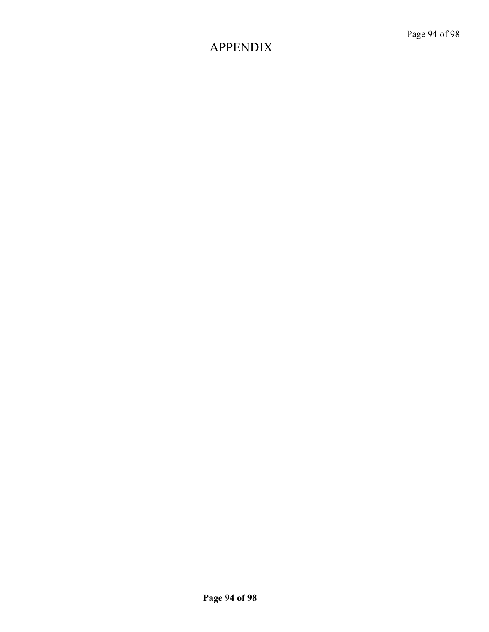## APPENDIX \_\_\_\_\_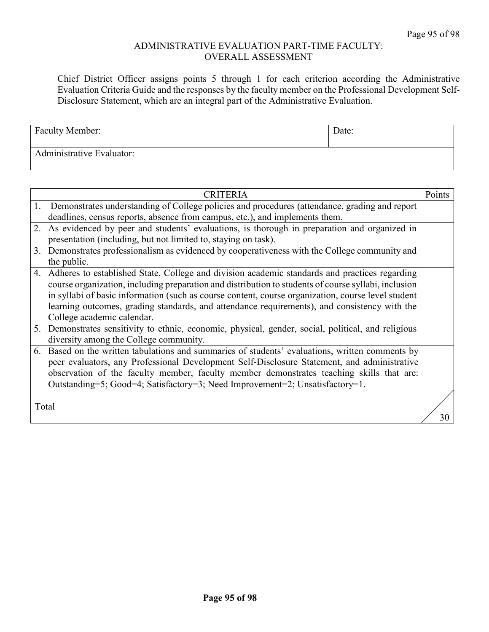#### ADMINISTRATIVE EVALUATION PART-TIME FACULTY: OVERALL ASSESSMENT

Chief District Officer assigns points 5 through 1 for each criterion according the Administrative Evaluation Criteria Guide and the responses by the faculty member on the Professional Development Self-Disclosure Statement, which are an integral part of the Administrative Evaluation.

| <b>Faculty Member:</b>    | Date: |
|---------------------------|-------|
| Administrative Evaluator: |       |

|    | <b>CRITERIA</b>                                                                                                                                                                                                                                                                                                                                                                                                                              | Points |
|----|----------------------------------------------------------------------------------------------------------------------------------------------------------------------------------------------------------------------------------------------------------------------------------------------------------------------------------------------------------------------------------------------------------------------------------------------|--------|
|    | 1. Demonstrates understanding of College policies and procedures (attendance, grading and report<br>deadlines, census reports, absence from campus, etc.), and implements them.                                                                                                                                                                                                                                                              |        |
| 2. | As evidenced by peer and students' evaluations, is thorough in preparation and organized in<br>presentation (including, but not limited to, staying on task).                                                                                                                                                                                                                                                                                |        |
| 3. | Demonstrates professionalism as evidenced by cooperativeness with the College community and<br>the public.                                                                                                                                                                                                                                                                                                                                   |        |
|    | 4. Adheres to established State, College and division academic standards and practices regarding<br>course organization, including preparation and distribution to students of course syllabi, inclusion<br>in syllabi of basic information (such as course content, course organization, course level student<br>learning outcomes, grading standards, and attendance requirements), and consistency with the<br>College academic calendar. |        |
|    | 5. Demonstrates sensitivity to ethnic, economic, physical, gender, social, political, and religious<br>diversity among the College community.                                                                                                                                                                                                                                                                                                |        |
| 6. | Based on the written tabulations and summaries of students' evaluations, written comments by<br>peer evaluators, any Professional Development Self-Disclosure Statement, and administrative<br>observation of the faculty member, faculty member demonstrates teaching skills that are:<br>Outstanding=5; Good=4; Satisfactory=3; Need Improvement=2; Unsatisfactory=1.                                                                      |        |
|    | Total                                                                                                                                                                                                                                                                                                                                                                                                                                        | 30     |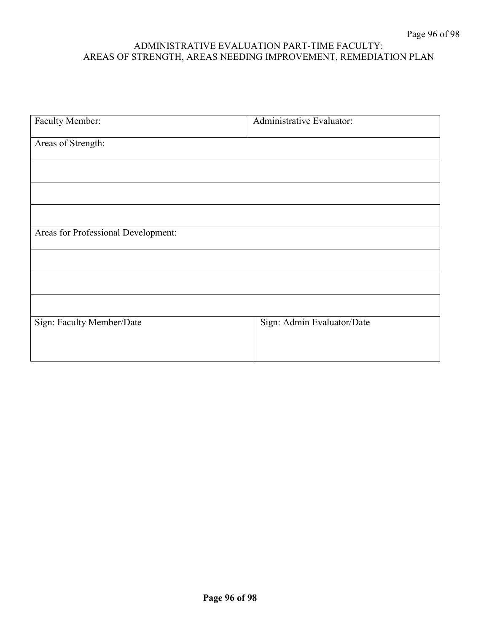### ADMINISTRATIVE EVALUATION PART-TIME FACULTY: AREAS OF STRENGTH, AREAS NEEDING IMPROVEMENT, REMEDIATION PLAN

| Faculty Member:                     | Administrative Evaluator:  |
|-------------------------------------|----------------------------|
| Areas of Strength:                  |                            |
|                                     |                            |
|                                     |                            |
|                                     |                            |
| Areas for Professional Development: |                            |
|                                     |                            |
|                                     |                            |
|                                     |                            |
| Sign: Faculty Member/Date           | Sign: Admin Evaluator/Date |
|                                     |                            |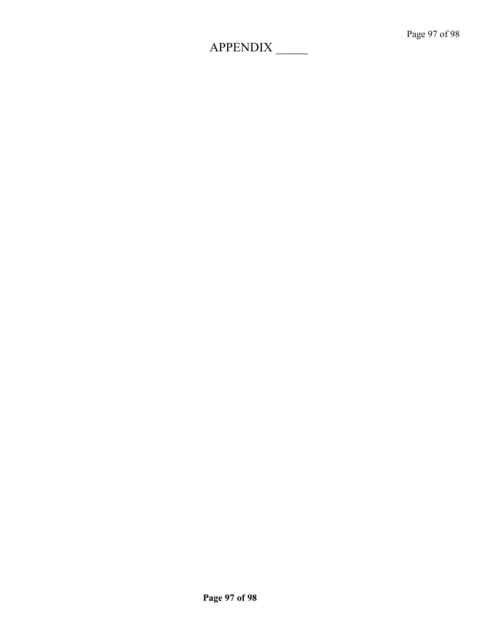# APPENDIX \_\_\_\_\_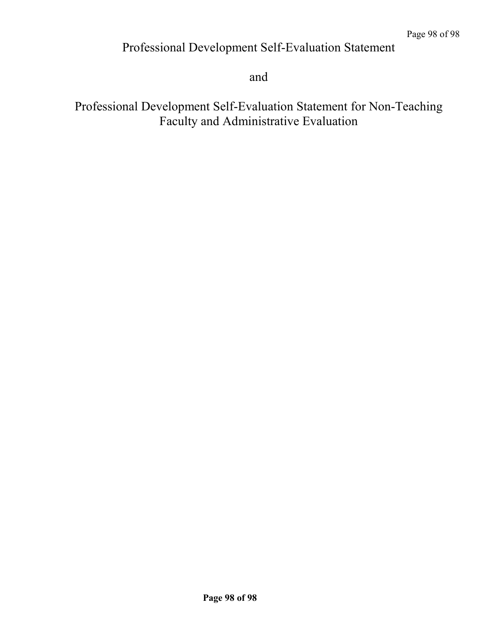### Professional Development Self-Evaluation Statement

and

Professional Development Self-Evaluation Statement for Non-Teaching Faculty and Administrative Evaluation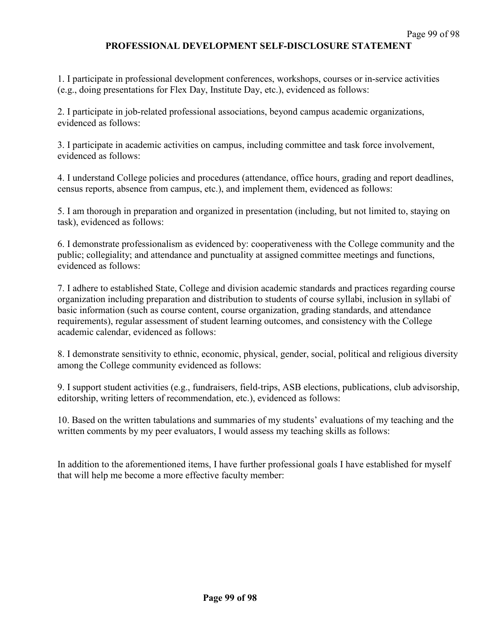### **PROFESSIONAL DEVELOPMENT SELF-DISCLOSURE STATEMENT**

1. I participate in professional development conferences, workshops, courses or in-service activities (e.g., doing presentations for Flex Day, Institute Day, etc.), evidenced as follows:

2. I participate in job-related professional associations, beyond campus academic organizations, evidenced as follows:

3. I participate in academic activities on campus, including committee and task force involvement, evidenced as follows:

4. I understand College policies and procedures (attendance, office hours, grading and report deadlines, census reports, absence from campus, etc.), and implement them, evidenced as follows:

5. I am thorough in preparation and organized in presentation (including, but not limited to, staying on task), evidenced as follows:

6. I demonstrate professionalism as evidenced by: cooperativeness with the College community and the public; collegiality; and attendance and punctuality at assigned committee meetings and functions, evidenced as follows:

7. I adhere to established State, College and division academic standards and practices regarding course organization including preparation and distribution to students of course syllabi, inclusion in syllabi of basic information (such as course content, course organization, grading standards, and attendance requirements), regular assessment of student learning outcomes, and consistency with the College academic calendar, evidenced as follows:

8. I demonstrate sensitivity to ethnic, economic, physical, gender, social, political and religious diversity among the College community evidenced as follows:

9. I support student activities (e.g., fundraisers, field-trips, ASB elections, publications, club advisorship, editorship, writing letters of recommendation, etc.), evidenced as follows:

10. Based on the written tabulations and summaries of my students' evaluations of my teaching and the written comments by my peer evaluators, I would assess my teaching skills as follows:

In addition to the aforementioned items, I have further professional goals I have established for myself that will help me become a more effective faculty member: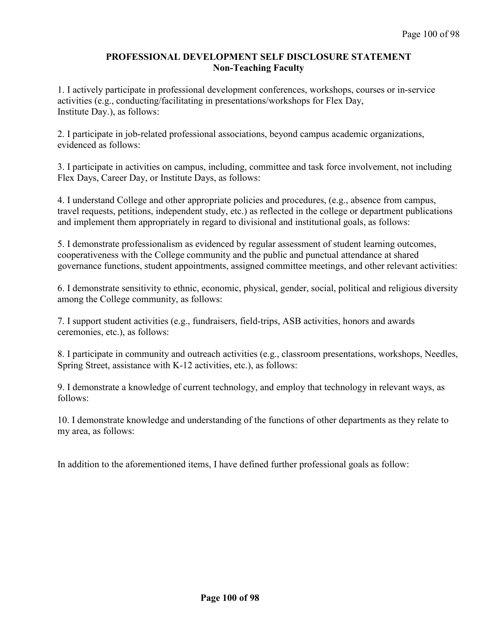### **PROFESSIONAL DEVELOPMENT SELF DISCLOSURE STATEMENT Non-Teaching Faculty**

1. I actively participate in professional development conferences, workshops, courses or in-service activities (e.g., conducting/facilitating in presentations/workshops for Flex Day, Institute Day.), as follows:

2. I participate in job-related professional associations, beyond campus academic organizations, evidenced as follows:

3. I participate in activities on campus, including, committee and task force involvement, not including Flex Days, Career Day, or Institute Days, as follows:

4. I understand College and other appropriate policies and procedures, (e.g., absence from campus, travel requests, petitions, independent study, etc.) as reflected in the college or department publications and implement them appropriately in regard to divisional and institutional goals, as follows:

5. I demonstrate professionalism as evidenced by regular assessment of student learning outcomes, cooperativeness with the College community and the public and punctual attendance at shared governance functions, student appointments, assigned committee meetings, and other relevant activities:

6. I demonstrate sensitivity to ethnic, economic, physical, gender, social, political and religious diversity among the College community, as follows:

7. I support student activities (e.g., fundraisers, field-trips, ASB activities, honors and awards ceremonies, etc.), as follows:

8. I participate in community and outreach activities (e.g., classroom presentations, workshops, Needles, Spring Street, assistance with K-12 activities, etc.), as follows:

9. I demonstrate a knowledge of current technology, and employ that technology in relevant ways, as follows:

10. I demonstrate knowledge and understanding of the functions of other departments as they relate to my area, as follows:

In addition to the aforementioned items, I have defined further professional goals as follow: